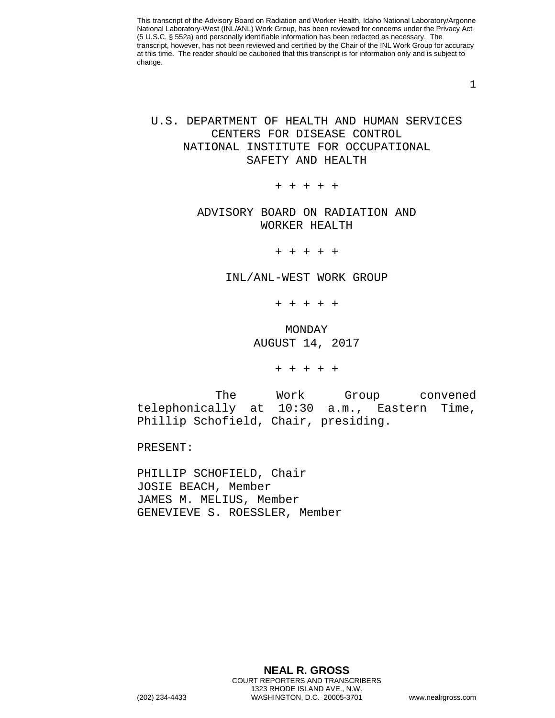1

## U.S. DEPARTMENT OF HEALTH AND HUMAN SERVICES CENTERS FOR DISEASE CONTROL NATIONAL INSTITUTE FOR OCCUPATIONAL SAFETY AND HEALTH

+ + + + +

## ADVISORY BOARD ON RADIATION AND WORKER HEALTH

+ + + + +

INL/ANL-WEST WORK GROUP

+ + + + +

MONDAY AUGUST 14, 2017

+ + + + +

The Work Group convened telephonically at 10:30 a.m., Eastern Phillip Schofield, Chair, presiding.

PRESENT:

PHILLIP SCHOFIELD, Chair JOSIE BEACH, Member JAMES M. MELIUS, Member GENEVIEVE S. ROESSLER, Member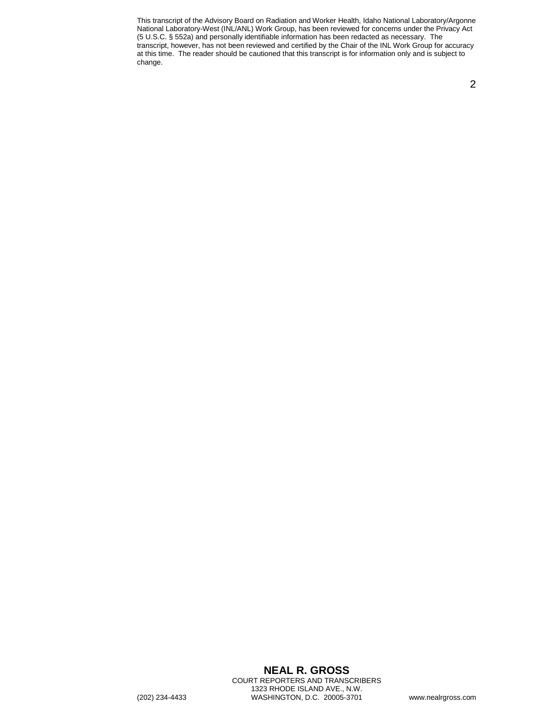## **NEAL R. GROSS** COURT REPORTERS AND TRANSCRIBERS 1323 RHODE ISLAND AVE., N.W. (202) 234-4433 WASHINGTON, D.C. 20005-3701 www.nealrgross.com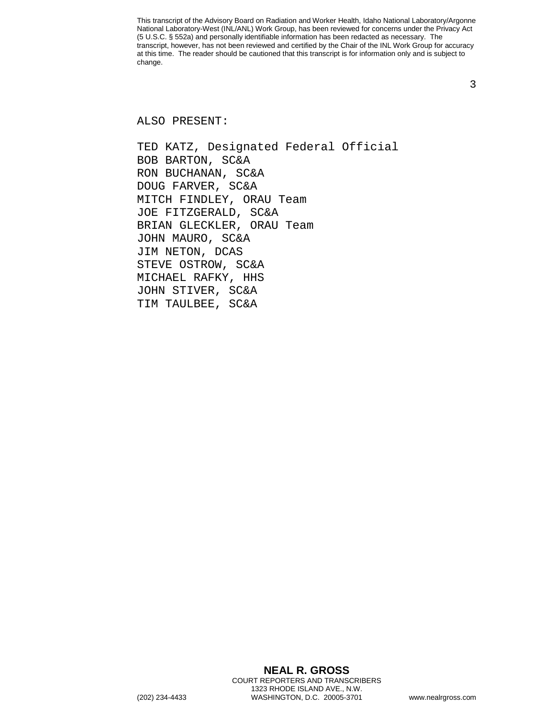3

ALSO PRESENT:

TED KATZ, Designated Federal Official BOB BARTON, SC&A RON BUCHANAN, SC&A DOUG FARVER, SC&A MITCH FINDLEY, ORAU Team JOE FITZGERALD, SC&A BRIAN GLECKLER, ORAU Team JOHN MAURO, SC&A JIM NETON, DCAS STEVE OSTROW, SC&A MICHAEL RAFKY, HHS JOHN STIVER, SC&A TIM TAULBEE, SC&A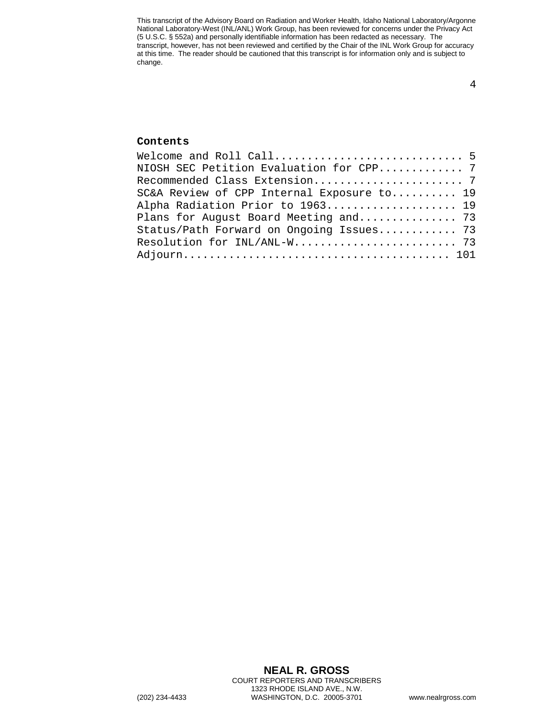## **Contents**

| NIOSH SEC Petition Evaluation for CPP 7    |  |
|--------------------------------------------|--|
|                                            |  |
| SC&A Review of CPP Internal Exposure to 19 |  |
| Alpha Radiation Prior to 1963 19           |  |
| Plans for August Board Meeting and 73      |  |
| Status/Path Forward on Ongoing Issues 73   |  |
| Resolution for INL/ANL-W 73                |  |
|                                            |  |
|                                            |  |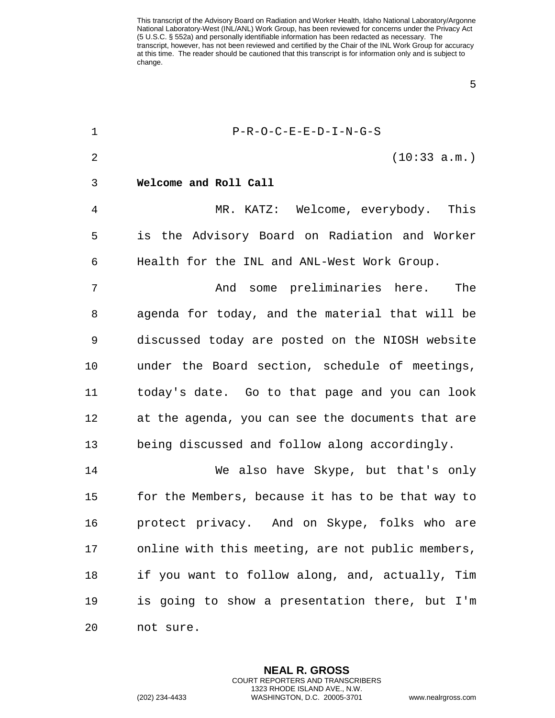5

<span id="page-4-0"></span>

| $\mathbf 1$ | $P-R-O-C-E-E-D-I-N-G-S$                           |
|-------------|---------------------------------------------------|
| 2           | (10:33 a.m.)                                      |
| 3           | Welcome and Roll Call                             |
| 4           | MR. KATZ: Welcome, everybody. This                |
| 5           | is the Advisory Board on Radiation and Worker     |
| 6           | Health for the INL and ANL-West Work Group.       |
| 7           | And some preliminaries here.<br>The               |
| 8           | agenda for today, and the material that will be   |
| 9           | discussed today are posted on the NIOSH website   |
| 10          | under the Board section, schedule of meetings,    |
| 11          | today's date. Go to that page and you can look    |
| 12          | at the agenda, you can see the documents that are |
| 13          | being discussed and follow along accordingly.     |
| 14          | We also have Skype, but that's only               |
| 15          | for the Members, because it has to be that way to |
| 16          | protect privacy. And on Skype, folks who are      |
| 17          | online with this meeting, are not public members, |
| 18          | if you want to follow along, and, actually, Tim   |
| 19          | is going to show a presentation there, but I'm    |
| 20          | not sure.                                         |

**NEAL R. GROSS** COURT REPORTERS AND TRANSCRIBERS 1323 RHODE ISLAND AVE., N.W.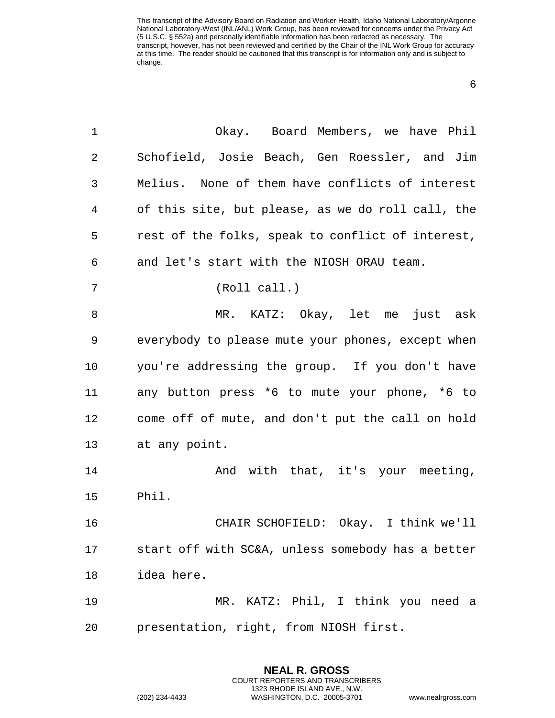6

| $\mathbf 1$    | Okay. Board Members, we have Phil                 |
|----------------|---------------------------------------------------|
| $\overline{2}$ | Schofield, Josie Beach, Gen Roessler, and Jim     |
| 3              | Melius. None of them have conflicts of interest   |
| 4              | of this site, but please, as we do roll call, the |
| 5              | rest of the folks, speak to conflict of interest, |
| 6              | and let's start with the NIOSH ORAU team.         |
| 7              | (Roll call.)                                      |
| 8              | MR. KATZ: Okay, let me just ask                   |
| 9              | everybody to please mute your phones, except when |
| 10             | you're addressing the group. If you don't have    |
| 11             | any button press *6 to mute your phone, *6 to     |
| 12             | come off of mute, and don't put the call on hold  |
| 13             | at any point.                                     |
| 14             | And with that, it's your meeting,                 |
| 15             | Phil.                                             |
| 16             | CHAIR SCHOFIELD: Okay. I think we'll              |
| 17             | start off with SC&A, unless somebody has a better |
| 18             | idea here.                                        |
| 19             | MR. KATZ: Phil, I think you need a                |
| 20             | presentation, right, from NIOSH first.            |

**NEAL R. GROSS** COURT REPORTERS AND TRANSCRIBERS 1323 RHODE ISLAND AVE., N.W.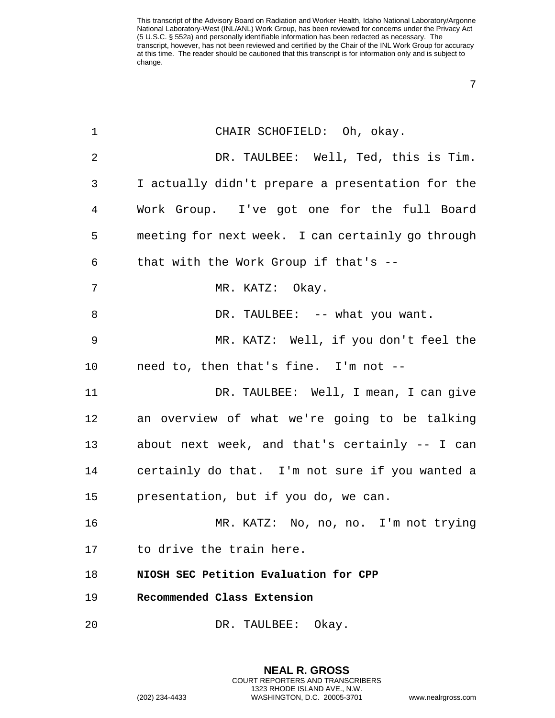7

<span id="page-6-1"></span><span id="page-6-0"></span>

| $\mathbf 1$ | CHAIR SCHOFIELD: Oh, okay.                        |
|-------------|---------------------------------------------------|
| 2           | DR. TAULBEE: Well, Ted, this is Tim.              |
| 3           | I actually didn't prepare a presentation for the  |
| 4           | Work Group. I've got one for the full Board       |
| 5           | meeting for next week. I can certainly go through |
| 6           | that with the Work Group if that's $-$            |
| 7           | MR. KATZ: Okay.                                   |
| 8           | DR. TAULBEE: -- what you want.                    |
| 9           | MR. KATZ: Well, if you don't feel the             |
| 10          | need to, then that's fine. I'm not --             |
| 11          | DR. TAULBEE: Well, I mean, I can give             |
| 12          | an overview of what we're going to be talking     |
| 13          | about next week, and that's certainly -- I can    |
| 14          | certainly do that. I'm not sure if you wanted a   |
| 15          | presentation, but if you do, we can.              |
| 16          | MR. KATZ: No, no, no. I'm not trying              |
| 17          | to drive the train here.                          |
| 18          | NIOSH SEC Petition Evaluation for CPP             |
| 19          | Recommended Class Extension                       |
| 20          | DR. TAULBEE: Okay.                                |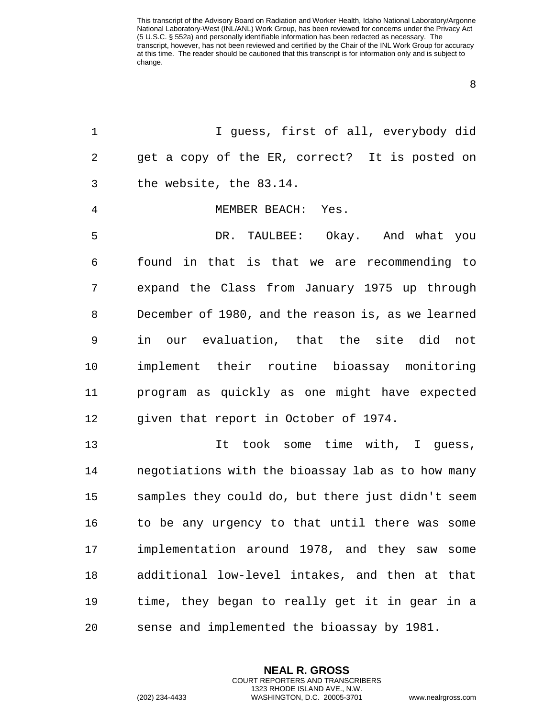8

| $\mathbf 1$ | I guess, first of all, everybody did               |
|-------------|----------------------------------------------------|
| 2           | get a copy of the ER, correct? It is posted on     |
| 3           | the website, the 83.14.                            |
| 4           | MEMBER BEACH: Yes.                                 |
| 5           | DR. TAULBEE: Okay. And what you                    |
| 6           | found in that is that we are recommending to       |
| 7           | expand the Class from January 1975 up through      |
| 8           | December of 1980, and the reason is, as we learned |
| 9           | in our evaluation, that the site did<br>not        |
| 10          | implement their routine bioassay monitoring        |
| 11          | program as quickly as one might have expected      |
| 12          | given that report in October of 1974.              |
| 13          | It took some time with, I guess,                   |
| 14          | negotiations with the bioassay lab as to how many  |
| 15          | samples they could do, but there just didn't seem  |
| 16          | to be any urgency to that until there was some     |
| 17          | implementation around 1978, and they saw some      |
| 18          | additional low-level intakes, and then at that     |
| 19          | time, they began to really get it in gear in a     |
| 20          | sense and implemented the bioassay by 1981.        |

**NEAL R. GROSS** COURT REPORTERS AND TRANSCRIBERS 1323 RHODE ISLAND AVE., N.W.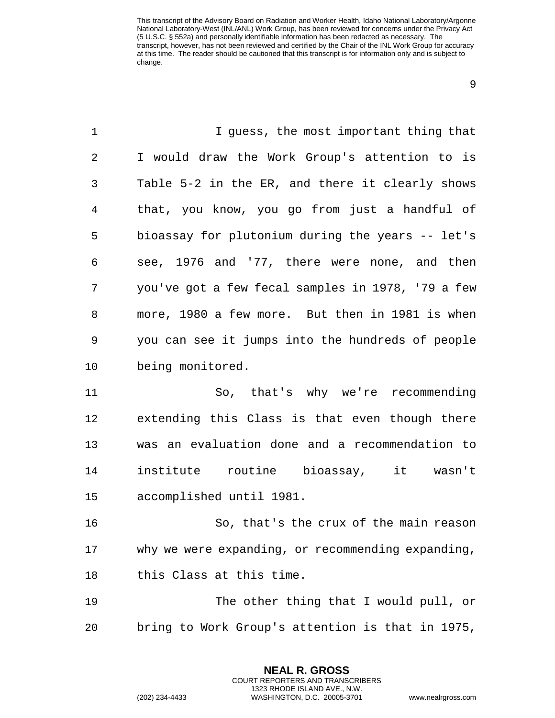9

| $\mathbf{1}$ | I guess, the most important thing that            |
|--------------|---------------------------------------------------|
| 2            | I would draw the Work Group's attention to is     |
| 3            | Table 5-2 in the ER, and there it clearly shows   |
| 4            | that, you know, you go from just a handful of     |
| 5            | bioassay for plutonium during the years -- let's  |
| 6            | see, 1976 and '77, there were none, and then      |
| 7            | you've got a few fecal samples in 1978, '79 a few |
| 8            | more, 1980 a few more. But then in 1981 is when   |
| 9            | you can see it jumps into the hundreds of people  |
| 10           | being monitored.                                  |
| 11           | So, that's why we're recommending                 |
| 12           | extending this Class is that even though there    |
| 13           | was an evaluation done and a recommendation to    |
| 14           | institute routine bioassay, it wasn't             |
| 15           | accomplished until 1981.                          |
| 16           | So, that's the crux of the main reason            |
| 17           | why we were expanding, or recommending expanding, |
| 18           | this Class at this time.                          |
| 19           | The other thing that I would pull, or             |
|              |                                                   |

**NEAL R. GROSS** COURT REPORTERS AND TRANSCRIBERS 1323 RHODE ISLAND AVE., N.W.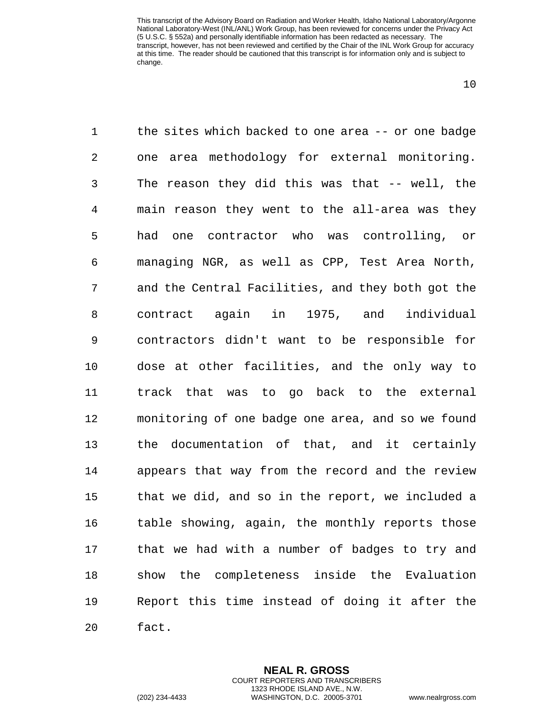the sites which backed to one area -- or one badge one area methodology for external monitoring. The reason they did this was that -- well, the main reason they went to the all-area was they had one contractor who was controlling, or managing NGR, as well as CPP, Test Area North, and the Central Facilities, and they both got the contract again in 1975, and individual contractors didn't want to be responsible for dose at other facilities, and the only way to track that was to go back to the external monitoring of one badge one area, and so we found the documentation of that, and it certainly appears that way from the record and the review that we did, and so in the report, we included a table showing, again, the monthly reports those that we had with a number of badges to try and show the completeness inside the Evaluation Report this time instead of doing it after the fact.

> **NEAL R. GROSS** COURT REPORTERS AND TRANSCRIBERS 1323 RHODE ISLAND AVE., N.W.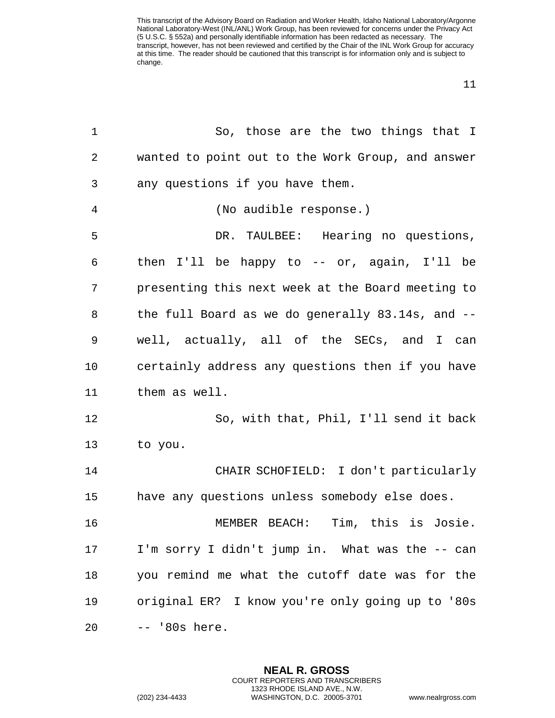11

| 1  | So, those are the two things that I               |
|----|---------------------------------------------------|
| 2  | wanted to point out to the Work Group, and answer |
| 3  | any questions if you have them.                   |
| 4  | (No audible response.)                            |
| 5  | DR. TAULBEE: Hearing no questions,                |
| 6  | then I'll be happy to -- or, again, I'll be       |
| 7  | presenting this next week at the Board meeting to |
| 8  | the full Board as we do generally 83.14s, and --  |
| 9  | well, actually, all of the SECs, and I can        |
| 10 | certainly address any questions then if you have  |
| 11 | them as well.                                     |
| 12 | So, with that, Phil, I'll send it back            |
| 13 | to you.                                           |
| 14 | CHAIR SCHOFIELD: I don't particularly             |
| 15 | have any questions unless somebody else does.     |
| 16 | Tim, this is Josie.<br>MEMBER BEACH:              |
| 17 | I'm sorry I didn't jump in. What was the -- can   |
| 18 | you remind me what the cutoff date was for the    |
| 19 | original ER? I know you're only going up to '80s  |
| 20 | $-- 80s here.$                                    |

**NEAL R. GROSS** COURT REPORTERS AND TRANSCRIBERS 1323 RHODE ISLAND AVE., N.W.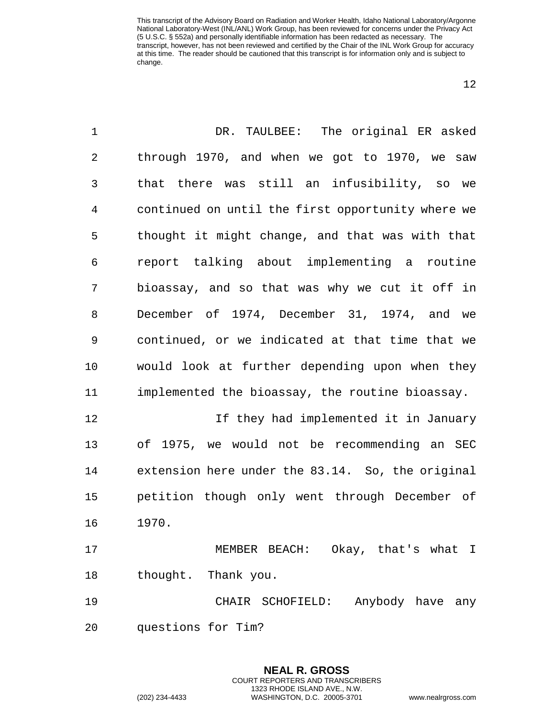12

| $\mathbf 1$    | DR. TAULBEE: The original ER asked                |
|----------------|---------------------------------------------------|
| $\overline{2}$ | through 1970, and when we got to 1970, we saw     |
| 3              | that there was still an infusibility, so we       |
| 4              | continued on until the first opportunity where we |
| 5              | thought it might change, and that was with that   |
| 6              | report talking about implementing a routine       |
| 7              | bioassay, and so that was why we cut it off in    |
| 8              | December of 1974, December 31, 1974, and we       |
| 9              | continued, or we indicated at that time that we   |
| 10             | would look at further depending upon when they    |
| 11             | implemented the bioassay, the routine bioassay.   |
| 12             | If they had implemented it in January             |
| 13             | of 1975, we would not be recommending an SEC      |
| 14             | extension here under the 83.14. So, the original  |
| 15             | petition though only went through December of     |
| 16             | 1970.                                             |
| 17             | MEMBER BEACH: Okay, that's what I                 |
| 18             | thought. Thank you.                               |
| 19             | CHAIR SCHOFIELD: Anybody have any                 |
| 20             | questions for Tim?                                |

**NEAL R. GROSS**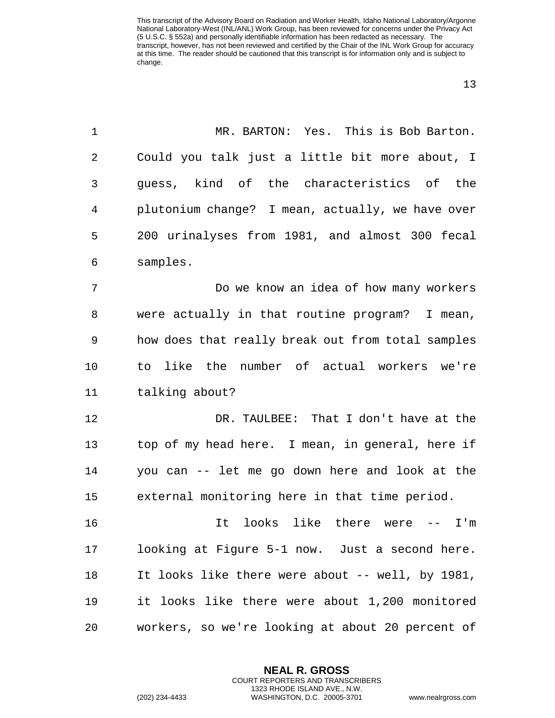| $\mathbf 1$ | MR. BARTON: Yes. This is Bob Barton.              |
|-------------|---------------------------------------------------|
| 2           | Could you talk just a little bit more about, I    |
| 3           | guess, kind of the characteristics of the         |
| 4           | plutonium change? I mean, actually, we have over  |
| 5           | 200 urinalyses from 1981, and almost 300 fecal    |
| 6           | samples.                                          |
| 7           | Do we know an idea of how many workers            |
| 8           | were actually in that routine program? I mean,    |
| 9           | how does that really break out from total samples |
| 10          | like the number of actual workers we're<br>to     |
| 11          | talking about?                                    |
| 12          | DR. TAULBEE: That I don't have at the             |
| 13          | top of my head here. I mean, in general, here if  |
| 14          | you can -- let me go down here and look at the    |
| 15          | external monitoring here in that time period.     |
| 16          | looks like there were<br>It<br>I'm<br>$--$        |
| 17          | looking at Figure 5-1 now. Just a second here.    |
| 18          | It looks like there were about -- well, by 1981,  |
| 19          | it looks like there were about 1,200 monitored    |
| 20          | workers, so we're looking at about 20 percent of  |

**NEAL R. GROSS** COURT REPORTERS AND TRANSCRIBERS 1323 RHODE ISLAND AVE., N.W.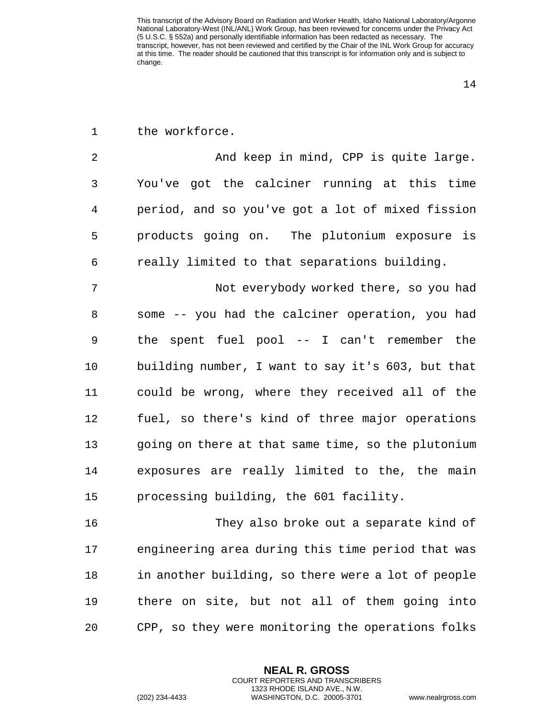the workforce.

2 And keep in mind, CPP is quite large. You've got the calciner running at this time period, and so you've got a lot of mixed fission products going on. The plutonium exposure is really limited to that separations building.

 Not everybody worked there, so you had some -- you had the calciner operation, you had the spent fuel pool -- I can't remember the building number, I want to say it's 603, but that could be wrong, where they received all of the fuel, so there's kind of three major operations going on there at that same time, so the plutonium exposures are really limited to the, the main processing building, the 601 facility.

 They also broke out a separate kind of engineering area during this time period that was in another building, so there were a lot of people there on site, but not all of them going into CPP, so they were monitoring the operations folks

> **NEAL R. GROSS** COURT REPORTERS AND TRANSCRIBERS 1323 RHODE ISLAND AVE., N.W.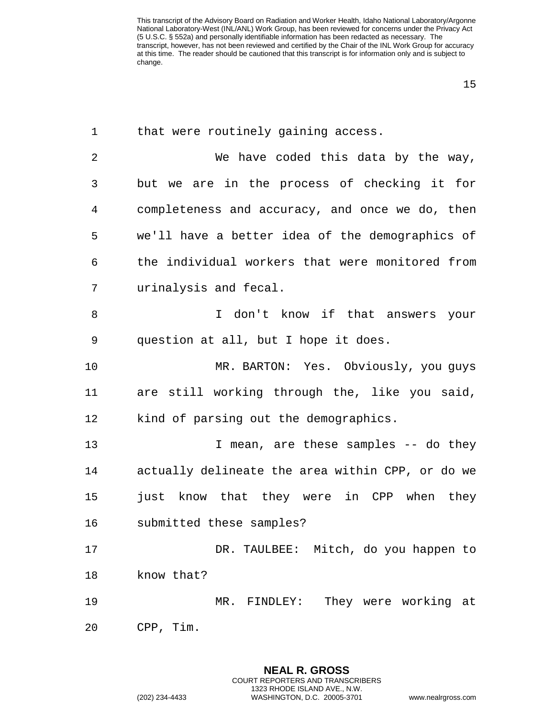| 1              | that were routinely gaining access.              |
|----------------|--------------------------------------------------|
| $\overline{2}$ | We have coded this data by the way,              |
| 3              | but we are in the process of checking it for     |
| 4              | completeness and accuracy, and once we do, then  |
| 5              | we'll have a better idea of the demographics of  |
| 6              | the individual workers that were monitored from  |
| 7              | urinalysis and fecal.                            |
| 8              | I don't know if that answers your                |
| 9              | question at all, but I hope it does.             |
| 10             | MR. BARTON: Yes. Obviously, you guys             |
| 11             | are still working through the, like you said,    |
| 12             | kind of parsing out the demographics.            |
| 13             | I mean, are these samples -- do they             |
| 14             | actually delineate the area within CPP, or do we |
| 15             | just know that they were in CPP when they        |
| 16             | submitted these samples?                         |
| 17             | DR. TAULBEE: Mitch, do you happen to             |
| 18             | know that?                                       |
| 19             | MR. FINDLEY: They were working at                |
| 20             | CPP, Tim.                                        |

**NEAL R. GROSS** COURT REPORTERS AND TRANSCRIBERS 1323 RHODE ISLAND AVE., N.W.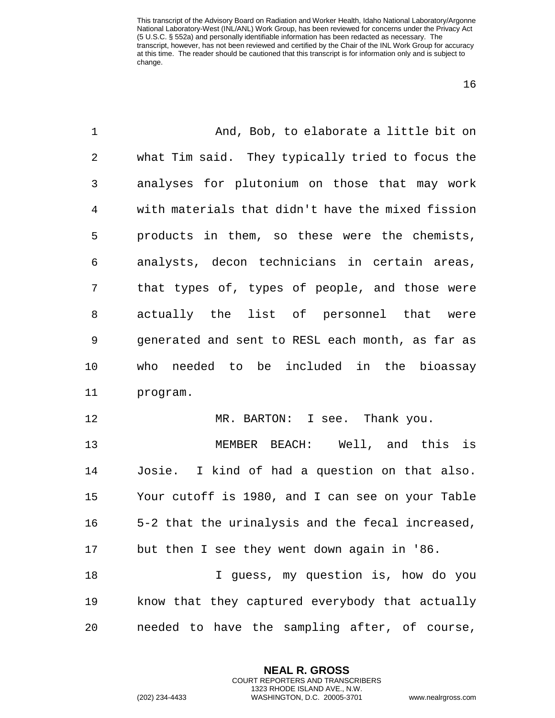| $\mathbf 1$ | And, Bob, to elaborate a little bit on            |
|-------------|---------------------------------------------------|
| 2           | what Tim said. They typically tried to focus the  |
| 3           | analyses for plutonium on those that may work     |
| 4           | with materials that didn't have the mixed fission |
| 5           | products in them, so these were the chemists,     |
| 6           | analysts, decon technicians in certain areas,     |
| 7           | that types of, types of people, and those were    |
| 8           | actually the list of personnel that were          |
| 9           | generated and sent to RESL each month, as far as  |
| 10          | who needed to be included in the bioassay         |
| 11          | program.                                          |
| 12          | MR. BARTON: I see. Thank you.                     |
| 13          | MEMBER BEACH: Well, and this is                   |
| 14          | Josie. I kind of had a question on that also.     |
| 15          | Your cutoff is 1980, and I can see on your Table  |
| 16          | 5-2 that the urinalysis and the fecal increased,  |
| 17          | but then I see they went down again in '86.       |
| 18          | I guess, my question is, how do you               |
| 19          | know that they captured everybody that actually   |
| 20          | needed to have the sampling after, of course,     |

**NEAL R. GROSS** COURT REPORTERS AND TRANSCRIBERS 1323 RHODE ISLAND AVE., N.W.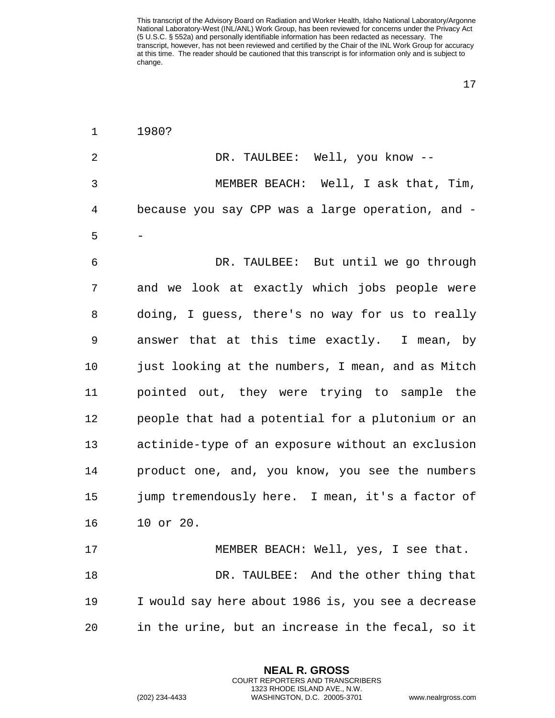| $\mathbf 1$ | 1980?                                              |
|-------------|----------------------------------------------------|
| 2           | DR. TAULBEE: Well, you know --                     |
| 3           | MEMBER BEACH: Well, I ask that, Tim,               |
| 4           | because you say CPP was a large operation, and -   |
| 5           |                                                    |
| 6           | DR. TAULBEE: But until we go through               |
| 7           | and we look at exactly which jobs people were      |
| 8           | doing, I guess, there's no way for us to really    |
| 9           | answer that at this time exactly. I mean, by       |
| 10          | just looking at the numbers, I mean, and as Mitch  |
| 11          | pointed out, they were trying to sample the        |
| 12          | people that had a potential for a plutonium or an  |
| 13          | actinide-type of an exposure without an exclusion  |
| 14          | product one, and, you know, you see the numbers    |
| 15          | jump tremendously here. I mean, it's a factor of   |
| 16          | 10 or 20.                                          |
| 17          | MEMBER BEACH: Well, yes, I see that.               |
| 18          | DR. TAULBEE: And the other thing that              |
| 19          | I would say here about 1986 is, you see a decrease |
| 20          | in the urine, but an increase in the fecal, so it  |

**NEAL R. GROSS** COURT REPORTERS AND TRANSCRIBERS 1323 RHODE ISLAND AVE., N.W.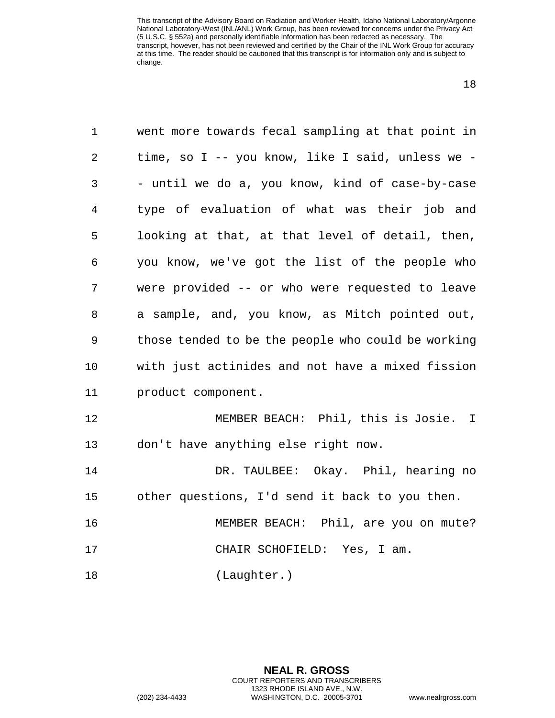| $\mathbf 1$    | went more towards fecal sampling at that point in  |
|----------------|----------------------------------------------------|
| $\overline{2}$ | time, so I -- you know, like I said, unless we -   |
| 3              | - until we do a, you know, kind of case-by-case    |
| $\overline{4}$ | type of evaluation of what was their job and       |
| 5              | looking at that, at that level of detail, then,    |
| 6              | you know, we've got the list of the people who     |
| 7              | were provided -- or who were requested to leave    |
| 8              | a sample, and, you know, as Mitch pointed out,     |
| 9              | those tended to be the people who could be working |
| 10             | with just actinides and not have a mixed fission   |
| 11             | product component.                                 |
| 12             | MEMBER BEACH: Phil, this is Josie. I               |
| 13             | don't have anything else right now.                |
| 14             | DR. TAULBEE: Okay. Phil, hearing no                |
| 15             | other questions, I'd send it back to you then.     |
| 16             | MEMBER BEACH: Phil, are you on mute?               |
| 17             | CHAIR SCHOFIELD: Yes, I am.                        |
| 18             | (Laughter.)                                        |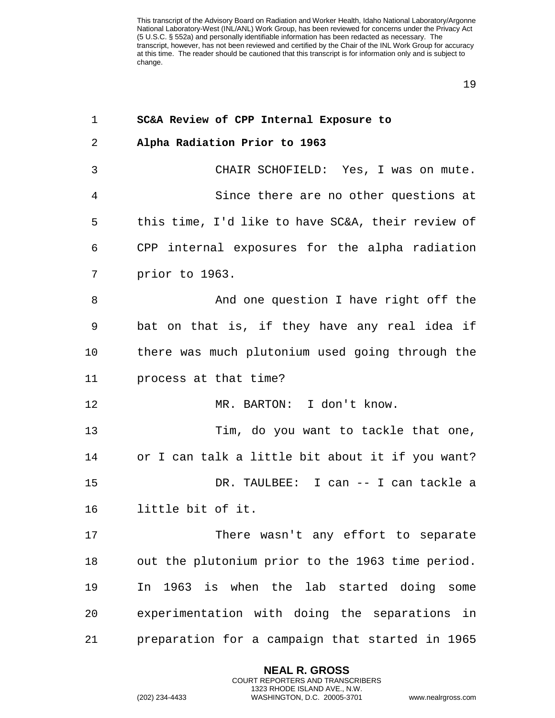19

<span id="page-18-1"></span><span id="page-18-0"></span>

| $\mathbf 1$ | SC&A Review of CPP Internal Exposure to           |
|-------------|---------------------------------------------------|
| 2           | Alpha Radiation Prior to 1963                     |
| 3           | CHAIR SCHOFIELD: Yes, I was on mute.              |
| 4           | Since there are no other questions at             |
| 5           | this time, I'd like to have SC&A, their review of |
| 6           | CPP internal exposures for the alpha radiation    |
| 7           | prior to 1963.                                    |
| 8           | And one question I have right off the             |
| 9           | bat on that is, if they have any real idea if     |
| 10          | there was much plutonium used going through the   |
| 11          | process at that time?                             |
| 12          | MR. BARTON: I don't know.                         |
| 13          | Tim, do you want to tackle that one,              |
| 14          | or I can talk a little bit about it if you want?  |
| 15          | DR. TAULBEE: I can -- I can tackle a              |
| 16          | little bit of it.                                 |
| 17          | There wasn't any effort to separate               |
| 18          | out the plutonium prior to the 1963 time period.  |
| 19          | In 1963 is when the lab started doing some        |
| 20          | experimentation with doing the separations in     |
| 21          | preparation for a campaign that started in 1965   |
|             |                                                   |

**NEAL R. GROSS** COURT REPORTERS AND TRANSCRIBERS 1323 RHODE ISLAND AVE., N.W.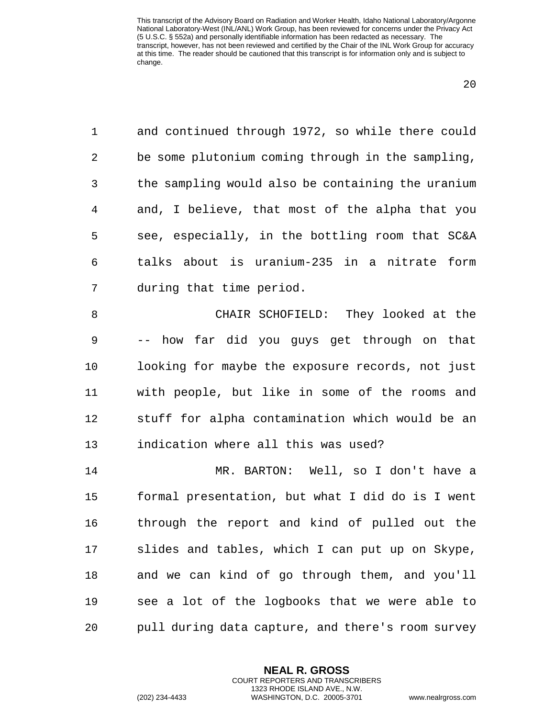and continued through 1972, so while there could be some plutonium coming through in the sampling, the sampling would also be containing the uranium and, I believe, that most of the alpha that you see, especially, in the bottling room that SC&A talks about is uranium-235 in a nitrate form during that time period. CHAIR SCHOFIELD: They looked at the -- how far did you guys get through on that looking for maybe the exposure records, not just with people, but like in some of the rooms and stuff for alpha contamination which would be an indication where all this was used? MR. BARTON: Well, so I don't have a formal presentation, but what I did do is I went through the report and kind of pulled out the slides and tables, which I can put up on Skype, and we can kind of go through them, and you'll see a lot of the logbooks that we were able to pull during data capture, and there's room survey

> **NEAL R. GROSS** COURT REPORTERS AND TRANSCRIBERS 1323 RHODE ISLAND AVE., N.W.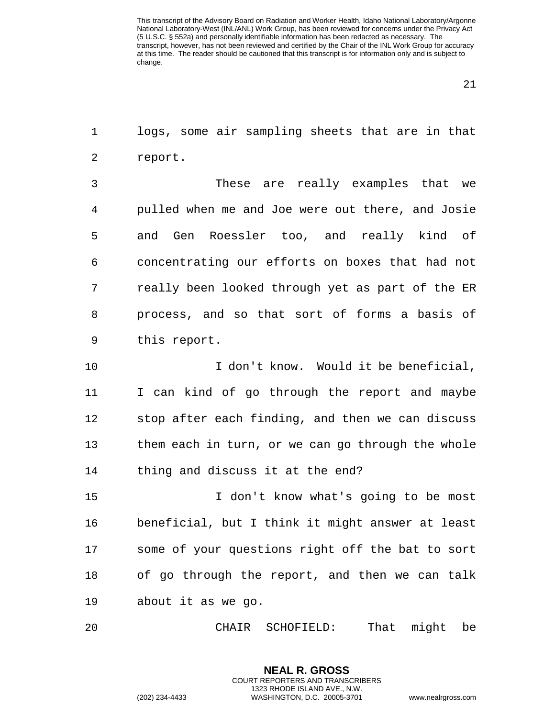| $\mathbf 1$ | logs, some air sampling sheets that are in that   |
|-------------|---------------------------------------------------|
| 2           | report.                                           |
| 3           | These are really examples that we                 |
| 4           | pulled when me and Joe were out there, and Josie  |
| 5           | and Gen Roessler too, and really kind of          |
| 6           | concentrating our efforts on boxes that had not   |
| 7           | really been looked through yet as part of the ER  |
| 8           | process, and so that sort of forms a basis of     |
| 9           | this report.                                      |
| 10          | I don't know. Would it be beneficial,             |
| 11          | I can kind of go through the report and maybe     |
| 12          | stop after each finding, and then we can discuss  |
| 13          | them each in turn, or we can go through the whole |
| 14          | thing and discuss it at the end?                  |
| 15          | I don't know what's going to be most              |
| 16          | beneficial, but I think it might answer at least  |
| 17          | some of your questions right off the bat to sort  |
| 18          | of go through the report, and then we can talk    |
| 19          | about it as we go.                                |
| 20          | That might<br>be<br>CHAIR SCHOFIELD:              |

**NEAL R. GROSS** COURT REPORTERS AND TRANSCRIBERS 1323 RHODE ISLAND AVE., N.W.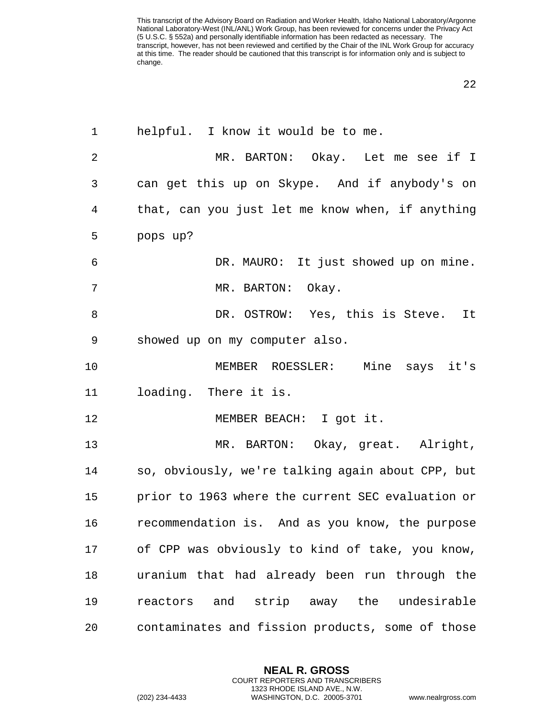| 1              | helpful. I know it would be to me.                |
|----------------|---------------------------------------------------|
| $\overline{2}$ | MR. BARTON: Okay. Let me see if I                 |
| 3              | can get this up on Skype. And if anybody's on     |
| 4              | that, can you just let me know when, if anything  |
| 5              | pops up?                                          |
| 6              | DR. MAURO: It just showed up on mine.             |
| 7              | MR. BARTON: Okay.                                 |
| 8              | DR. OSTROW: Yes, this is Steve. It                |
| 9              | showed up on my computer also.                    |
| 10             | MEMBER ROESSLER: Mine says it's                   |
| 11             | loading. There it is.                             |
| 12             | MEMBER BEACH: I got it.                           |
| 13             | MR. BARTON: Okay, great. Alright,                 |
| 14             | so, obviously, we're talking again about CPP, but |
| 15             | prior to 1963 where the current SEC evaluation or |
| 16             | recommendation is. And as you know, the purpose   |
| 17             | of CPP was obviously to kind of take, you know,   |
| 18             | uranium that had already been run through the     |
| 19             | reactors and strip away the undesirable           |
| 20             | contaminates and fission products, some of those  |

**NEAL R. GROSS** COURT REPORTERS AND TRANSCRIBERS 1323 RHODE ISLAND AVE., N.W.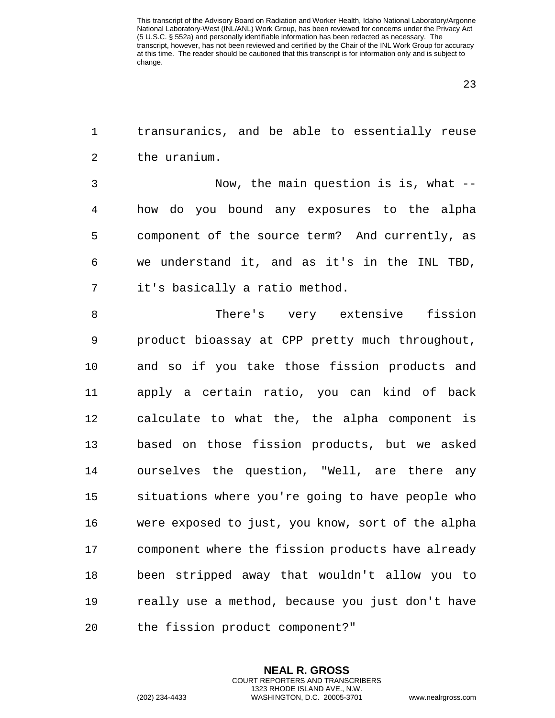| 1  | transuranics, and be able to essentially reuse    |
|----|---------------------------------------------------|
| 2  | the uranium.                                      |
| 3  | Now, the main question is is, what $-$ -          |
| 4  | how do you bound any exposures to the alpha       |
| 5  | component of the source term? And currently, as   |
| 6  | we understand it, and as it's in the INL TBD,     |
| 7  | it's basically a ratio method.                    |
| 8  | There's very extensive fission                    |
| 9  | product bioassay at CPP pretty much throughout,   |
| 10 | and so if you take those fission products and     |
| 11 | apply a certain ratio, you can kind of back       |
| 12 | calculate to what the, the alpha component is     |
| 13 | based on those fission products, but we asked     |
| 14 | ourselves the question, "Well, are there any      |
| 15 | situations where you're going to have people who  |
| 16 | were exposed to just, you know, sort of the alpha |
| 17 | component where the fission products have already |
| 18 | been stripped away that wouldn't allow you to     |
| 19 | really use a method, because you just don't have  |
| 20 | the fission product component?"                   |

**NEAL R. GROSS** COURT REPORTERS AND TRANSCRIBERS 1323 RHODE ISLAND AVE., N.W.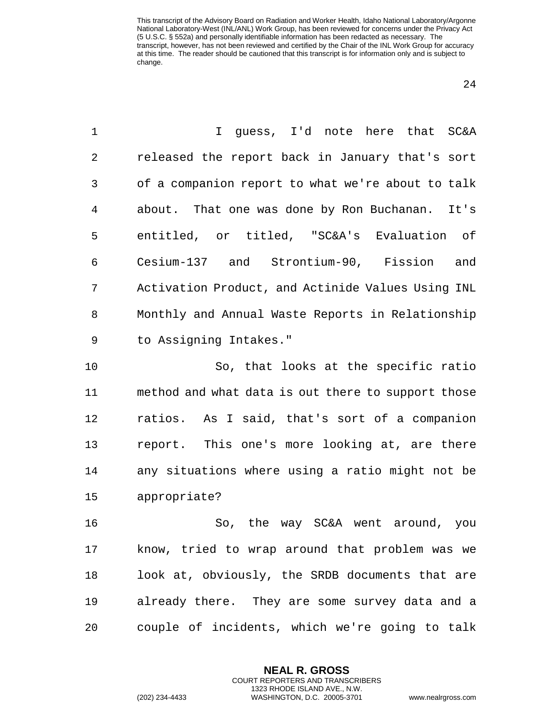I guess, I'd note here that SC&A released the report back in January that's sort of a companion report to what we're about to talk about. That one was done by Ron Buchanan. It's entitled, or titled, "SC&A's Evaluation of Cesium-137 and Strontium-90, Fission and Activation Product, and Actinide Values Using INL Monthly and Annual Waste Reports in Relationship to Assigning Intakes." So, that looks at the specific ratio method and what data is out there to support those ratios. As I said, that's sort of a companion report. This one's more looking at, are there any situations where using a ratio might not be appropriate? So, the way SC&A went around, you know, tried to wrap around that problem was we

 look at, obviously, the SRDB documents that are already there. They are some survey data and a couple of incidents, which we're going to talk

> **NEAL R. GROSS** COURT REPORTERS AND TRANSCRIBERS 1323 RHODE ISLAND AVE., N.W.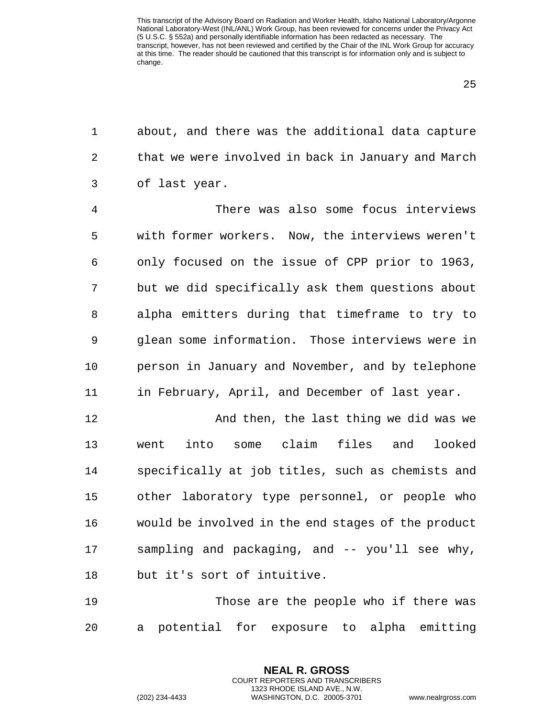about, and there was the additional data capture that we were involved in back in January and March of last year.

 There was also some focus interviews with former workers. Now, the interviews weren't only focused on the issue of CPP prior to 1963, but we did specifically ask them questions about alpha emitters during that timeframe to try to glean some information. Those interviews were in person in January and November, and by telephone in February, April, and December of last year.

12 And then, the last thing we did was we went into some claim files and looked specifically at job titles, such as chemists and other laboratory type personnel, or people who would be involved in the end stages of the product sampling and packaging, and -- you'll see why, but it's sort of intuitive.

 Those are the people who if there was a potential for exposure to alpha emitting

> **NEAL R. GROSS** COURT REPORTERS AND TRANSCRIBERS 1323 RHODE ISLAND AVE., N.W.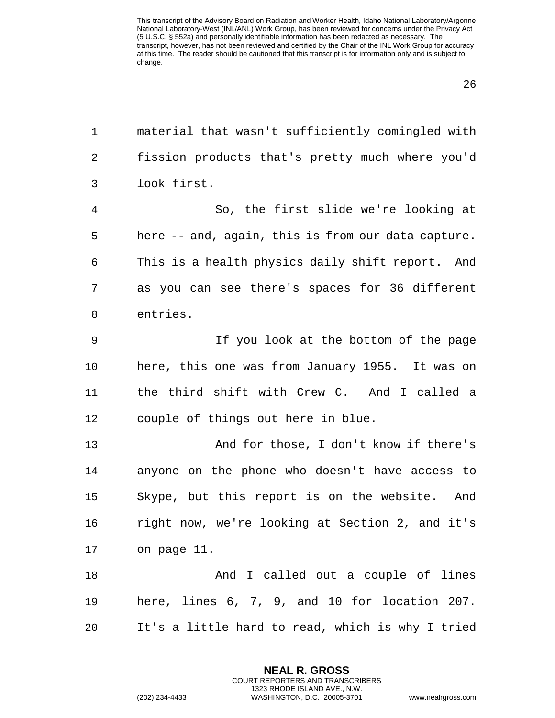| $\mathbf 1$    | material that wasn't sufficiently comingled with   |
|----------------|----------------------------------------------------|
| 2              | fission products that's pretty much where you'd    |
| 3              | look first.                                        |
| $\overline{4}$ | So, the first slide we're looking at               |
| 5              | here -- and, again, this is from our data capture. |
| 6              | This is a health physics daily shift report. And   |
| 7              | as you can see there's spaces for 36 different     |
| 8              | entries.                                           |
| 9              | If you look at the bottom of the page              |
| 10             | here, this one was from January 1955. It was on    |
| 11             | the third shift with Crew C. And I called a        |
| 12             | couple of things out here in blue.                 |
| 13             | And for those, I don't know if there's             |
| 14             | anyone on the phone who doesn't have access to     |
| 15             | Skype, but this report is on the website. And      |
| 16             | right now, we're looking at Section 2, and it's    |
| 17             | on page 11.                                        |
| 18             | And I called out a couple of lines                 |
| 19             | here, lines 6, 7, 9, and 10 for location 207.      |
| 20             | It's a little hard to read, which is why I tried   |

**NEAL R. GROSS** COURT REPORTERS AND TRANSCRIBERS 1323 RHODE ISLAND AVE., N.W.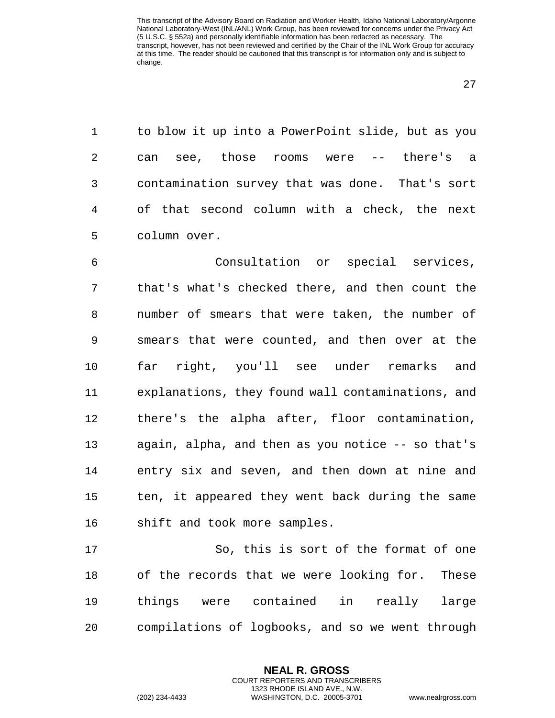1 to blow it up into a PowerPoint slide, but as you 2 can see, those rooms were -- there's a 3 contamination survey that was done. That's sort 4 of that second column with a check, the next 5 column over.

6 Consultation or special services, 7 that's what's checked there, and then count the 8 number of smears that were taken, the number of 9 smears that were counted, and then over at the 10 far right, you'll see under remarks and 11 explanations, they found wall contaminations, and 12 there's the alpha after, floor contamination, 13 again, alpha, and then as you notice -- so that's 14 entry six and seven, and then down at nine and 15 ten, it appeared they went back during the same 16 shift and took more samples.

17 So, this is sort of the format of one 18 of the records that we were looking for. These 19 things were contained in really large 20 compilations of logbooks, and so we went through

> **NEAL R. GROSS** COURT REPORTERS AND TRANSCRIBERS 1323 RHODE ISLAND AVE., N.W.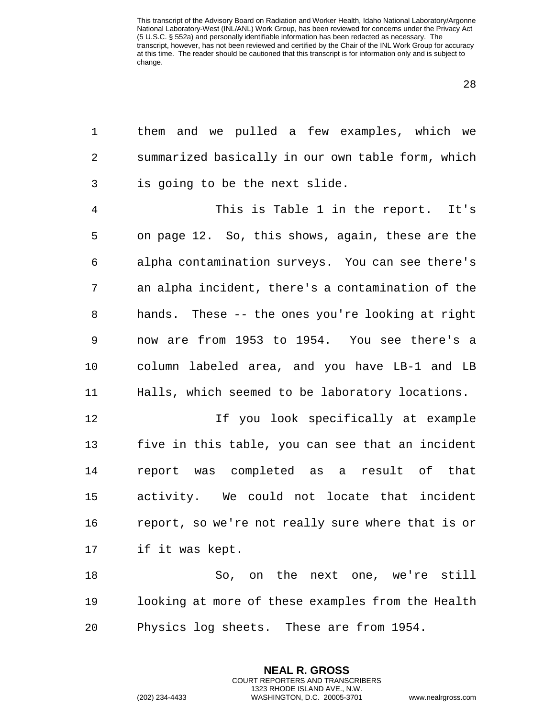| 1              | them and we pulled a few examples, which we       |
|----------------|---------------------------------------------------|
| $\overline{a}$ | summarized basically in our own table form, which |
| 3              | is going to be the next slide.                    |
| $\overline{4}$ | This is Table 1 in the report. It's               |
| 5              | on page 12. So, this shows, again, these are the  |
| 6              | alpha contamination surveys. You can see there's  |
| 7              | an alpha incident, there's a contamination of the |
| 8              | hands. These -- the ones you're looking at right  |
| 9              | now are from 1953 to 1954. You see there's a      |
| 10             | column labeled area, and you have LB-1 and LB     |
|                |                                                   |
| 11             | Halls, which seemed to be laboratory locations.   |
| 12             | If you look specifically at example               |
| 13             | five in this table, you can see that an incident  |
| 14             | report was completed as a result of that          |
| 15             | activity. We could not locate that incident       |
| 16             | report, so we're not really sure where that is or |
| 17             | if it was kept.                                   |
| 18             | So, on the next one, we're still                  |
| 19             | looking at more of these examples from the Health |

Physics log sheets. These are from 1954.

**NEAL R. GROSS** COURT REPORTERS AND TRANSCRIBERS 1323 RHODE ISLAND AVE., N.W.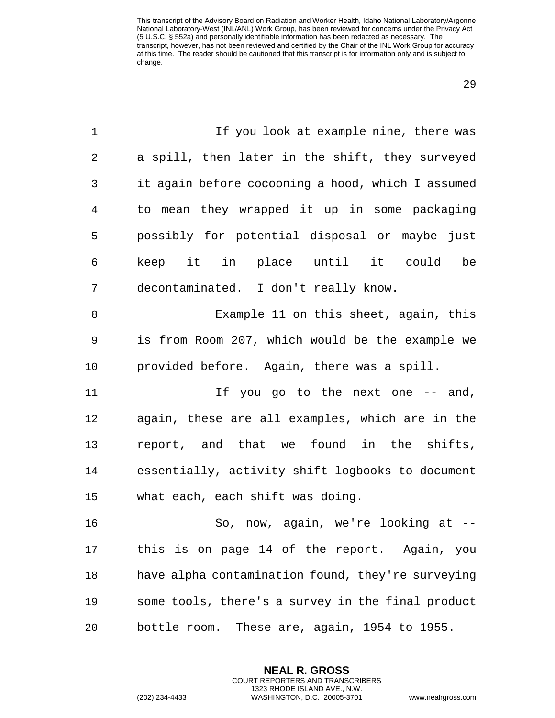| $\mathbf 1$ | If you look at example nine, there was            |
|-------------|---------------------------------------------------|
| 2           | a spill, then later in the shift, they surveyed   |
| 3           | it again before cocooning a hood, which I assumed |
| 4           | to mean they wrapped it up in some packaging      |
| 5           | possibly for potential disposal or maybe just     |
| 6           | keep it in place until it could<br>be             |
| 7           | decontaminated. I don't really know.              |
| 8           | Example 11 on this sheet, again, this             |
| 9           | is from Room 207, which would be the example we   |
| 10          | provided before. Again, there was a spill.        |
| 11          | If you go to the next one -- and,                 |
| 12          | again, these are all examples, which are in the   |
| 13          | report, and that we found in the shifts,          |
| 14          | essentially, activity shift logbooks to document  |
| 15          | what each, each shift was doing.                  |
| 16          | So, now, again, we're looking at --               |
| 17          | this is on page 14 of the report. Again, you      |
| 18          | have alpha contamination found, they're surveying |
| 19          | some tools, there's a survey in the final product |
| 20          | These are, again, 1954 to 1955.<br>bottle room.   |

**NEAL R. GROSS** COURT REPORTERS AND TRANSCRIBERS 1323 RHODE ISLAND AVE., N.W.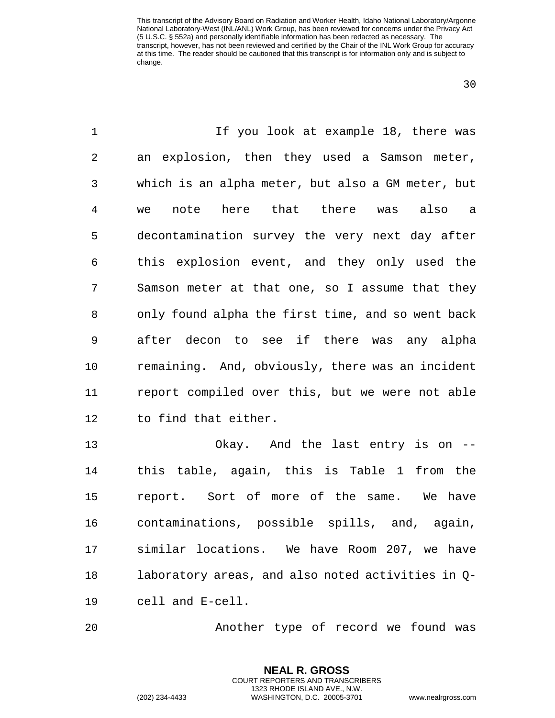| $\mathbf 1$ | If you look at example 18, there was                 |
|-------------|------------------------------------------------------|
| 2           | an explosion, then they used a Samson meter,         |
| 3           | which is an alpha meter, but also a GM meter, but    |
| 4           | here that there was also<br>note<br>we<br>a a        |
| 5           | decontamination survey the very next day after       |
| 6           | this explosion event, and they only used the         |
| 7           | Samson meter at that one, so I assume that they      |
| 8           | only found alpha the first time, and so went back    |
| 9           | after decon to see if there was any alpha            |
| 10          | remaining. And, obviously, there was an incident     |
| 11          | report compiled over this, but we were not able      |
| 12          | to find that either.                                 |
| 13          | Okay. And the last entry is on --                    |
| 14          | this table, again, this is Table 1 from the          |
| 15          | report. Sort of more of the same. We have            |
| 16          | contaminations, possible spills, and, again,         |
| 17          | similar locations. We have Room 207, we have         |
| 18          | laboratory areas, and also noted activities in $Q$ - |
| 19          | cell and E-cell.                                     |
|             |                                                      |

Another type of record we found was

**NEAL R. GROSS** COURT REPORTERS AND TRANSCRIBERS 1323 RHODE ISLAND AVE., N.W.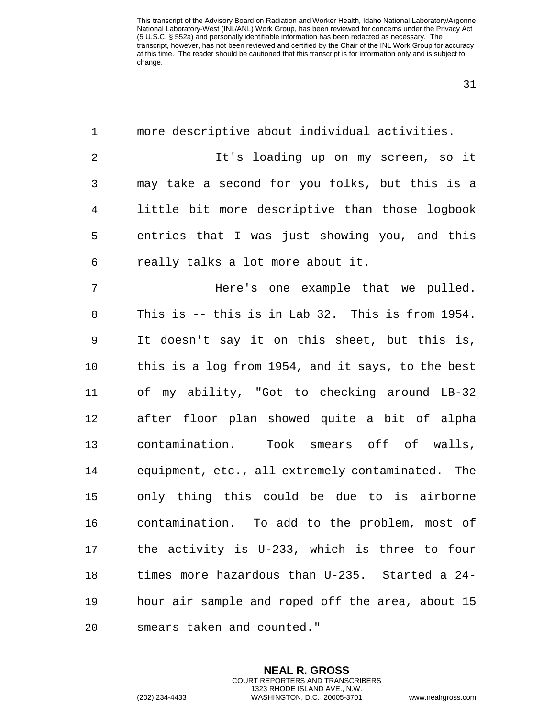| $\mathbf{1}$   | more descriptive about individual activities.     |
|----------------|---------------------------------------------------|
| $\overline{a}$ | It's loading up on my screen, so it               |
| 3              | may take a second for you folks, but this is a    |
| $\overline{4}$ | little bit more descriptive than those logbook    |
| 5              | entries that I was just showing you, and this     |
| 6              | really talks a lot more about it.                 |
| 7              | Here's one example that we pulled.                |
| 8              | This is -- this is in Lab 32. This is from 1954.  |
| 9              | It doesn't say it on this sheet, but this is,     |
| 10             | this is a log from 1954, and it says, to the best |
| 11             | of my ability, "Got to checking around LB-32      |
| 12             | after floor plan showed quite a bit of alpha      |
| 13             | contamination. Took smears off of walls,          |
| 14             | equipment, etc., all extremely contaminated. The  |
| 15             | only thing this could be due to is airborne       |
| 16             | contamination. To add to the problem, most of     |
| 17             | the activity is U-233, which is three to four     |
| 18             | times more hazardous than U-235. Started a 24-    |
| 19             | hour air sample and roped off the area, about 15  |
| 20             | smears taken and counted."                        |

**NEAL R. GROSS** COURT REPORTERS AND TRANSCRIBERS 1323 RHODE ISLAND AVE., N.W.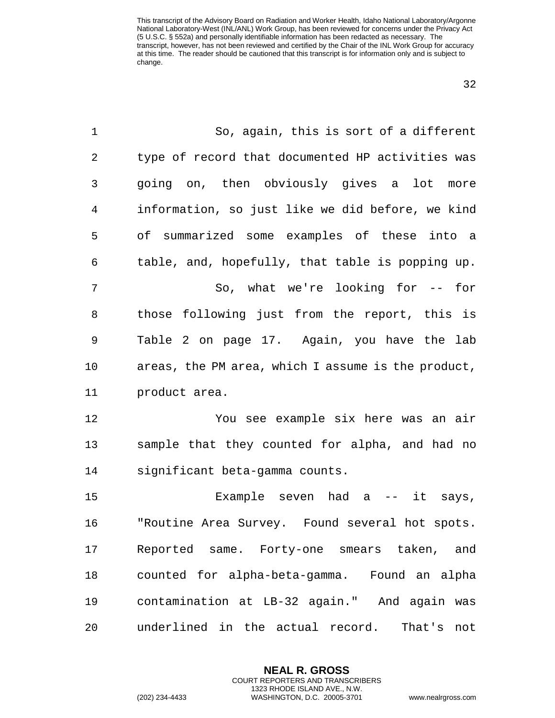| $\mathbf 1$ | So, again, this is sort of a different             |
|-------------|----------------------------------------------------|
| 2           | type of record that documented HP activities was   |
| 3           | going on, then obviously gives a lot more          |
| 4           | information, so just like we did before, we kind   |
| 5           | of summarized some examples of these into a        |
| 6           | table, and, hopefully, that table is popping up.   |
| 7           | So, what we're looking for -- for                  |
| 8           | those following just from the report, this is      |
| 9           | Table 2 on page 17. Again, you have the lab        |
| 10          | areas, the PM area, which I assume is the product, |
| 11          | product area.                                      |
| 12          | You see example six here was an air                |
| 13          | sample that they counted for alpha, and had no     |
| 14          | significant beta-gamma counts.                     |
| 15          | Example seven had $a$ -- it says,                  |
| 16          | "Routine Area Survey. Found several hot spots.     |
| 17          | Reported same. Forty-one smears taken, and         |
| 18          | counted for alpha-beta-gamma. Found an alpha       |
| 19          | contamination at LB-32 again." And again was       |
| 20          | underlined in the actual record. That's not        |

**NEAL R. GROSS** COURT REPORTERS AND TRANSCRIBERS 1323 RHODE ISLAND AVE., N.W.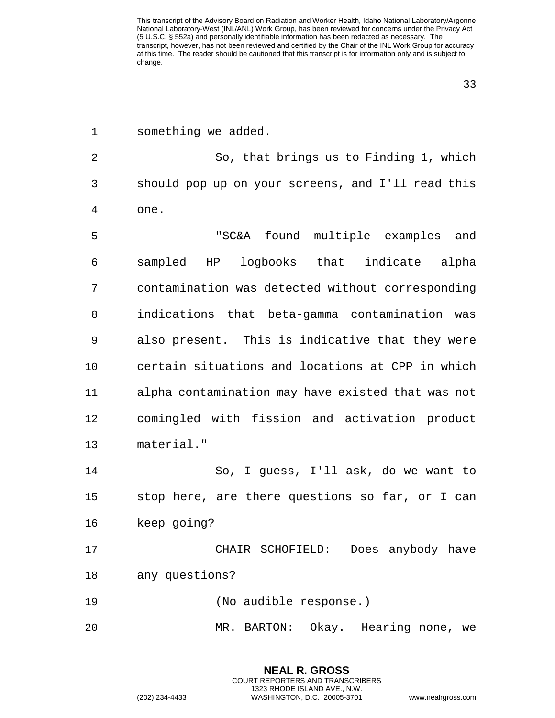| $\mathbf 1$    | something we added.                               |
|----------------|---------------------------------------------------|
| $\overline{2}$ | So, that brings us to Finding 1, which            |
| 3              | should pop up on your screens, and I'll read this |
| 4              | one.                                              |
| 5              | "SC&A found multiple examples and                 |
| 6              | sampled HP logbooks that indicate alpha           |
| 7              | contamination was detected without corresponding  |
| 8              | indications that beta-gamma contamination was     |
| 9              | also present. This is indicative that they were   |
| 10             | certain situations and locations at CPP in which  |
| 11             | alpha contamination may have existed that was not |
| 12             | comingled with fission and activation product     |
| 13             | material."                                        |
| 14             | So, I guess, I'll ask, do we want to              |
| 15             | stop here, are there questions so far, or I can   |
| 16             | keep going?                                       |
| 17             | CHAIR SCHOFIELD: Does anybody have                |
| 18             | any questions?                                    |
| 19             | (No audible response.)                            |
| 20             | MR. BARTON: Okay. Hearing none, we                |

**NEAL R. GROSS** COURT REPORTERS AND TRANSCRIBERS 1323 RHODE ISLAND AVE., N.W.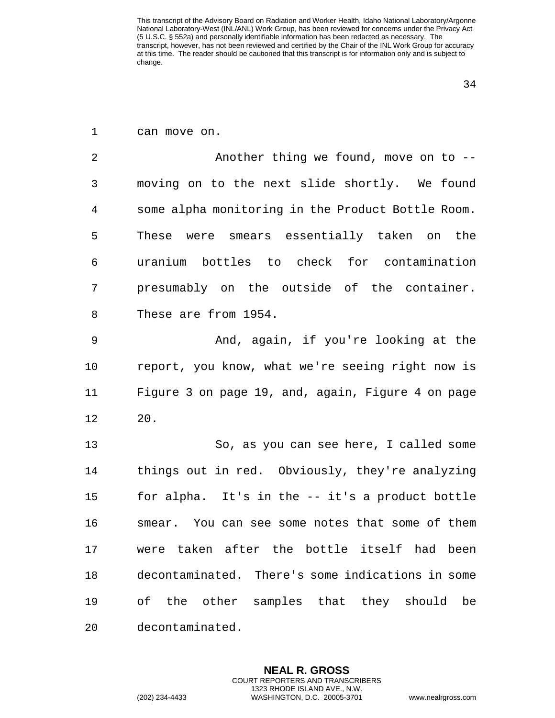|  | can move on. |  |
|--|--------------|--|
|  |              |  |

 Another thing we found, move on to -- moving on to the next slide shortly. We found some alpha monitoring in the Product Bottle Room. These were smears essentially taken on the uranium bottles to check for contamination presumably on the outside of the container. These are from 1954.

 And, again, if you're looking at the report, you know, what we're seeing right now is Figure 3 on page 19, and, again, Figure 4 on page 20.

 So, as you can see here, I called some things out in red. Obviously, they're analyzing for alpha. It's in the -- it's a product bottle smear. You can see some notes that some of them were taken after the bottle itself had been decontaminated. There's some indications in some of the other samples that they should be decontaminated.

> **NEAL R. GROSS** COURT REPORTERS AND TRANSCRIBERS 1323 RHODE ISLAND AVE., N.W.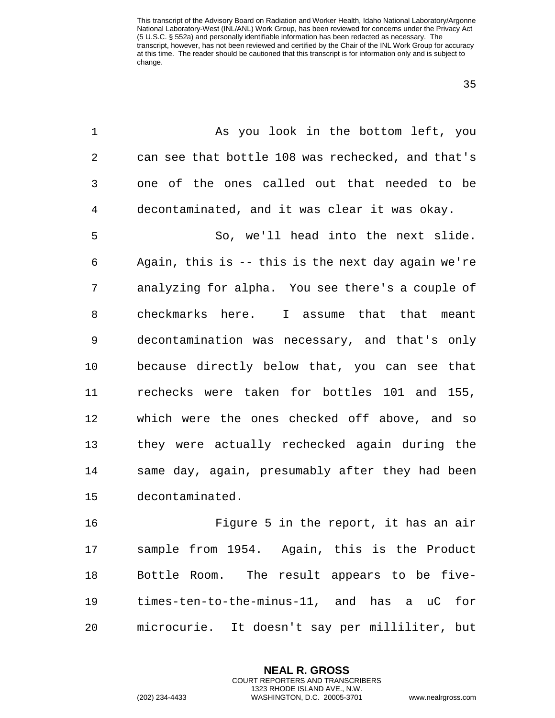| $\mathbf 1$ | As you look in the bottom left, you                |
|-------------|----------------------------------------------------|
| 2           | can see that bottle 108 was rechecked, and that's  |
| 3           | one of the ones called out that needed to be       |
| 4           | decontaminated, and it was clear it was okay.      |
| 5           | So, we'll head into the next slide.                |
| 6           | Again, this is -- this is the next day again we're |
| 7           | analyzing for alpha. You see there's a couple of   |
| 8           | checkmarks here. I assume that that meant          |
| 9           | decontamination was necessary, and that's only     |
| 10          | because directly below that, you can see that      |
| 11          | rechecks were taken for bottles 101 and 155,       |
| 12          | which were the ones checked off above, and so      |
| 13          | they were actually rechecked again during the      |
| 14          | same day, again, presumably after they had been    |
| 15          | decontaminated.                                    |
| 16          | Figure 5 in the report, it has an air              |
| 17          | sample from 1954. Again, this is the Product       |
| 18          | Bottle Room. The result appears to be five-        |
| 19          | times-ten-to-the-minus-11, and has a uC for        |
| 20          | microcurie. It doesn't say per milliliter, but     |

**NEAL R. GROSS** COURT REPORTERS AND TRANSCRIBERS 1323 RHODE ISLAND AVE., N.W.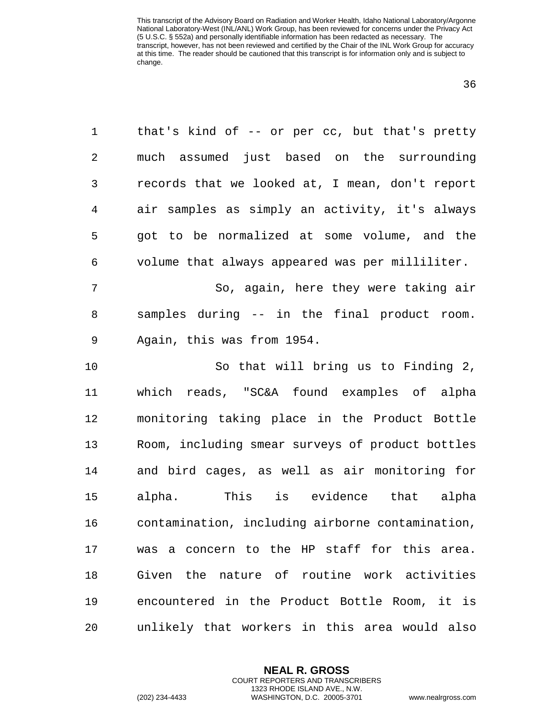that's kind of -- or per cc, but that's pretty much assumed just based on the surrounding records that we looked at, I mean, don't report air samples as simply an activity, it's always got to be normalized at some volume, and the volume that always appeared was per milliliter. So, again, here they were taking air samples during -- in the final product room. Again, this was from 1954. So that will bring us to Finding 2, which reads, "SC&A found examples of alpha monitoring taking place in the Product Bottle Room, including smear surveys of product bottles and bird cages, as well as air monitoring for alpha. This is evidence that alpha contamination, including airborne contamination, was a concern to the HP staff for this area. Given the nature of routine work activities encountered in the Product Bottle Room, it is unlikely that workers in this area would also

> **NEAL R. GROSS** COURT REPORTERS AND TRANSCRIBERS 1323 RHODE ISLAND AVE., N.W.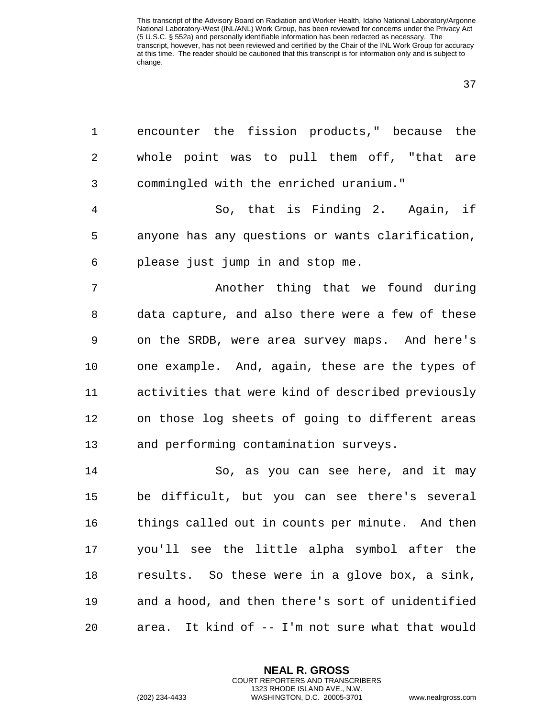| 1              | encounter the fission products," because the      |
|----------------|---------------------------------------------------|
| 2              | whole point was to pull them off, "that are       |
| 3              | commingled with the enriched uranium."            |
| $\overline{4}$ | So, that is Finding 2. Again, if                  |
| 5              | anyone has any questions or wants clarification,  |
| 6              | please just jump in and stop me.                  |
| 7              | Another thing that we found during                |
| 8              | data capture, and also there were a few of these  |
| 9              | on the SRDB, were area survey maps. And here's    |
| 10             | one example. And, again, these are the types of   |
| 11             | activities that were kind of described previously |
| 12             | on those log sheets of going to different areas   |
| 13             | and performing contamination surveys.             |
| 14             | So, as you can see here, and it may               |
| 15             | be difficult, but you can see there's several     |
| 16             | things called out in counts per minute. And then  |
| 17             | you'll see the little alpha symbol after the      |
| 18             | results. So these were in a glove box, a sink,    |
| 19             | and a hood, and then there's sort of unidentified |
| 20             | area. It kind of -- I'm not sure what that would  |

**NEAL R. GROSS** COURT REPORTERS AND TRANSCRIBERS 1323 RHODE ISLAND AVE., N.W.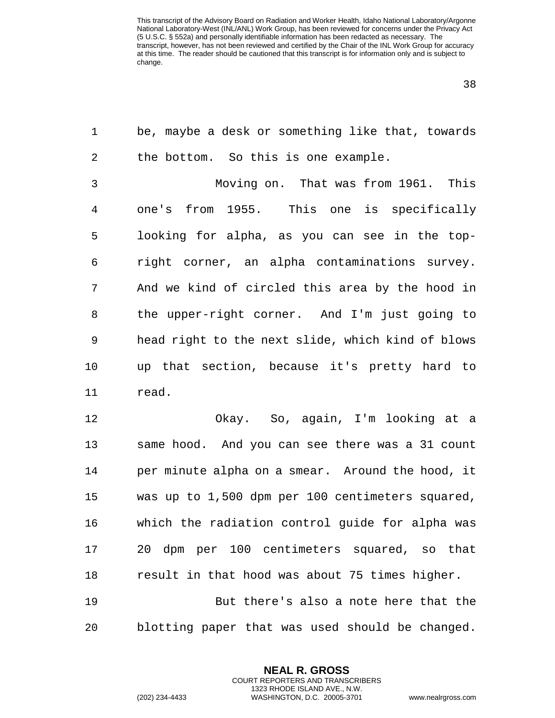| 1              | be, maybe a desk or something like that, towards  |
|----------------|---------------------------------------------------|
| $\overline{2}$ | the bottom. So this is one example.               |
| 3              | Moving on. That was from 1961. This               |
| 4              | one's from 1955. This one is specifically         |
| 5              | looking for alpha, as you can see in the top-     |
| 6              | right corner, an alpha contaminations survey.     |
| 7              | And we kind of circled this area by the hood in   |
| 8              | the upper-right corner. And I'm just going to     |
| 9              | head right to the next slide, which kind of blows |
| 10             | up that section, because it's pretty hard to      |
| 11             | read.                                             |
| 12             | Okay. So, again, I'm looking at a                 |
| 13             | same hood. And you can see there was a 31 count   |
| 14             | per minute alpha on a smear. Around the hood, it  |
| 15             | was up to 1,500 dpm per 100 centimeters squared,  |
| 16             | which the radiation control guide for alpha was   |
| 17             | 20 dpm per 100 centimeters squared, so that       |
| 18             | result in that hood was about 75 times higher.    |
| 19             | But there's also a note here that the             |
| 20             | blotting paper that was used should be changed.   |

**NEAL R. GROSS** COURT REPORTERS AND TRANSCRIBERS 1323 RHODE ISLAND AVE., N.W.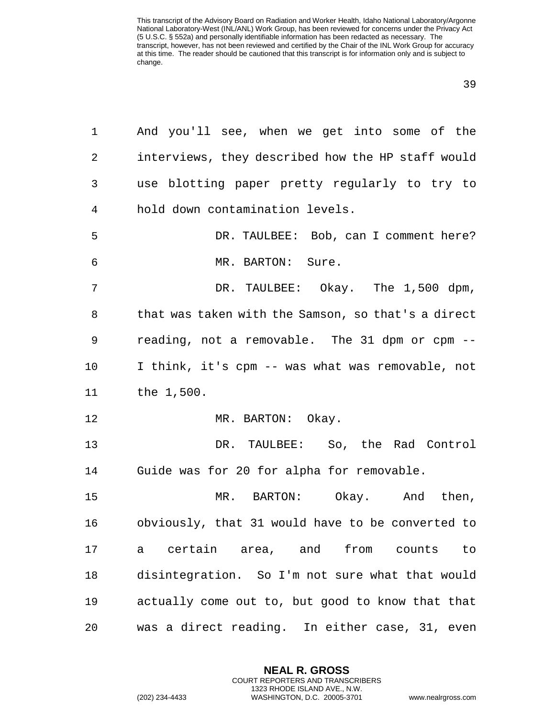| $\mathbf{1}$ | And you'll see, when we get into some of the       |
|--------------|----------------------------------------------------|
| 2            | interviews, they described how the HP staff would  |
| 3            | use blotting paper pretty regularly to try to      |
| 4            | hold down contamination levels.                    |
| 5            | DR. TAULBEE: Bob, can I comment here?              |
| 6            | MR. BARTON: Sure.                                  |
| 7            | DR. TAULBEE: Okay. The 1,500 dpm,                  |
| 8            | that was taken with the Samson, so that's a direct |
| 9            | reading, not a removable. The 31 dpm or cpm --     |
| 10           | I think, it's cpm -- was what was removable, not   |
| 11           | the 1,500.                                         |
| 12           | MR. BARTON: Okay.                                  |
| 13           | DR. TAULBEE: So, the Rad Control                   |
| 14           | Guide was for 20 for alpha for removable.          |
| 15           | MR. BARTON: Okay. And then,                        |
| 16           | obviously, that 31 would have to be converted to   |
| 17           | a certain area, and from counts to                 |
| 18           | disintegration. So I'm not sure what that would    |
| 19           | actually come out to, but good to know that that   |
| 20           |                                                    |
|              | was a direct reading. In either case, 31, even     |

**NEAL R. GROSS** COURT REPORTERS AND TRANSCRIBERS 1323 RHODE ISLAND AVE., N.W.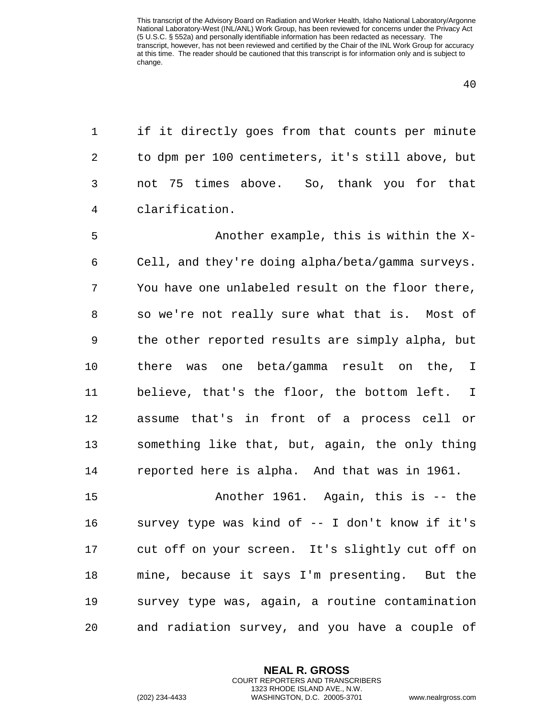if it directly goes from that counts per minute to dpm per 100 centimeters, it's still above, but not 75 times above. So, thank you for that clarification.

 Another example, this is within the X- Cell, and they're doing alpha/beta/gamma surveys. You have one unlabeled result on the floor there, so we're not really sure what that is. Most of the other reported results are simply alpha, but there was one beta/gamma result on the, I believe, that's the floor, the bottom left. I assume that's in front of a process cell or something like that, but, again, the only thing reported here is alpha. And that was in 1961.

 Another 1961. Again, this is -- the survey type was kind of -- I don't know if it's cut off on your screen. It's slightly cut off on mine, because it says I'm presenting. But the survey type was, again, a routine contamination and radiation survey, and you have a couple of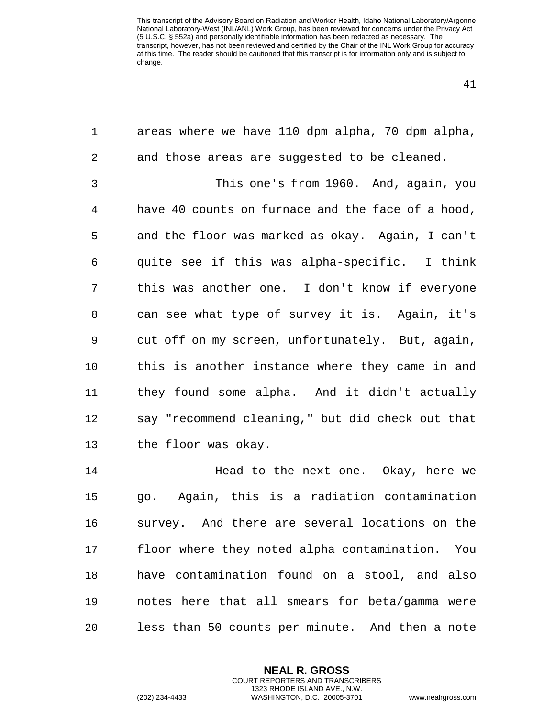| $\mathbf{1}$ | areas where we have 110 dpm alpha, 70 dpm alpha,   |
|--------------|----------------------------------------------------|
| 2            | and those areas are suggested to be cleaned.       |
| 3            | This one's from 1960. And, again, you              |
| 4            | have 40 counts on furnace and the face of a hood,  |
| 5            | and the floor was marked as okay. Again, I can't   |
| 6            | quite see if this was alpha-specific. I think      |
| 7            | this was another one. I don't know if everyone     |
| 8            | can see what type of survey it is. Again, it's     |
| 9            | cut off on my screen, unfortunately. But, again,   |
| 10           | this is another instance where they came in and    |
| 11           | they found some alpha. And it didn't actually      |
| 12           | say "recommend cleaning," but did check out that   |
| 13           | the floor was okay.                                |
| 14           | Head to the next one. Okay, here we                |
| 15           | Again, this is a radiation contamination<br>go.    |
| 16           | survey. And there are several locations on the     |
| 17           | floor where they noted alpha contamination.<br>You |
| 18           | have contamination found on a stool, and also      |
| 19           | notes here that all smears for beta/gamma were     |
| 20           | less than 50 counts per minute. And then a note    |
|              |                                                    |

**NEAL R. GROSS** COURT REPORTERS AND TRANSCRIBERS 1323 RHODE ISLAND AVE., N.W.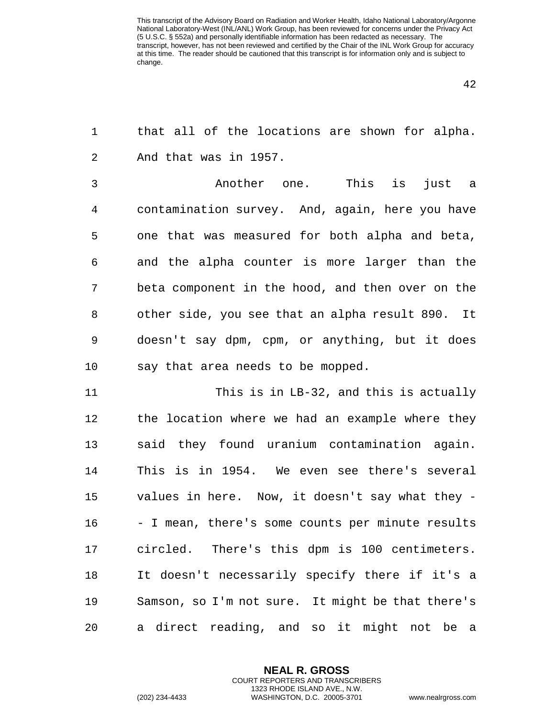| $\mathbf 1$ | that all of the locations are shown for alpha.    |
|-------------|---------------------------------------------------|
| 2           | And that was in 1957.                             |
| 3           | Another one. This is just a                       |
| 4           | contamination survey. And, again, here you have   |
| 5           | one that was measured for both alpha and beta,    |
| 6           | and the alpha counter is more larger than the     |
| 7           | beta component in the hood, and then over on the  |
| 8           | other side, you see that an alpha result 890. It  |
| 9           | doesn't say dpm, cpm, or anything, but it does    |
| 10          | say that area needs to be mopped.                 |
| 11          | This is in LB-32, and this is actually            |
| 12          | the location where we had an example where they   |
| 13          | said they found uranium contamination again.      |
| 14          | This is in 1954. We even see there's several      |
| 15          | values in here. Now, it doesn't say what they -   |
| 16          | - I mean, there's some counts per minute results  |
| 17          | circled. There's this dpm is 100 centimeters.     |
| 18          | It doesn't necessarily specify there if it's a    |
|             |                                                   |
| 19          | Samson, so I'm not sure. It might be that there's |

**NEAL R. GROSS** COURT REPORTERS AND TRANSCRIBERS 1323 RHODE ISLAND AVE., N.W.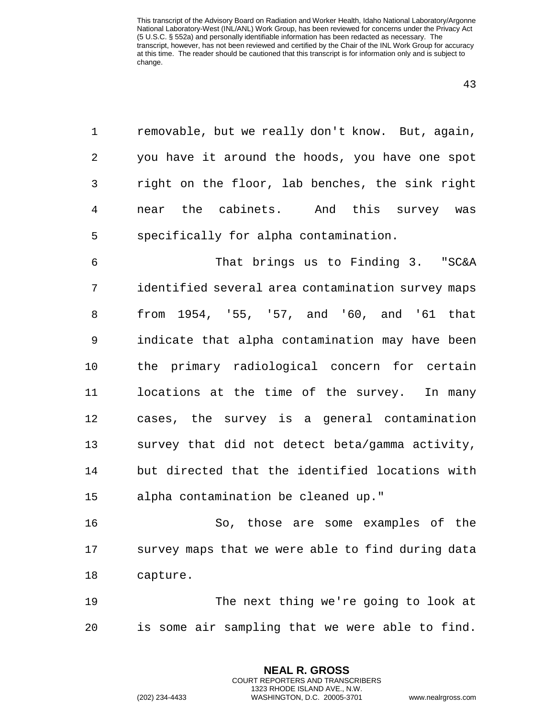removable, but we really don't know. But, again, you have it around the hoods, you have one spot right on the floor, lab benches, the sink right near the cabinets. And this survey was specifically for alpha contamination.

 That brings us to Finding 3. "SC&A identified several area contamination survey maps from 1954, '55, '57, and '60, and '61 that indicate that alpha contamination may have been the primary radiological concern for certain locations at the time of the survey. In many cases, the survey is a general contamination survey that did not detect beta/gamma activity, but directed that the identified locations with alpha contamination be cleaned up."

 So, those are some examples of the survey maps that we were able to find during data capture.

 The next thing we're going to look at is some air sampling that we were able to find.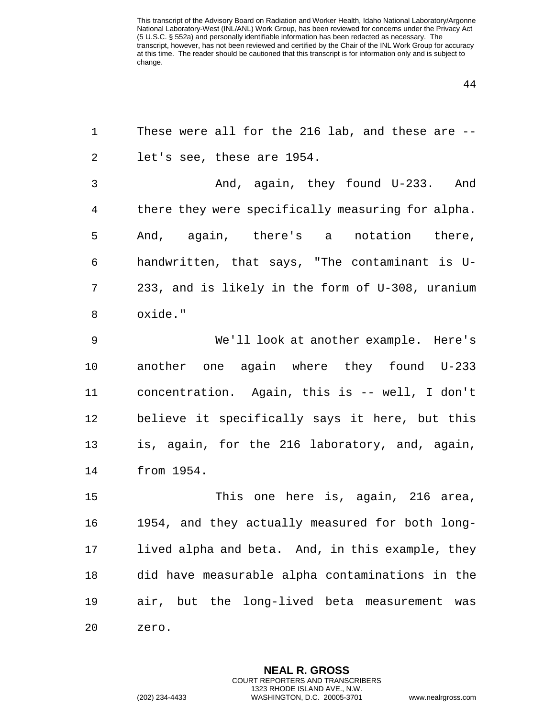| $\mathbf 1$    | These were all for the 216 lab, and these are $-$ |
|----------------|---------------------------------------------------|
| $\overline{2}$ | let's see, these are 1954.                        |
| 3              | And, again, they found U-233. And                 |
| $\overline{4}$ | there they were specifically measuring for alpha. |
| 5              | And, again, there's a notation there,             |
| 6              | handwritten, that says, "The contaminant is U-    |
| 7              | 233, and is likely in the form of U-308, uranium  |
| 8              | oxide."                                           |
| $\overline{9}$ | We'll look at another example. Here's             |
| 10             | another one again where they found U-233          |
| 11             | concentration. Again, this is -- well, I don't    |
| 12             | believe it specifically says it here, but this    |
| 13             | is, again, for the 216 laboratory, and, again,    |
| 14             | from 1954.                                        |
| 15             | This one here is, again, 216 area,                |
| 16             | 1954, and they actually measured for both long-   |
| 17             | lived alpha and beta. And, in this example, they  |
| 18             | did have measurable alpha contaminations in the   |
| 19             | air, but the long-lived beta measurement<br>was   |
| 20             | zero.                                             |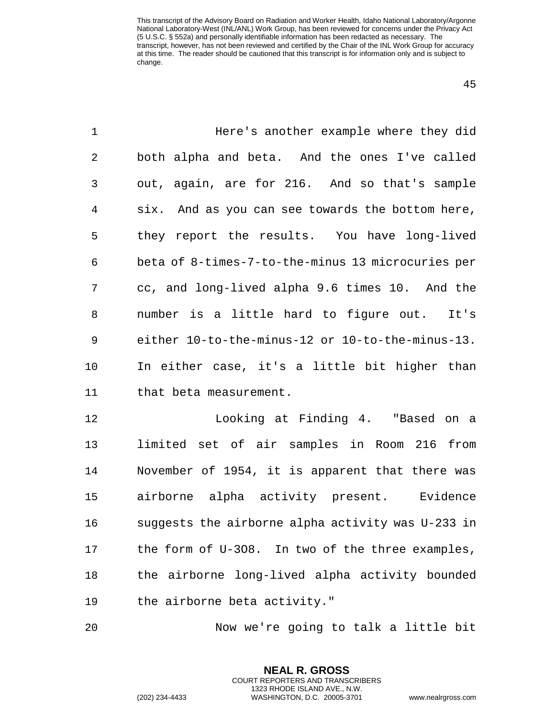Here's another example where they did

| 2              | both alpha and beta. And the ones I've called     |
|----------------|---------------------------------------------------|
| $\mathsf{3}$   | out, again, are for 216. And so that's sample     |
| $\overline{4}$ | six. And as you can see towards the bottom here,  |
| 5              | they report the results. You have long-lived      |
| 6              | beta of 8-times-7-to-the-minus 13 microcuries per |
| 7              | cc, and long-lived alpha 9.6 times 10. And the    |
| 8              | number is a little hard to figure out. It's       |
| 9              | either 10-to-the-minus-12 or 10-to-the-minus-13.  |
| 10             | In either case, it's a little bit higher than     |
| 11             | that beta measurement.                            |
| 12             | Looking at Finding 4. "Based on a                 |
| 13             | limited set of air samples in Room 216 from       |
| 14             | November of 1954, it is apparent that there was   |
| 15             | airborne alpha activity present. Evidence         |
| 16             | suggests the airborne alpha activity was U-233 in |
| 17             | the form of U-308. In two of the three examples,  |
| 18             | the airborne long-lived alpha activity bounded    |
| 19             | the airborne beta activity."                      |

Now we're going to talk a little bit

**NEAL R. GROSS** COURT REPORTERS AND TRANSCRIBERS 1323 RHODE ISLAND AVE., N.W.

(202) 234-4433 WASHINGTON, D.C. 20005-3701 www.nealrgross.com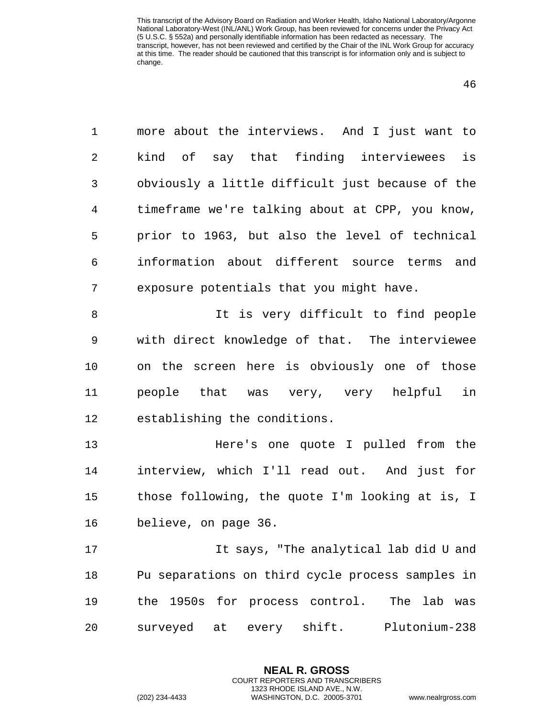more about the interviews. And I just want to kind of say that finding interviewees is obviously a little difficult just because of the timeframe we're talking about at CPP, you know, prior to 1963, but also the level of technical information about different source terms and exposure potentials that you might have. It is very difficult to find people with direct knowledge of that. The interviewee on the screen here is obviously one of those people that was very, very helpful in establishing the conditions. Here's one quote I pulled from the interview, which I'll read out. And just for those following, the quote I'm looking at is, I believe, on page 36. It says, "The analytical lab did U and Pu separations on third cycle process samples in the 1950s for process control. The lab was

surveyed at every shift. Plutonium-238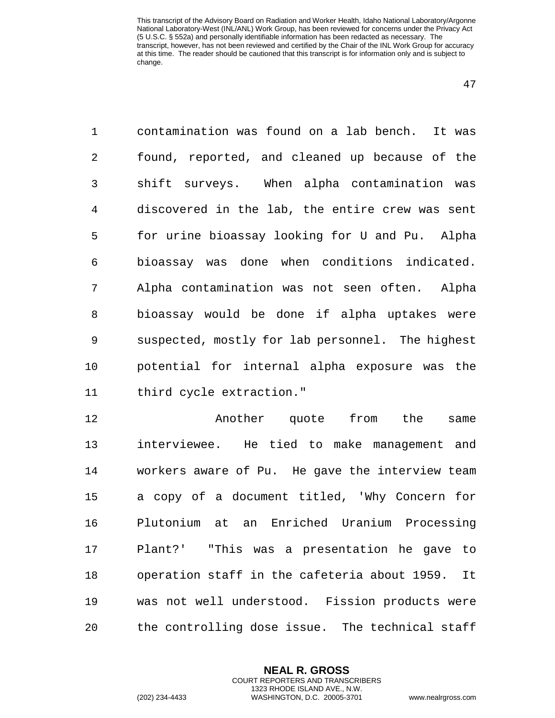1 contamination was found on a lab bench. It was 2 found, reported, and cleaned up because of the 3 shift surveys. When alpha contamination was 4 discovered in the lab, the entire crew was sent 5 for urine bioassay looking for U and Pu. Alpha 6 bioassay was done when conditions indicated. 7 Alpha contamination was not seen often. Alpha 8 bioassay would be done if alpha uptakes were 9 suspected, mostly for lab personnel. The highest 10 potential for internal alpha exposure was the 11 third cycle extraction."

12 Another quote from the same 13 interviewee. He tied to make management and 14 workers aware of Pu. He gave the interview team 15 a copy of a document titled, 'Why Concern for 16 Plutonium at an Enriched Uranium Processing 17 Plant?' "This was a presentation he gave to 18 operation staff in the cafeteria about 1959. It 19 was not well understood. Fission products were 20 the controlling dose issue. The technical staff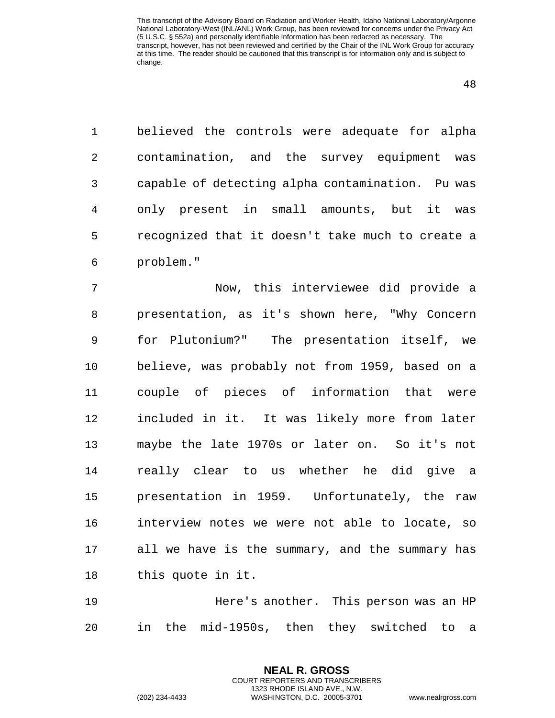believed the controls were adequate for alpha contamination, and the survey equipment was capable of detecting alpha contamination. Pu was only present in small amounts, but it was recognized that it doesn't take much to create a problem."

 Now, this interviewee did provide a presentation, as it's shown here, "Why Concern for Plutonium?" The presentation itself, we believe, was probably not from 1959, based on a couple of pieces of information that were included in it. It was likely more from later maybe the late 1970s or later on. So it's not really clear to us whether he did give a presentation in 1959. Unfortunately, the raw interview notes we were not able to locate, so all we have is the summary, and the summary has this quote in it.

 Here's another. This person was an HP in the mid-1950s, then they switched to a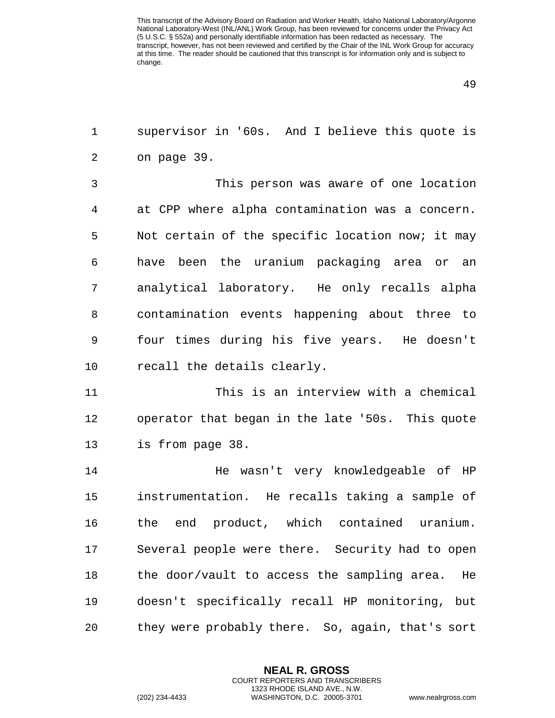| $\mathbf 1$ | supervisor in '60s. And I believe this quote is   |
|-------------|---------------------------------------------------|
| $\sqrt{2}$  | on page 39.                                       |
| 3           | This person was aware of one location             |
| 4           | at CPP where alpha contamination was a concern.   |
| 5           | Not certain of the specific location now; it may  |
| 6           | have been the uranium packaging area or an        |
| 7           | analytical laboratory. He only recalls alpha      |
| 8           | contamination events happening about three to     |
| 9           | four times during his five years. He doesn't      |
| 10          | recall the details clearly.                       |
| 11          | This is an interview with a chemical              |
| 12          | operator that began in the late '50s. This quote  |
| 13          | is from page 38.                                  |
| 14          | He wasn't very knowledgeable of HP                |
| 15          | instrumentation. He recalls taking a sample of    |
| 16          | the end product, which contained uranium.         |
| 17          | Several people were there. Security had to open   |
| 18          | the door/vault to access the sampling area.<br>He |
| 19          | doesn't specifically recall HP monitoring,<br>but |
| 20          | they were probably there. So, again, that's sort  |
|             |                                                   |

**NEAL R. GROSS** COURT REPORTERS AND TRANSCRIBERS 1323 RHODE ISLAND AVE., N.W.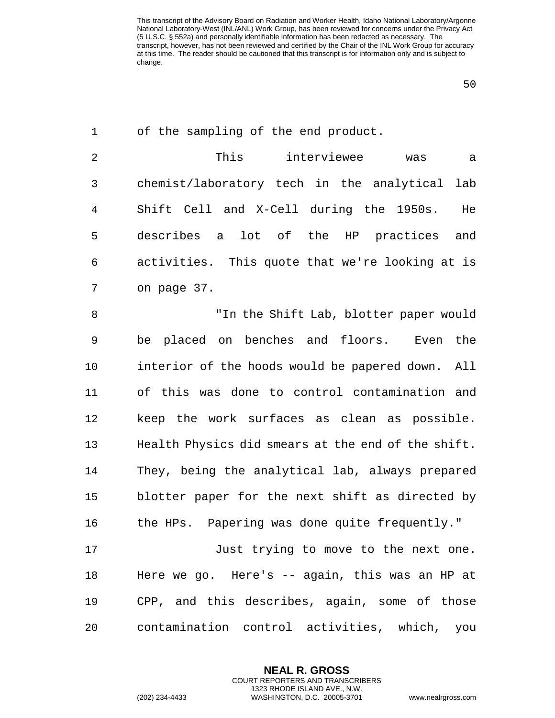| 1      | of the sampling of the end product.                 |
|--------|-----------------------------------------------------|
| 2      | interviewee<br>This<br>$\mathsf a$<br>was           |
| 3      | chemist/laboratory tech in the analytical<br>lab    |
| 4      | Shift Cell and X-Cell during the 1950s.<br>He       |
| 5      | describes a lot of the HP practices<br>and          |
| 6      | activities. This quote that we're looking at is     |
| 7      | on page 37.                                         |
| 8      | "In the Shift Lab, blotter paper would              |
| 9      | be placed on benches and floors. Even<br>the        |
| 10     | interior of the hoods would be papered down.<br>All |
| 11     | of this was done to control contamination and       |
| 12     | keep the work surfaces as clean as possible.        |
| 13     | Health Physics did smears at the end of the shift.  |
| 14     | They, being the analytical lab, always prepared     |
| 15     | blotter paper for the next shift as directed by     |
| 16     | the HPs. Papering was done quite frequently."       |
| 17     | Just trying to move to the next one.                |
| $18\,$ | Here we go. Here's -- again, this was an HP at      |
| 19     | CPP, and this describes, again, some of those       |
| 20     | contamination control activities, which, you        |

**NEAL R. GROSS** COURT REPORTERS AND TRANSCRIBERS 1323 RHODE ISLAND AVE., N.W.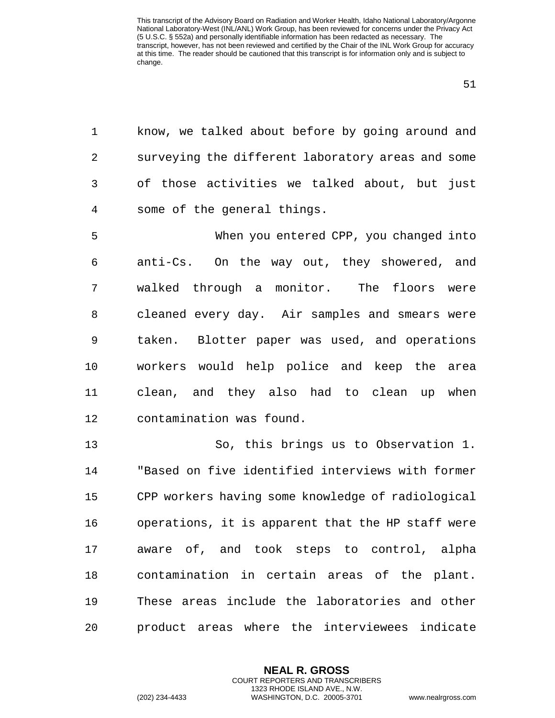know, we talked about before by going around and surveying the different laboratory areas and some of those activities we talked about, but just some of the general things.

 When you entered CPP, you changed into anti-Cs. On the way out, they showered, and walked through a monitor. The floors were cleaned every day. Air samples and smears were taken. Blotter paper was used, and operations workers would help police and keep the area clean, and they also had to clean up when contamination was found.

 So, this brings us to Observation 1. "Based on five identified interviews with former CPP workers having some knowledge of radiological operations, it is apparent that the HP staff were aware of, and took steps to control, alpha contamination in certain areas of the plant. These areas include the laboratories and other product areas where the interviewees indicate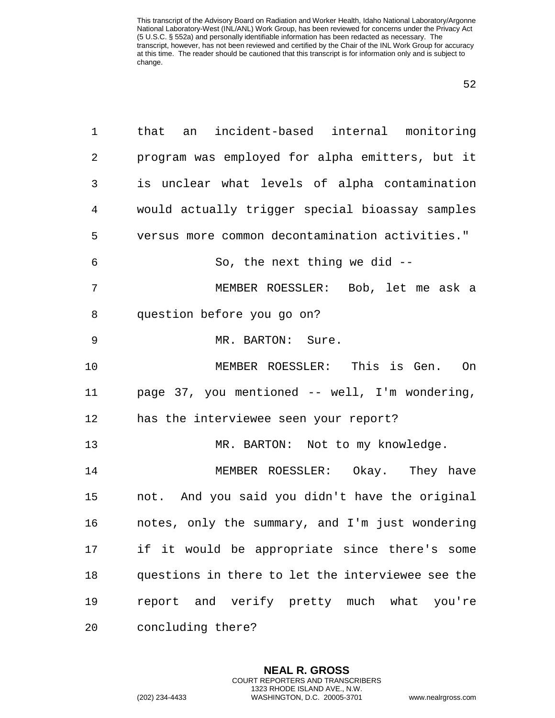| 1              | that an incident-based internal monitoring        |
|----------------|---------------------------------------------------|
| $\overline{2}$ | program was employed for alpha emitters, but it   |
| 3              | is unclear what levels of alpha contamination     |
| 4              | would actually trigger special bioassay samples   |
| 5              | versus more common decontamination activities."   |
| 6              | So, the next thing we did --                      |
| 7              | MEMBER ROESSLER: Bob, let me ask a                |
| 8              | question before you go on?                        |
| 9              | MR. BARTON: Sure.                                 |
| 10             | MEMBER ROESSLER: This is Gen.<br>On               |
| 11             | page 37, you mentioned -- well, I'm wondering,    |
| 12             | has the interviewee seen your report?             |
| 13             | MR. BARTON: Not to my knowledge.                  |
| 14             | MEMBER ROESSLER: Okay. They have                  |
| 15             | not. And you said you didn't have the original    |
| 16             | notes, only the summary, and I'm just wondering   |
| 17             | if it would be appropriate since there's some     |
| 18             | questions in there to let the interviewee see the |
| 19             | report and verify pretty much what you're         |
| 20             | concluding there?                                 |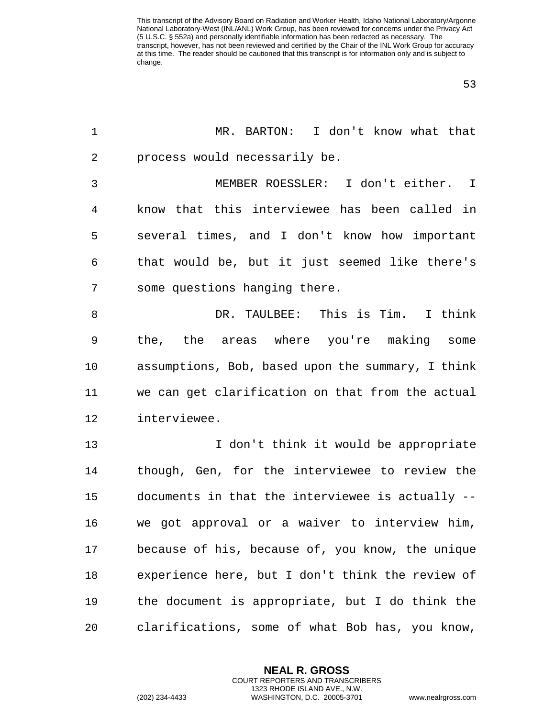| $\mathbf 1$ | MR. BARTON: I don't know what that                |
|-------------|---------------------------------------------------|
| 2           | process would necessarily be.                     |
| 3           | MEMBER ROESSLER: I don't either. I                |
| 4           | know that this interviewee has been called in     |
| 5           | several times, and I don't know how important     |
| 6           | that would be, but it just seemed like there's    |
| 7           | some questions hanging there.                     |
| 8           | DR. TAULBEE: This is Tim. I think                 |
| 9           | the, the areas where you're making some           |
| 10          | assumptions, Bob, based upon the summary, I think |
| 11          | we can get clarification on that from the actual  |
| 12          | interviewee.                                      |
| 13          | I don't think it would be appropriate             |
| 14          | though, Gen, for the interviewee to review the    |
| 15          | documents in that the interviewee is actually --  |
| 16          | we got approval or a waiver to interview him,     |
| 17          | because of his, because of, you know, the unique  |
| 18          | experience here, but I don't think the review of  |
| 19          | the document is appropriate, but I do think the   |
| 20          | clarifications, some of what Bob has, you know,   |

**NEAL R. GROSS** COURT REPORTERS AND TRANSCRIBERS 1323 RHODE ISLAND AVE., N.W.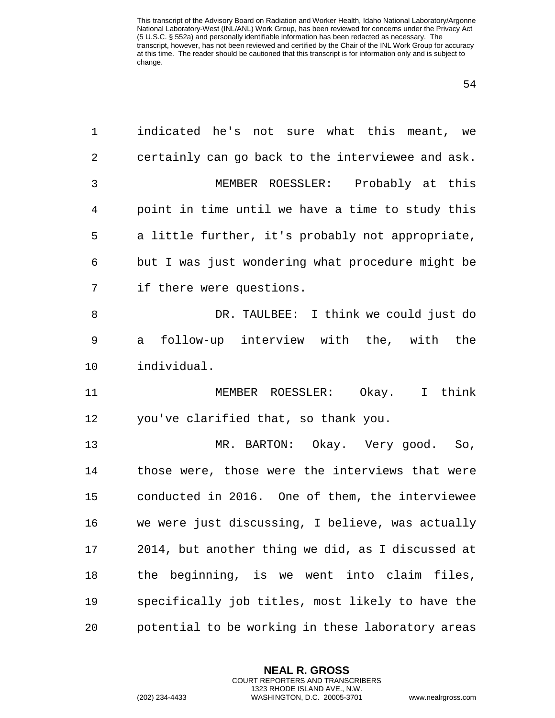| $\mathbf 1$ | indicated he's not sure what this meant, we       |
|-------------|---------------------------------------------------|
| $\sqrt{2}$  | certainly can go back to the interviewee and ask. |
| 3           | MEMBER ROESSLER: Probably at this                 |
| 4           | point in time until we have a time to study this  |
| 5           | a little further, it's probably not appropriate,  |
| 6           | but I was just wondering what procedure might be  |
| 7           | if there were questions.                          |
| 8           | DR. TAULBEE: I think we could just do             |
| 9           | follow-up interview with the, with the<br>a       |
| 10          | individual.                                       |
| 11          | MEMBER ROESSLER: Okay. I think                    |
| 12          | you've clarified that, so thank you.              |
| 13          | MR. BARTON: Okay. Very good. So,                  |
| 14          | those were, those were the interviews that were   |
| 15          | conducted in 2016. One of them, the interviewee   |
| 16          | we were just discussing, I believe, was actually  |
| 17          | 2014, but another thing we did, as I discussed at |
| 18          | the beginning, is we went into claim files,       |
|             |                                                   |
| 19          | specifically job titles, most likely to have the  |

**NEAL R. GROSS** COURT REPORTERS AND TRANSCRIBERS 1323 RHODE ISLAND AVE., N.W.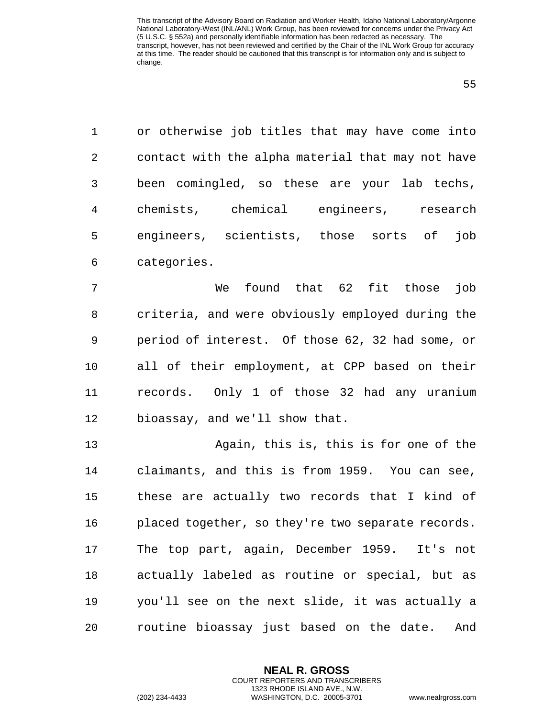or otherwise job titles that may have come into contact with the alpha material that may not have been comingled, so these are your lab techs, chemists, chemical engineers, research engineers, scientists, those sorts of job categories.

 We found that 62 fit those job criteria, and were obviously employed during the period of interest. Of those 62, 32 had some, or all of their employment, at CPP based on their records. Only 1 of those 32 had any uranium bioassay, and we'll show that.

 Again, this is, this is for one of the claimants, and this is from 1959. You can see, these are actually two records that I kind of placed together, so they're two separate records. The top part, again, December 1959. It's not actually labeled as routine or special, but as you'll see on the next slide, it was actually a routine bioassay just based on the date. And

> **NEAL R. GROSS** COURT REPORTERS AND TRANSCRIBERS 1323 RHODE ISLAND AVE., N.W.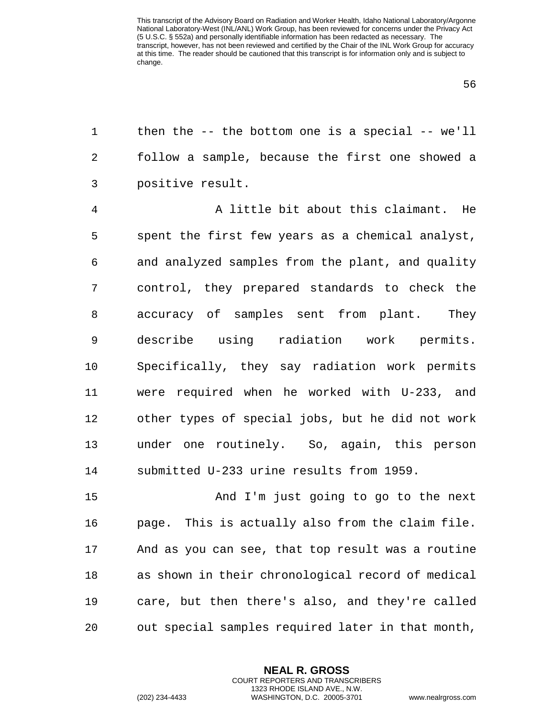then the -- the bottom one is a special -- we'll follow a sample, because the first one showed a positive result.

 A little bit about this claimant. He spent the first few years as a chemical analyst, and analyzed samples from the plant, and quality control, they prepared standards to check the accuracy of samples sent from plant. They describe using radiation work permits. Specifically, they say radiation work permits were required when he worked with U-233, and other types of special jobs, but he did not work under one routinely. So, again, this person submitted U-233 urine results from 1959.

 And I'm just going to go to the next page. This is actually also from the claim file. And as you can see, that top result was a routine as shown in their chronological record of medical care, but then there's also, and they're called out special samples required later in that month,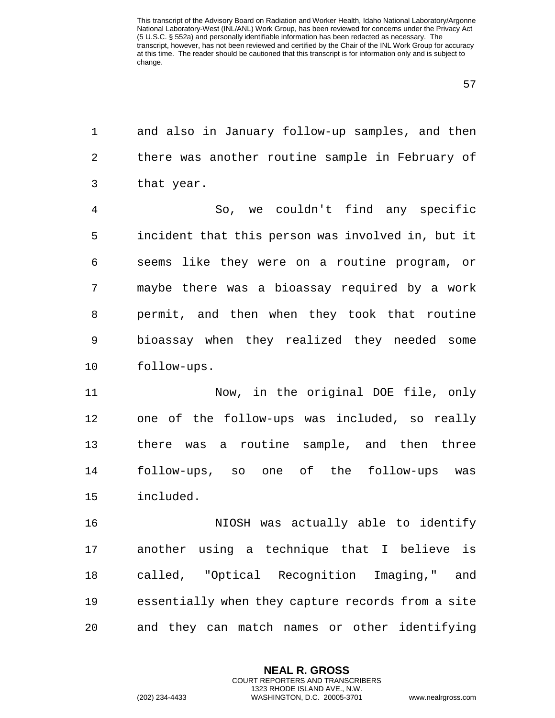and also in January follow-up samples, and then there was another routine sample in February of that year. So, we couldn't find any specific incident that this person was involved in, but it seems like they were on a routine program, or maybe there was a bioassay required by a work permit, and then when they took that routine bioassay when they realized they needed some follow-ups.

 Now, in the original DOE file, only one of the follow-ups was included, so really there was a routine sample, and then three follow-ups, so one of the follow-ups was included.

 NIOSH was actually able to identify another using a technique that I believe is called, "Optical Recognition Imaging," and essentially when they capture records from a site and they can match names or other identifying

> **NEAL R. GROSS** COURT REPORTERS AND TRANSCRIBERS 1323 RHODE ISLAND AVE., N.W.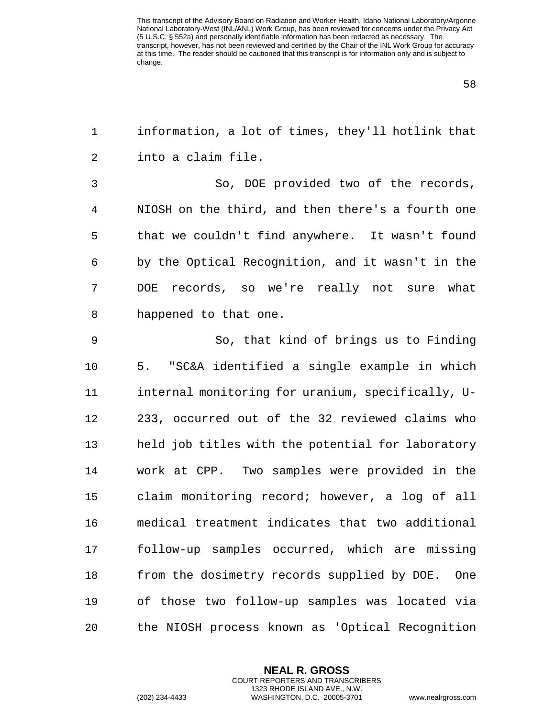| $\mathbf{1}$   | information, a lot of times, they'll hotlink that  |
|----------------|----------------------------------------------------|
| 2              | into a claim file.                                 |
| 3              | So, DOE provided two of the records,               |
| $\overline{4}$ | NIOSH on the third, and then there's a fourth one  |
| 5              | that we couldn't find anywhere. It wasn't found    |
| 6              | by the Optical Recognition, and it wasn't in the   |
| 7              | DOE<br>records, so we're really not sure what      |
| 8              | happened to that one.                              |
| $\mathsf 9$    | So, that kind of brings us to Finding              |
| 10             | "SC&A identified a single example in which<br>5.   |
| 11             | internal monitoring for uranium, specifically, U-  |
| 12             | 233, occurred out of the 32 reviewed claims who    |
| 13             | held job titles with the potential for laboratory  |
| 14             | work at CPP. Two samples were provided in the      |
| 15             | claim monitoring record; however, a log of all     |
| 16             | medical treatment indicates that two additional    |
| 17             | follow-up samples occurred, which are missing      |
| 18             | from the dosimetry records supplied by DOE.<br>One |
| 19             | of those two follow-up samples was located via     |
| 20             | the NIOSH process known as 'Optical Recognition    |

COURT REPORTERS AND TRANSCRIBERS 1323 RHODE ISLAND AVE., N.W. (202) 234-4433 WASHINGTON, D.C. 20005-3701 www.nealrgross.com

**NEAL R. GROSS**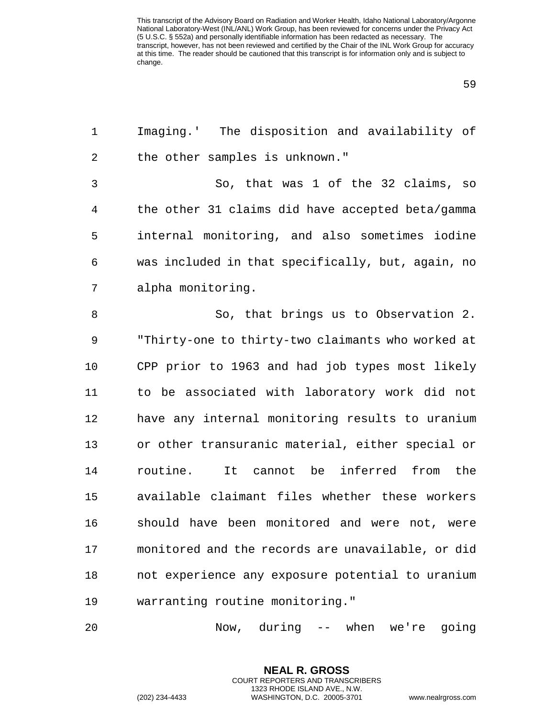| 1              | Imaging.' The disposition and availability of     |
|----------------|---------------------------------------------------|
| $\overline{2}$ | the other samples is unknown."                    |
| 3              | So, that was 1 of the 32 claims, so               |
| 4              | the other 31 claims did have accepted beta/gamma  |
| 5              | internal monitoring, and also sometimes iodine    |
| 6              | was included in that specifically, but, again, no |
| 7              | alpha monitoring.                                 |
| 8              | So, that brings us to Observation 2.              |
| 9              | "Thirty-one to thirty-two claimants who worked at |
| 10             | CPP prior to 1963 and had job types most likely   |
| 11             | to be associated with laboratory work did not     |
| 12             | have any internal monitoring results to uranium   |
| 13             | or other transuranic material, either special or  |
| 14             | routine.<br>It cannot be inferred from the        |
| 15             | available claimant files whether these workers    |
| 16             | should have been monitored and were not, were     |
| 17             | monitored and the records are unavailable, or did |
| 18             | not experience any exposure potential to uranium  |
| 19             | warranting routine monitoring."                   |
|                |                                                   |

Now, during -- when we're going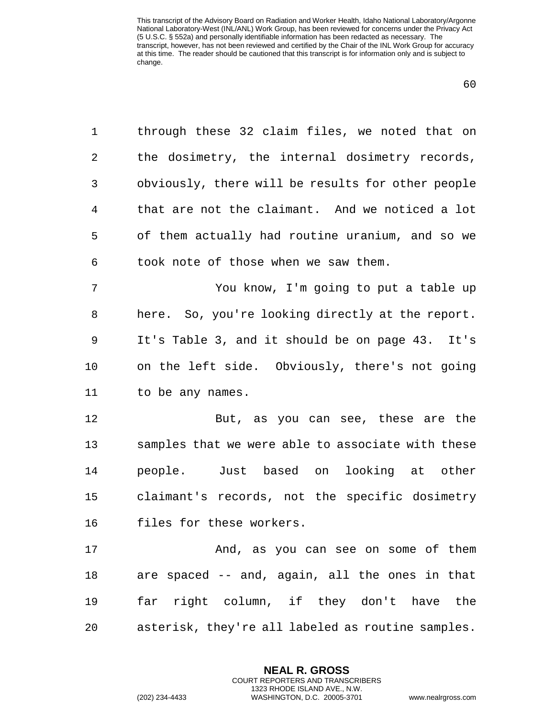| 1              | through these 32 claim files, we noted that on    |
|----------------|---------------------------------------------------|
| $\overline{a}$ | the dosimetry, the internal dosimetry records,    |
| 3              | obviously, there will be results for other people |
| 4              | that are not the claimant. And we noticed a lot   |
| 5              | of them actually had routine uranium, and so we   |
| 6              | took note of those when we saw them.              |
| 7              | You know, I'm going to put a table up             |
| 8              | here. So, you're looking directly at the report.  |
| 9              | It's Table 3, and it should be on page 43. It's   |
| 10             | on the left side. Obviously, there's not going    |
| 11             | to be any names.                                  |
| 12             | But, as you can see, these are the                |
| 13             | samples that we were able to associate with these |
| 14             | people. Just based on looking at other            |
| 15             | claimant's records, not the specific dosimetry    |
| 16             | files for these workers.                          |
| 17             | And, as you can see on some of them               |
| 18             | are spaced -- and, again, all the ones in that    |
| 19             | far right column, if they don't have the          |
| 20             | asterisk, they're all labeled as routine samples. |

**NEAL R. GROSS** COURT REPORTERS AND TRANSCRIBERS 1323 RHODE ISLAND AVE., N.W.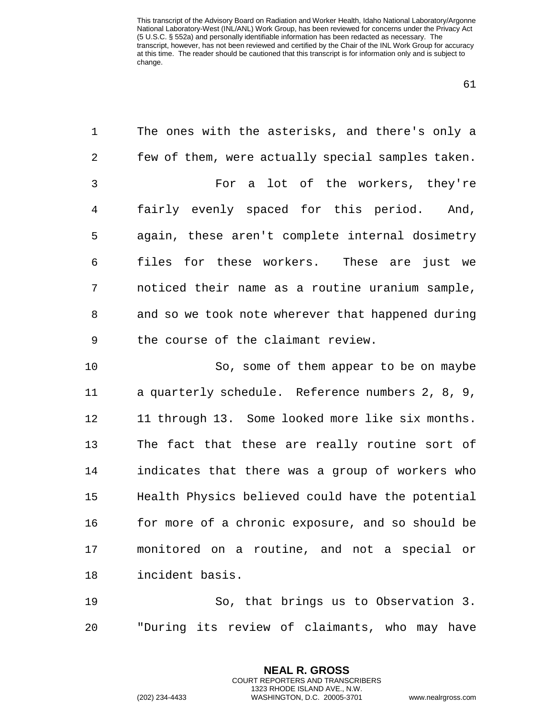| $\mathbf 1$    | The ones with the asterisks, and there's only a   |
|----------------|---------------------------------------------------|
| $\overline{2}$ | few of them, were actually special samples taken. |
| 3              | For a lot of the workers, they're                 |
| 4              | fairly evenly spaced for this period.<br>And,     |
| 5              | again, these aren't complete internal dosimetry   |
| 6              | files for these workers. These are just we        |
| 7              | noticed their name as a routine uranium sample,   |
| 8              | and so we took note wherever that happened during |
| 9              | the course of the claimant review.                |
| 10             | So, some of them appear to be on maybe            |
| 11             | a quarterly schedule. Reference numbers 2, 8, 9,  |
| 12             | 11 through 13. Some looked more like six months.  |
| 13             | The fact that these are really routine sort of    |
| 14             | indicates that there was a group of workers who   |
| 15             | Health Physics believed could have the potential  |
| 16             | for more of a chronic exposure, and so should be  |
| 17             | monitored on a routine, and not a special or      |
| 18             | incident basis.                                   |
| 19             | So, that brings us to Observation 3.              |
|                |                                                   |

"During its review of claimants, who may have

**NEAL R. GROSS** COURT REPORTERS AND TRANSCRIBERS 1323 RHODE ISLAND AVE., N.W.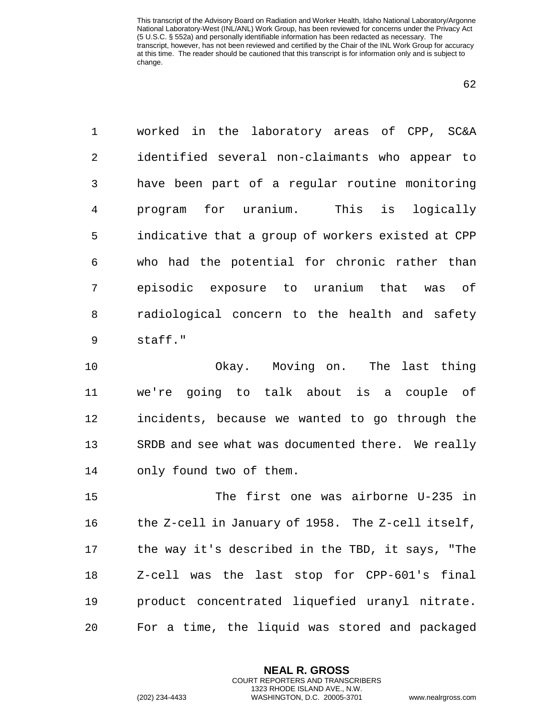worked in the laboratory areas of CPP, SC&A identified several non-claimants who appear to have been part of a regular routine monitoring program for uranium. This is logically indicative that a group of workers existed at CPP who had the potential for chronic rather than episodic exposure to uranium that was of radiological concern to the health and safety staff."

 Okay. Moving on. The last thing we're going to talk about is a couple of incidents, because we wanted to go through the SRDB and see what was documented there. We really only found two of them.

 The first one was airborne U-235 in the Z-cell in January of 1958. The Z-cell itself, the way it's described in the TBD, it says, "The Z-cell was the last stop for CPP-601's final product concentrated liquefied uranyl nitrate. For a time, the liquid was stored and packaged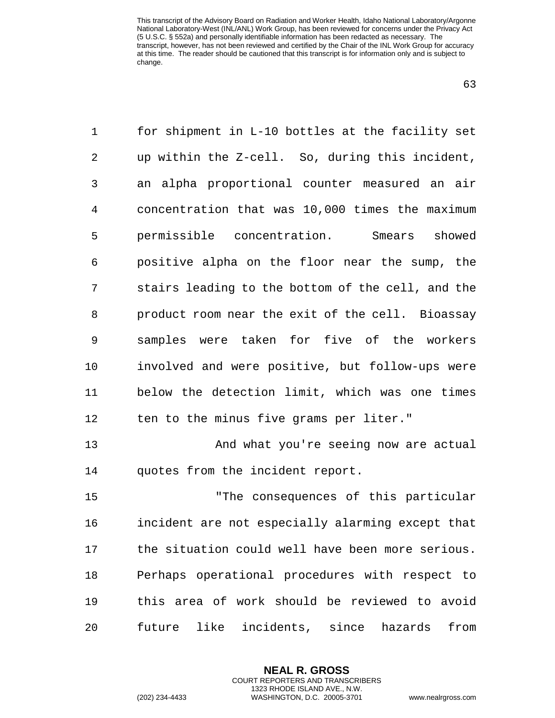for shipment in L-10 bottles at the facility set up within the Z-cell. So, during this incident, an alpha proportional counter measured an air concentration that was 10,000 times the maximum permissible concentration. Smears showed positive alpha on the floor near the sump, the stairs leading to the bottom of the cell, and the product room near the exit of the cell. Bioassay samples were taken for five of the workers involved and were positive, but follow-ups were below the detection limit, which was one times 12 ten to the minus five grams per liter." And what you're seeing now are actual quotes from the incident report. "The consequences of this particular incident are not especially alarming except that the situation could well have been more serious. Perhaps operational procedures with respect to this area of work should be reviewed to avoid future like incidents, since hazards from

> **NEAL R. GROSS** COURT REPORTERS AND TRANSCRIBERS 1323 RHODE ISLAND AVE., N.W.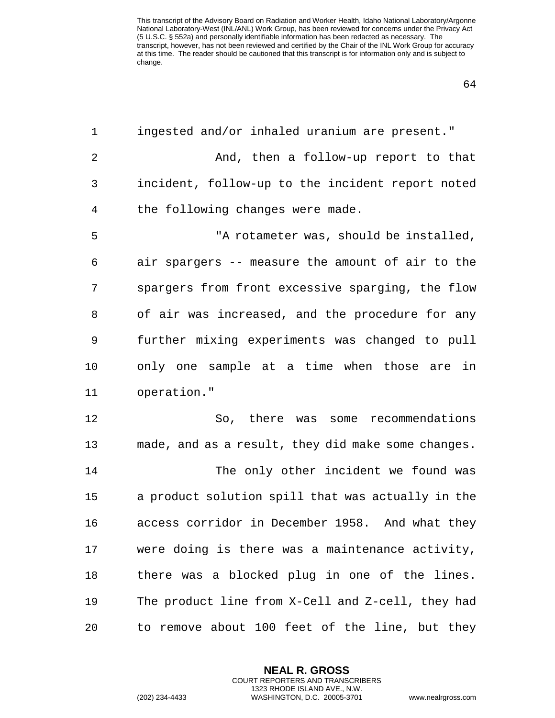| 1  | ingested and/or inhaled uranium are present."      |
|----|----------------------------------------------------|
| 2  | And, then a follow-up report to that               |
| 3  | incident, follow-up to the incident report noted   |
| 4  | the following changes were made.                   |
| 5  | "A rotameter was, should be installed,             |
| 6  | air spargers -- measure the amount of air to the   |
| 7  | spargers from front excessive sparging, the flow   |
| 8  | of air was increased, and the procedure for any    |
| 9  | further mixing experiments was changed to pull     |
| 10 | only one sample at a time when those are in        |
| 11 | operation."                                        |
| 12 | So, there was some recommendations                 |
| 13 | made, and as a result, they did make some changes. |
| 14 | The only other incident we found was               |
| 15 | a product solution spill that was actually in the  |
| 16 | access corridor in December 1958. And what they    |
| 17 | were doing is there was a maintenance activity,    |
| 18 | there was a blocked plug in one of the lines.      |
| 19 | The product line from X-Cell and Z-cell, they had  |
| 20 | to remove about 100 feet of the line, but they     |

**NEAL R. GROSS** COURT REPORTERS AND TRANSCRIBERS 1323 RHODE ISLAND AVE., N.W.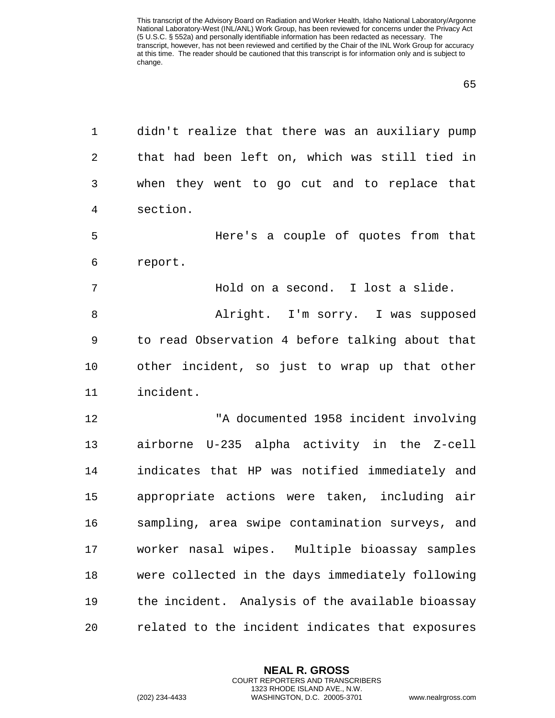| $\mathbf 1$    | didn't realize that there was an auxiliary pump  |
|----------------|--------------------------------------------------|
| $\overline{2}$ | that had been left on, which was still tied in   |
| 3              | when they went to go cut and to replace that     |
| $\overline{4}$ | section.                                         |
| 5              | Here's a couple of quotes from that              |
| 6              | report.                                          |
| $\overline{7}$ | Hold on a second. I lost a slide.                |
| 8              | Alright. I'm sorry. I was supposed               |
| 9              | to read Observation 4 before talking about that  |
| 10             | other incident, so just to wrap up that other    |
| 11             | incident.                                        |
| 12             | "A documented 1958 incident involving            |
| 13             | airborne U-235 alpha activity in the Z-cell      |
| 14             | indicates that HP was notified immediately and   |
| 15             | appropriate actions were taken, including air    |
| 16             | sampling, area swipe contamination surveys, and  |
| 17             | worker nasal wipes. Multiple bioassay samples    |
| 18             | were collected in the days immediately following |
| 19             | the incident. Analysis of the available bioassay |
| 20             | related to the incident indicates that exposures |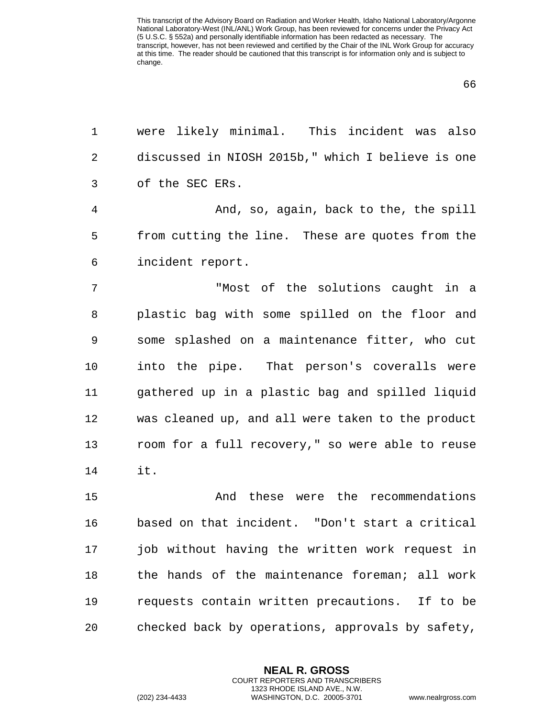| $\mathbf 1$    | were likely minimal. This incident was also       |
|----------------|---------------------------------------------------|
| 2              | discussed in NIOSH 2015b," which I believe is one |
| 3              | of the SEC ERs.                                   |
| $\overline{4}$ | And, so, again, back to the, the spill            |
| 5              | from cutting the line. These are quotes from the  |
| 6              | incident report.                                  |
| 7              | "Most of the solutions caught in a                |
| 8              | plastic bag with some spilled on the floor and    |
| 9              | some splashed on a maintenance fitter, who cut    |
| 10             | into the pipe. That person's coveralls were       |
| 11             | gathered up in a plastic bag and spilled liquid   |
| 12             | was cleaned up, and all were taken to the product |
| 13             | room for a full recovery," so were able to reuse  |
| 14             | it.                                               |
| 15             | And these were the recommendations                |
| 16             | based on that incident. "Don't start a critical   |
| 17             | job without having the written work request in    |
| 18             | the hands of the maintenance foreman; all work    |
| 19             | requests contain written precautions. If to be    |

checked back by operations, approvals by safety,

**NEAL R. GROSS** COURT REPORTERS AND TRANSCRIBERS 1323 RHODE ISLAND AVE., N.W.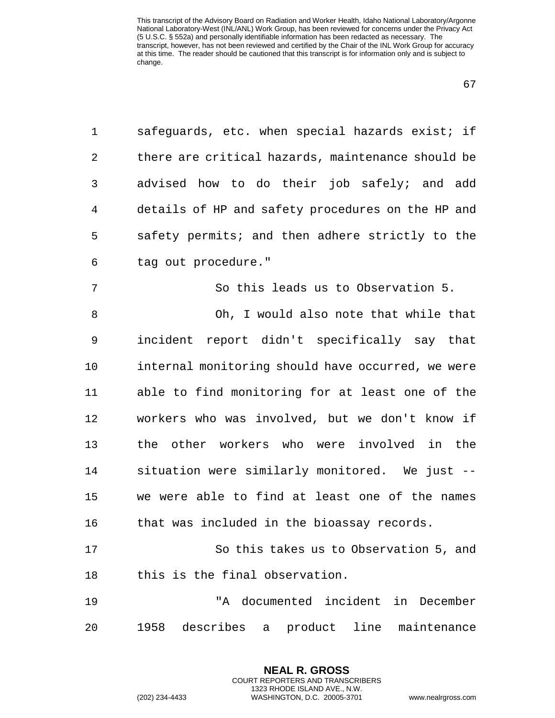| 1              | safeguards, etc. when special hazards exist; if   |
|----------------|---------------------------------------------------|
| 2              | there are critical hazards, maintenance should be |
| 3              | advised how to do their job safely; and add       |
| $\overline{4}$ | details of HP and safety procedures on the HP and |
| 5              | safety permits; and then adhere strictly to the   |
| 6              | tag out procedure."                               |
| 7              | So this leads us to Observation 5.                |
| 8              | Oh, I would also note that while that             |
| 9              | incident report didn't specifically say that      |
| 10             | internal monitoring should have occurred, we were |
| 11             | able to find monitoring for at least one of the   |
| 12             | workers who was involved, but we don't know if    |
| 13             | the other workers who were involved in the        |
| 14             | situation were similarly monitored. We just --    |
| 15             | we were able to find at least one of the names    |
| 16             | that was included in the bioassay records.        |
| 17             | So this takes us to Observation 5, and            |
| 18             | this is the final observation.                    |
| 19             | "A documented incident in December                |
| 20             | describes a product line maintenance<br>1958      |

**NEAL R. GROSS** COURT REPORTERS AND TRANSCRIBERS 1323 RHODE ISLAND AVE., N.W.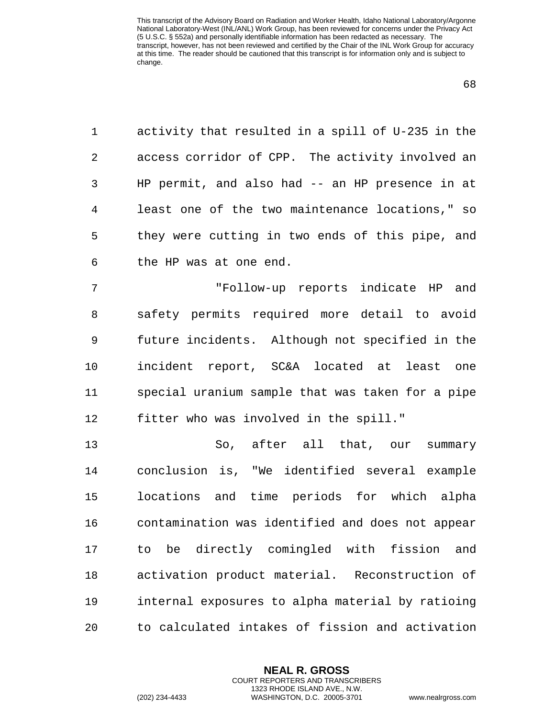activity that resulted in a spill of U-235 in the access corridor of CPP. The activity involved an HP permit, and also had -- an HP presence in at least one of the two maintenance locations," so they were cutting in two ends of this pipe, and the HP was at one end.

 "Follow-up reports indicate HP and safety permits required more detail to avoid future incidents. Although not specified in the incident report, SC&A located at least one special uranium sample that was taken for a pipe fitter who was involved in the spill."

 So, after all that, our summary conclusion is, "We identified several example locations and time periods for which alpha contamination was identified and does not appear to be directly comingled with fission and activation product material. Reconstruction of internal exposures to alpha material by ratioing to calculated intakes of fission and activation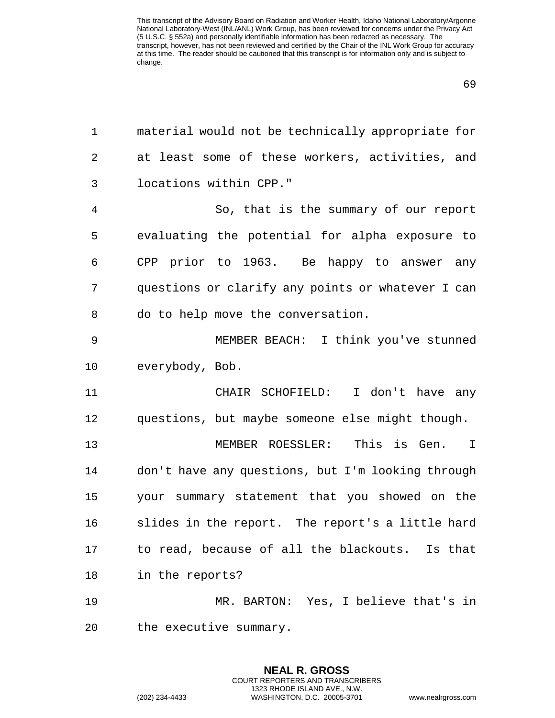| $\mathbf 1$    | material would not be technically appropriate for |
|----------------|---------------------------------------------------|
| $\overline{2}$ | at least some of these workers, activities, and   |
| 3              | locations within CPP."                            |
| 4              | So, that is the summary of our report             |
| 5              | evaluating the potential for alpha exposure to    |
| 6              | CPP prior to 1963. Be happy to answer any         |
| 7              | questions or clarify any points or whatever I can |
| 8              | do to help move the conversation.                 |
| 9              | MEMBER BEACH: I think you've stunned              |
| 10             | everybody, Bob.                                   |
| 11             | CHAIR SCHOFIELD: I don't have any                 |
| 12             | questions, but maybe someone else might though.   |
| 13             | MEMBER ROESSLER: This is Gen.<br>$\mathbb{Z}$     |
| 14             | don't have any questions, but I'm looking through |
| 15             | your summary statement that you showed on the     |
| 16             | slides in the report. The report's a little hard  |
| 17             | to read, because of all the blackouts. Is that    |
| 18             | in the reports?                                   |
| 19             | MR. BARTON: Yes, I believe that's in              |
| 20             | the executive summary.                            |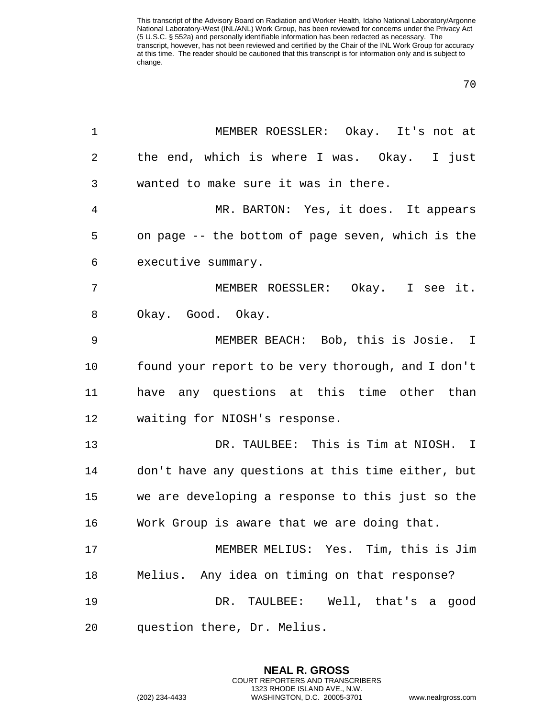| 1              | MEMBER ROESSLER: Okay. It's not at                 |
|----------------|----------------------------------------------------|
| $\overline{2}$ | the end, which is where I was. Okay. I just        |
| 3              | wanted to make sure it was in there.               |
| $\overline{4}$ | MR. BARTON: Yes, it does. It appears               |
| 5              | on page -- the bottom of page seven, which is the  |
| 6              | executive summary.                                 |
| 7              | MEMBER ROESSLER: Okay. I see it.                   |
| 8              | Okay. Good. Okay.                                  |
| 9              | MEMBER BEACH: Bob, this is Josie. I                |
| 10             | found your report to be very thorough, and I don't |
| 11             | have any questions at this time other than         |
| 12             | waiting for NIOSH's response.                      |
| 13             | DR. TAULBEE: This is Tim at NIOSH. I               |
| 14             | don't have any questions at this time either, but  |
| 15             | we are developing a response to this just so the   |
| 16             | Work Group is aware that we are doing that.        |
| 17             | MEMBER MELIUS: Yes. Tim, this is Jim               |
| 18             | Melius. Any idea on timing on that response?       |
| 19             | DR. TAULBEE: Well, that's a good                   |
| 20             | question there, Dr. Melius.                        |

**NEAL R. GROSS** COURT REPORTERS AND TRANSCRIBERS 1323 RHODE ISLAND AVE., N.W.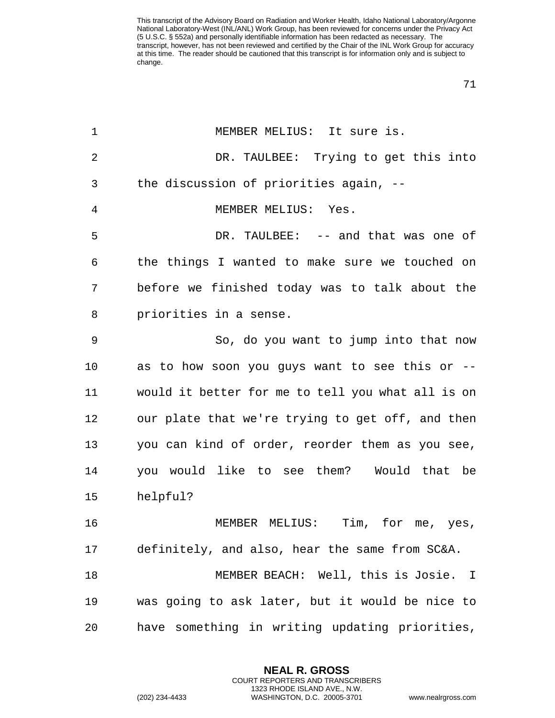| $\mathbf{1}$ | MEMBER MELIUS: It sure is.                        |
|--------------|---------------------------------------------------|
| 2            | DR. TAULBEE: Trying to get this into              |
| 3            | the discussion of priorities again, --            |
| 4            | MEMBER MELIUS: Yes.                               |
| 5            | DR. TAULBEE: -- and that was one of               |
| 6            | the things I wanted to make sure we touched on    |
| 7            | before we finished today was to talk about the    |
| 8            | priorities in a sense.                            |
| 9            | So, do you want to jump into that now             |
| 10           | as to how soon you guys want to see this or --    |
| 11           | would it better for me to tell you what all is on |
| 12           | our plate that we're trying to get off, and then  |
| 13           | you can kind of order, reorder them as you see,   |
| 14           | you would like to see them? Would that be         |
| 15           | helpful?                                          |
| 16           | Tim, for me, yes,<br>MELIUS:<br>MEMBER            |
| 17           | definitely, and also, hear the same from SC&A.    |
| 18           | MEMBER BEACH: Well, this is Josie. I              |
| 19           | was going to ask later, but it would be nice to   |
| 20           | have something in writing updating priorities,    |

**NEAL R. GROSS** COURT REPORTERS AND TRANSCRIBERS 1323 RHODE ISLAND AVE., N.W.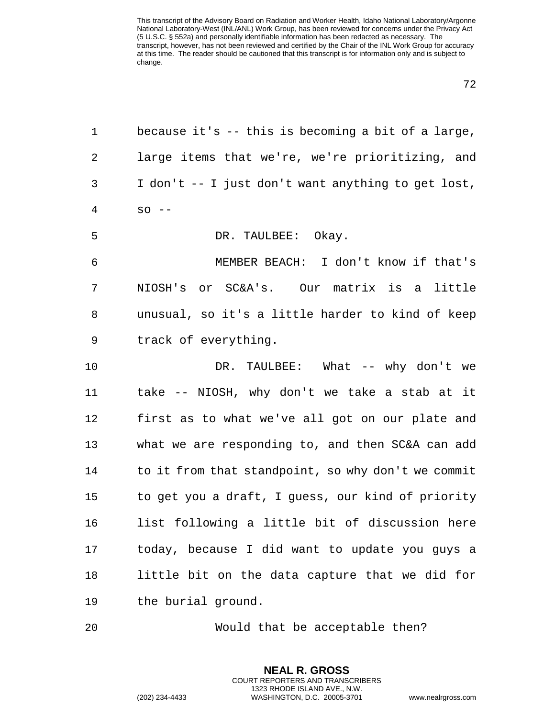| $\mathbf 1$    | because it's -- this is becoming a bit of a large, |
|----------------|----------------------------------------------------|
| 2              | large items that we're, we're prioritizing, and    |
| 3              | I don't -- I just don't want anything to get lost, |
| $\overline{4}$ | $SO = -$                                           |
| 5              | DR. TAULBEE: Okay.                                 |
| 6              | MEMBER BEACH: I don't know if that's               |
| 7              | NIOSH's or SC&A's. Our matrix is a<br>little       |
| 8              | unusual, so it's a little harder to kind of keep   |
| 9              | track of everything.                               |
| 10             | DR. TAULBEE: What -- why don't we                  |
| 11             | take -- NIOSH, why don't we take a stab at it      |
| 12             | first as to what we've all got on our plate and    |
| 13             | what we are responding to, and then SC&A can add   |
| 14             | to it from that standpoint, so why don't we commit |
| 15             | to get you a draft, I guess, our kind of priority  |
| 16             | list following a little bit of discussion here     |
| 17             | today, because I did want to update you guys a     |
| 18             | little bit on the data capture that we did for     |
| 19             | the burial ground.                                 |

Would that be acceptable then?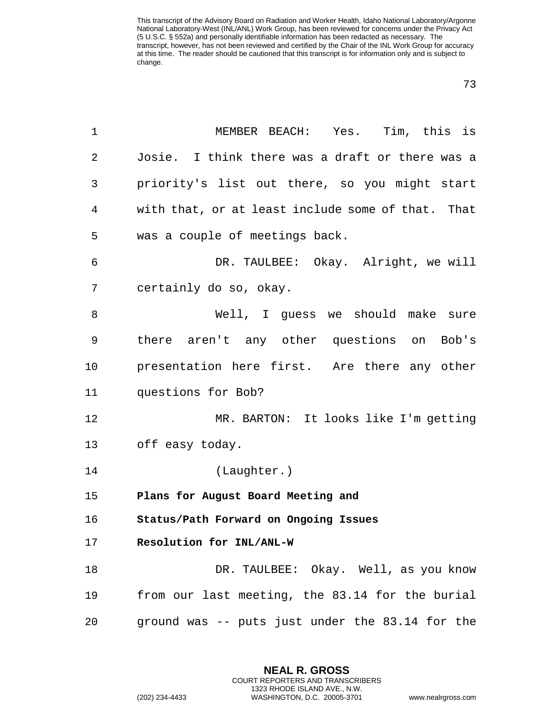73

| 1       | MEMBER BEACH:<br>Yes. Tim, this is                |
|---------|---------------------------------------------------|
| 2       | Josie. I think there was a draft or there was a   |
| 3       | priority's list out there, so you might start     |
| 4       | with that, or at least include some of that. That |
| 5       | was a couple of meetings back.                    |
| 6       | DR. TAULBEE: Okay. Alright, we will               |
| 7       | certainly do so, okay.                            |
| 8       | Well, I guess we should make sure                 |
| 9       | there aren't any other questions on Bob's         |
| $10 \,$ | presentation here first. Are there any other      |
| 11      | questions for Bob?                                |
| 12      | MR. BARTON: It looks like I'm getting             |
| 13      | off easy today.                                   |
| 14      | (Laughter.)                                       |
| 15      | Plans for August Board Meeting and                |
| 16      | Status/Path Forward on Ongoing Issues             |
| 17      | Resolution for INL/ANL-W                          |
| 18      | DR. TAULBEE: Okay. Well, as you know              |
| 19      | from our last meeting, the 83.14 for the burial   |
| 20      | ground was -- puts just under the 83.14 for the   |

**NEAL R. GROSS** COURT REPORTERS AND TRANSCRIBERS 1323 RHODE ISLAND AVE., N.W.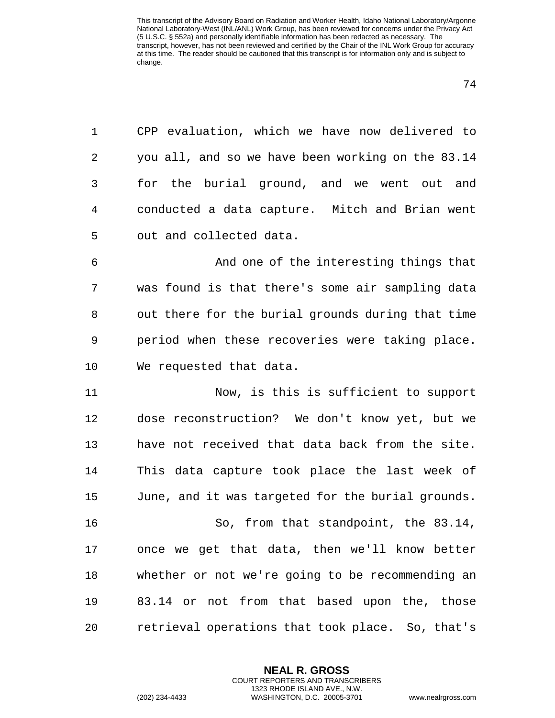| $\mathbf{1}$ | CPP evaluation, which we have now delivered to    |
|--------------|---------------------------------------------------|
| 2            | you all, and so we have been working on the 83.14 |
| 3            | for the burial ground, and we went out and        |
| 4            | conducted a data capture. Mitch and Brian went    |
| 5            | out and collected data.                           |
| 6            | And one of the interesting things that            |
| 7            | was found is that there's some air sampling data  |
| 8            | out there for the burial grounds during that time |
| 9            | period when these recoveries were taking place.   |
| 10           | We requested that data.                           |
| 11           | Now, is this is sufficient to support             |
| 12           | dose reconstruction? We don't know yet, but we    |
| 13           | have not received that data back from the site.   |
| 14           | This data capture took place the last week of     |
| 15           | June, and it was targeted for the burial grounds. |
| 16           | So, from that standpoint, the 83.14,              |
| 17           | once we get that data, then we'll know better     |
| 18           | whether or not we're going to be recommending an  |
| 19           | 83.14 or not from that based upon the, those      |
|              |                                                   |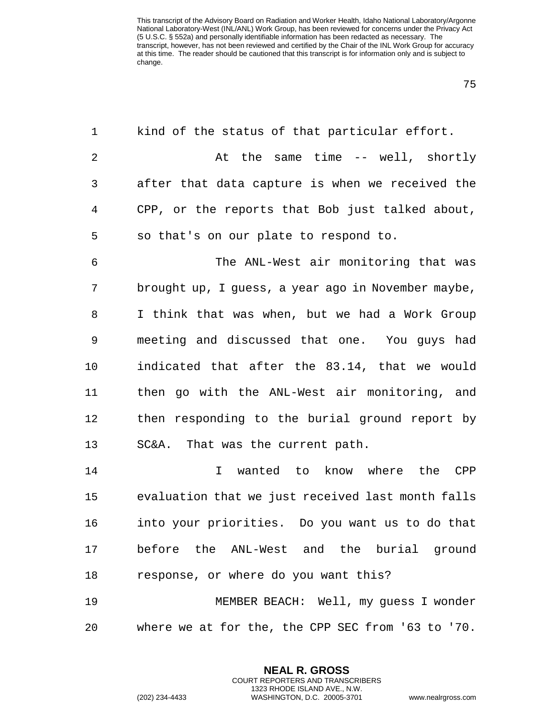| $\mathbf 1$    | kind of the status of that particular effort.      |
|----------------|----------------------------------------------------|
| $\overline{2}$ | At the same time -- well, shortly                  |
| 3              | after that data capture is when we received the    |
| 4              | CPP, or the reports that Bob just talked about,    |
| 5              | so that's on our plate to respond to.              |
| 6              | The ANL-West air monitoring that was               |
| 7              | brought up, I guess, a year ago in November maybe, |
| 8              | I think that was when, but we had a Work Group     |
| 9              | meeting and discussed that one. You guys had       |
| 10             | indicated that after the 83.14, that we would      |
| 11             | then go with the ANL-West air monitoring, and      |
| 12             | then responding to the burial ground report by     |
| 13             | SC&A. That was the current path.                   |
| 14             | wanted to know where the CPP<br>$\mathbf{I}$       |
| 15             | evaluation that we just received last month falls  |
| 16             | into your priorities. Do you want us to do that    |
| 17             | before the ANL-West and the burial ground          |
| 18             | response, or where do you want this?               |
| 19             | MEMBER BEACH: Well, my guess I wonder              |
| 20             | where we at for the, the CPP SEC from '63 to '70.  |

**NEAL R. GROSS** COURT REPORTERS AND TRANSCRIBERS 1323 RHODE ISLAND AVE., N.W.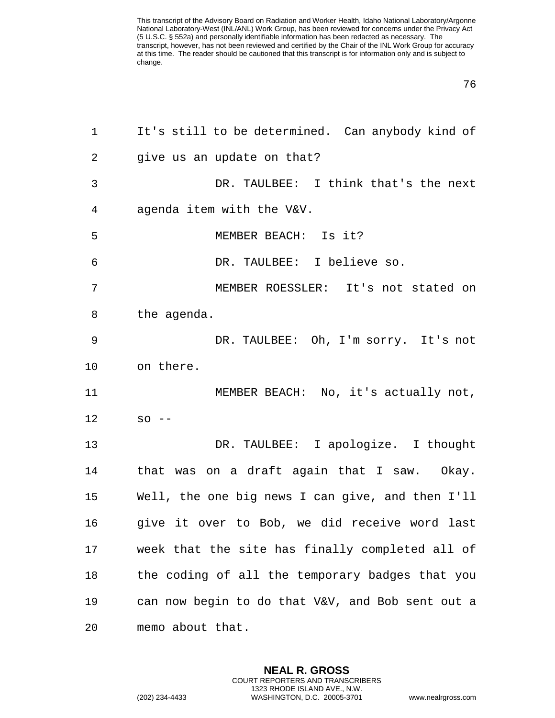| $\mathbf 1$ | It's still to be determined. Can anybody kind of |
|-------------|--------------------------------------------------|
| 2           | give us an update on that?                       |
| 3           | DR. TAULBEE: I think that's the next             |
| 4           | agenda item with the V&V.                        |
| 5           | MEMBER BEACH: Is it?                             |
| 6           | DR. TAULBEE: I believe so.                       |
| 7           | MEMBER ROESSLER: It's not stated on              |
| 8           | the agenda.                                      |
| 9           | DR. TAULBEE: Oh, I'm sorry. It's not             |
| 10          | on there.                                        |
| 11          | MEMBER BEACH: No, it's actually not,             |
| 12          | $SO = -$                                         |
| 13          | DR. TAULBEE: I apologize. I thought              |
| 14          | that was on a draft again that I saw. Okay.      |
| 15          | Well, the one big news I can give, and then I'll |
| 16          | give it over to Bob, we did receive word last    |
| 17          | week that the site has finally completed all of  |
| 18          | the coding of all the temporary badges that you  |
| 19          | can now begin to do that V&V, and Bob sent out a |
| 20          | memo about that.                                 |

**NEAL R. GROSS** COURT REPORTERS AND TRANSCRIBERS 1323 RHODE ISLAND AVE., N.W.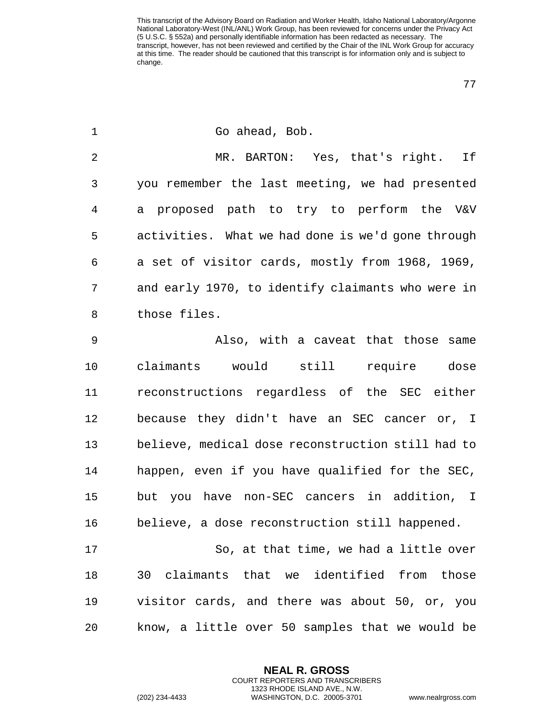| $\mathbf 1$    | Go ahead, Bob.                                    |
|----------------|---------------------------------------------------|
| $\overline{2}$ | MR. BARTON: Yes, that's right. If                 |
| 3              | you remember the last meeting, we had presented   |
| $\overline{4}$ | a proposed path to try to perform the V&V         |
| 5              | activities. What we had done is we'd gone through |
| 6              | a set of visitor cards, mostly from 1968, 1969,   |
| 7              | and early 1970, to identify claimants who were in |
| 8              | those files.                                      |
| 9              | Also, with a caveat that those same               |
| 10             | claimants would still require<br>dose             |
| 11             | reconstructions regardless of the SEC either      |
| 12             | because they didn't have an SEC cancer or, I      |
| 13             | believe, medical dose reconstruction still had to |
| 14             | happen, even if you have qualified for the SEC,   |
| 15             | but you have non-SEC cancers in addition, I       |
| 16             | believe, a dose reconstruction still happened.    |
| 17             | So, at that time, we had a little over            |
| 18             | 30 claimants that we identified from those        |
| 19             | visitor cards, and there was about 50, or, you    |
| 20             | know, a little over 50 samples that we would be   |

**NEAL R. GROSS** COURT REPORTERS AND TRANSCRIBERS 1323 RHODE ISLAND AVE., N.W.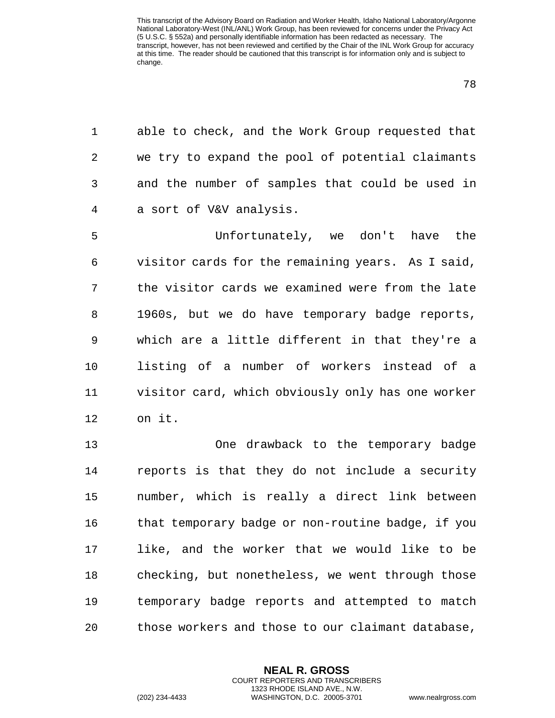| $1 \quad \Box$ | able to check, and the Work Group requested that |
|----------------|--------------------------------------------------|
| $\mathbf{2}$   | we try to expand the pool of potential claimants |
| $3 \sim$       | and the number of samples that could be used in  |
| $4\degree$     | a sort of V&V analysis.                          |

 Unfortunately, we don't have the visitor cards for the remaining years. As I said, the visitor cards we examined were from the late 1960s, but we do have temporary badge reports, which are a little different in that they're a listing of a number of workers instead of a visitor card, which obviously only has one worker on it.

 One drawback to the temporary badge reports is that they do not include a security number, which is really a direct link between that temporary badge or non-routine badge, if you like, and the worker that we would like to be checking, but nonetheless, we went through those temporary badge reports and attempted to match those workers and those to our claimant database,

> **NEAL R. GROSS** COURT REPORTERS AND TRANSCRIBERS 1323 RHODE ISLAND AVE., N.W.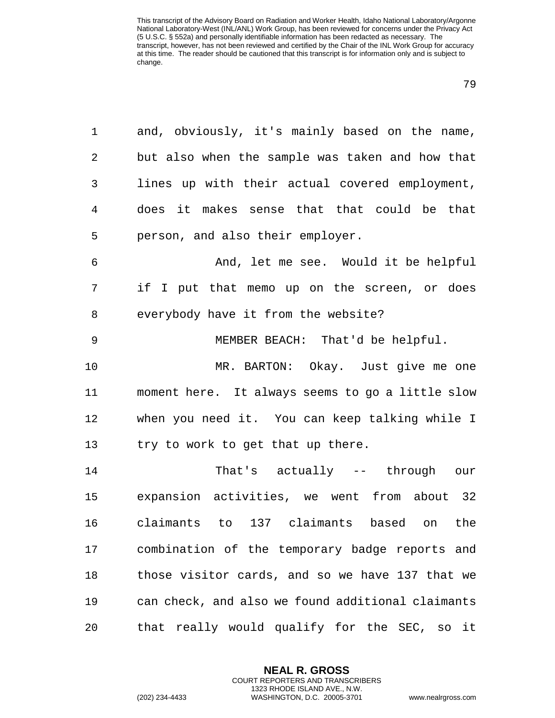| $\mathbf{1}$ | and, obviously, it's mainly based on the name,    |
|--------------|---------------------------------------------------|
| 2            | but also when the sample was taken and how that   |
| 3            | lines up with their actual covered employment,    |
| 4            | does it makes sense that that could be that       |
| 5            | person, and also their employer.                  |
| 6            | And, let me see. Would it be helpful              |
| 7            | if I put that memo up on the screen, or does      |
| 8            | everybody have it from the website?               |
| $\mathsf 9$  | MEMBER BEACH: That'd be helpful.                  |
| 10           | MR. BARTON: Okay. Just give me one                |
| 11           | moment here. It always seems to go a little slow  |
| 12           | when you need it. You can keep talking while I    |
| 13           | try to work to get that up there.                 |
| 14           | That's actually -- through our                    |
| 15           | expansion activities, we went from about 32       |
| 16           | claimants to 137 claimants based on<br>the        |
| 17           | combination of the temporary badge reports and    |
| 18           | those visitor cards, and so we have 137 that we   |
| 19           | can check, and also we found additional claimants |
| 20           | that really would qualify for the SEC, so it      |

**NEAL R. GROSS** COURT REPORTERS AND TRANSCRIBERS 1323 RHODE ISLAND AVE., N.W.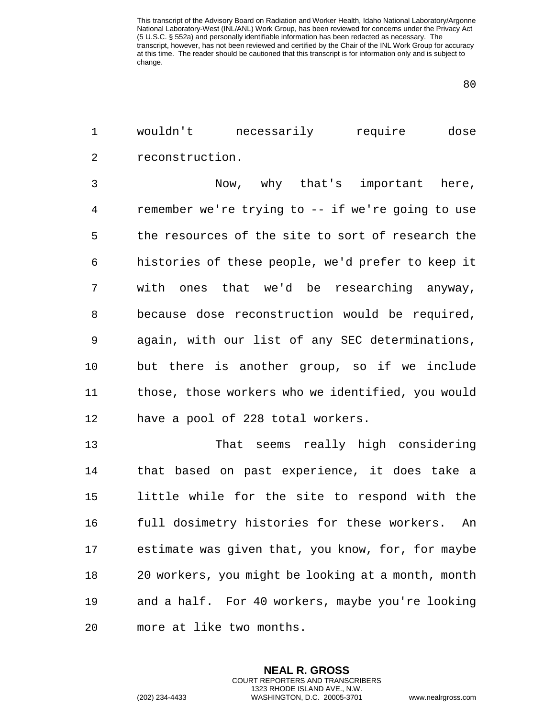| 1              | wouldn't necessarily require<br>dose               |
|----------------|----------------------------------------------------|
| 2              | reconstruction.                                    |
| 3              | Now, why that's important here,                    |
| $\overline{4}$ | remember we're trying to -- if we're going to use  |
| 5              | the resources of the site to sort of research the  |
| 6              | histories of these people, we'd prefer to keep it  |
| 7              | with ones that we'd be researching anyway,         |
| 8              | because dose reconstruction would be required,     |
| 9              | again, with our list of any SEC determinations,    |
| 10             | but there is another group, so if we include       |
| 11             | those, those workers who we identified, you would  |
| 12             | have a pool of 228 total workers.                  |
| 13             | That seems really high considering                 |
| 14             | that based on past experience, it does take a      |
| 15             | little while for the site to respond with the      |
| 16             | full dosimetry histories for these workers. An     |
| 17             | estimate was given that, you know, for, for maybe  |
| 18             | 20 workers, you might be looking at a month, month |
| 19             | and a half. For 40 workers, maybe you're looking   |
| 20             | more at like two months.                           |

**NEAL R. GROSS** COURT REPORTERS AND TRANSCRIBERS 1323 RHODE ISLAND AVE., N.W.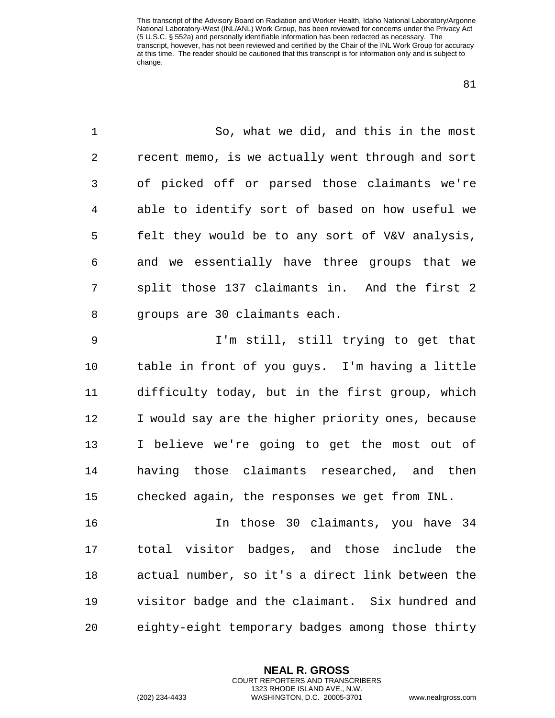| $\mathbf 1$    | So, what we did, and this in the most             |
|----------------|---------------------------------------------------|
| $\overline{a}$ | recent memo, is we actually went through and sort |
| 3              | of picked off or parsed those claimants we're     |
| 4              | able to identify sort of based on how useful we   |
| 5              | felt they would be to any sort of V&V analysis,   |
| 6              | and we essentially have three groups that we      |
| 7              | split those 137 claimants in. And the first 2     |
| 8              | groups are 30 claimants each.                     |
| 9              | I'm still, still trying to get that               |
| 10             | table in front of you guys. I'm having a little   |
| 11             | difficulty today, but in the first group, which   |
| 12             | I would say are the higher priority ones, because |
| 13             | I believe we're going to get the most out of      |
| 14             | having those claimants researched, and then       |
| 15             | checked again, the responses we get from INL.     |
| 16             | In those 30 claimants, you have 34                |
| 17             | total visitor badges, and those include the       |
| 18             | actual number, so it's a direct link between the  |
| 19             | visitor badge and the claimant. Six hundred and   |
|                |                                                   |

eighty-eight temporary badges among those thirty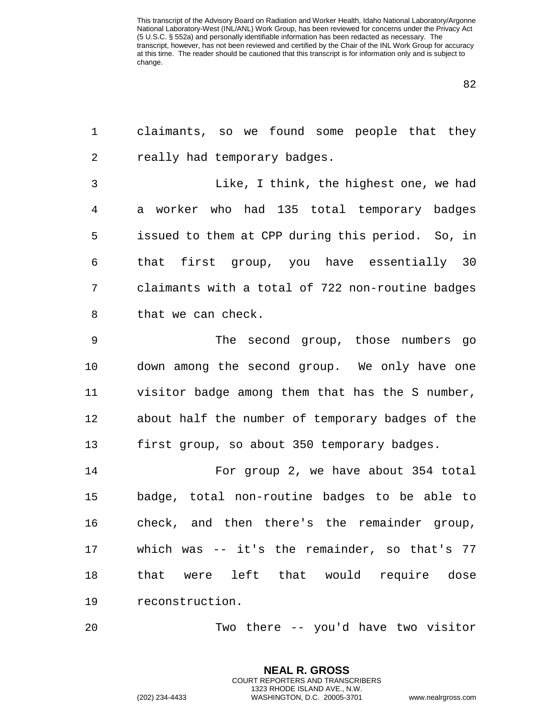| $\mathbf 1$    | claimants, so we found some people that they     |
|----------------|--------------------------------------------------|
| $\overline{2}$ | really had temporary badges.                     |
| 3              | Like, I think, the highest one, we had           |
| 4              | a worker who had 135 total temporary badges      |
| 5              | issued to them at CPP during this period. So, in |
| 6              | that first group, you have essentially 30        |
| 7              | claimants with a total of 722 non-routine badges |
| 8              | that we can check.                               |
| 9              | The second group, those numbers go               |
| 10             | down among the second group. We only have one    |
| 11             | visitor badge among them that has the S number,  |
| 12             | about half the number of temporary badges of the |
| 13             | first group, so about 350 temporary badges.      |
| 14             | For group 2, we have about 354 total             |
| 15             | badge, total non-routine badges to be able to    |
| 16             | check, and then there's the remainder group,     |
| 17             | which was $-$ it's the remainder, so that's 77   |
| 18             | that were left that would require<br>dose        |
| 19             | reconstruction.                                  |
| 20             | Two there -- you'd have two visitor              |

**NEAL R. GROSS**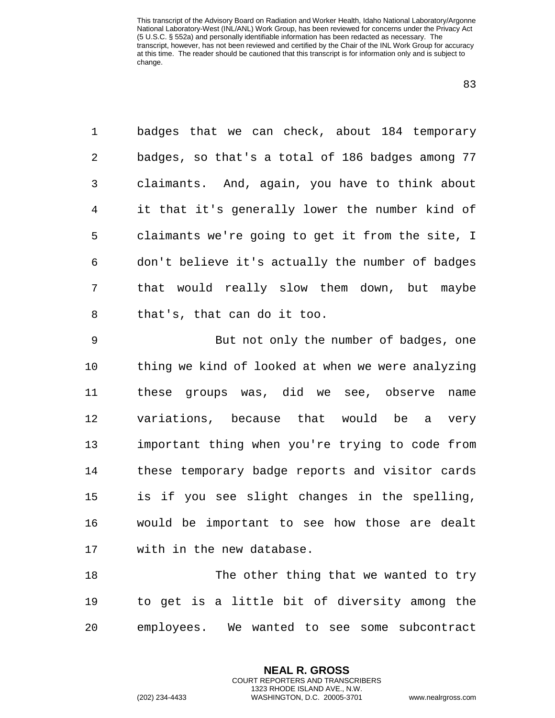badges that we can check, about 184 temporary badges, so that's a total of 186 badges among 77 claimants. And, again, you have to think about it that it's generally lower the number kind of claimants we're going to get it from the site, I don't believe it's actually the number of badges that would really slow them down, but maybe that's, that can do it too.

 But not only the number of badges, one thing we kind of looked at when we were analyzing these groups was, did we see, observe name variations, because that would be a very important thing when you're trying to code from these temporary badge reports and visitor cards is if you see slight changes in the spelling, would be important to see how those are dealt with in the new database.

 The other thing that we wanted to try to get is a little bit of diversity among the employees. We wanted to see some subcontract

> **NEAL R. GROSS** COURT REPORTERS AND TRANSCRIBERS 1323 RHODE ISLAND AVE., N.W.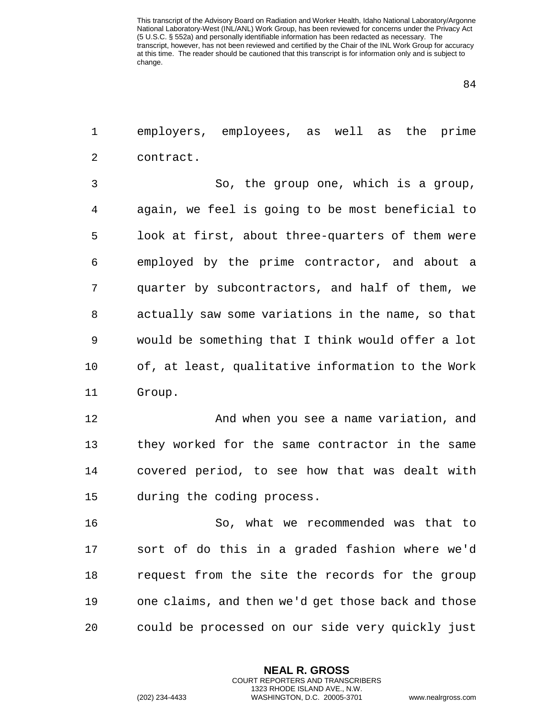| $\mathbf 1$    | employers, employees, as well as the prime         |
|----------------|----------------------------------------------------|
| $\overline{2}$ | contract.                                          |
| 3              | So, the group one, which is a group,               |
| 4              | again, we feel is going to be most beneficial to   |
| 5              | look at first, about three-quarters of them were   |
| 6              | employed by the prime contractor, and about a      |
| 7              | quarter by subcontractors, and half of them, we    |
| 8              | actually saw some variations in the name, so that  |
| 9              | would be something that I think would offer a lot  |
| 10             | of, at least, qualitative information to the Work  |
| 11             | Group.                                             |
| 12             | And when you see a name variation, and             |
| 13             | they worked for the same contractor in the same    |
| 14             | covered period, to see how that was dealt with     |
| 15             | during the coding process.                         |
| 16             | So, what we recommended was that to                |
| 17             | sort of do this in a graded fashion where we'd     |
| 18             | request from the site the records for the group    |
| 19             | one claims, and then we'd get those back and those |
| 20             | could be processed on our side very quickly just   |

**NEAL R. GROSS** COURT REPORTERS AND TRANSCRIBERS 1323 RHODE ISLAND AVE., N.W.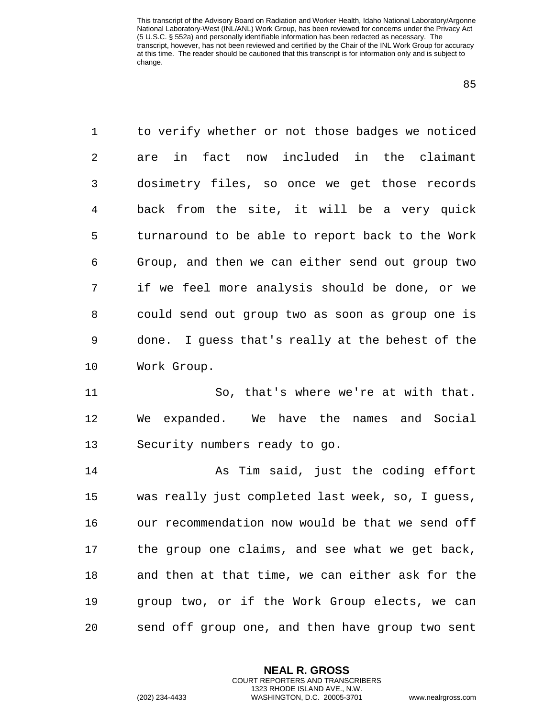to verify whether or not those badges we noticed are in fact now included in the claimant dosimetry files, so once we get those records back from the site, it will be a very quick turnaround to be able to report back to the Work Group, and then we can either send out group two if we feel more analysis should be done, or we could send out group two as soon as group one is done. I guess that's really at the behest of the Work Group.

 So, that's where we're at with that. We expanded. We have the names and Social Security numbers ready to go.

 As Tim said, just the coding effort was really just completed last week, so, I guess, our recommendation now would be that we send off the group one claims, and see what we get back, and then at that time, we can either ask for the group two, or if the Work Group elects, we can send off group one, and then have group two sent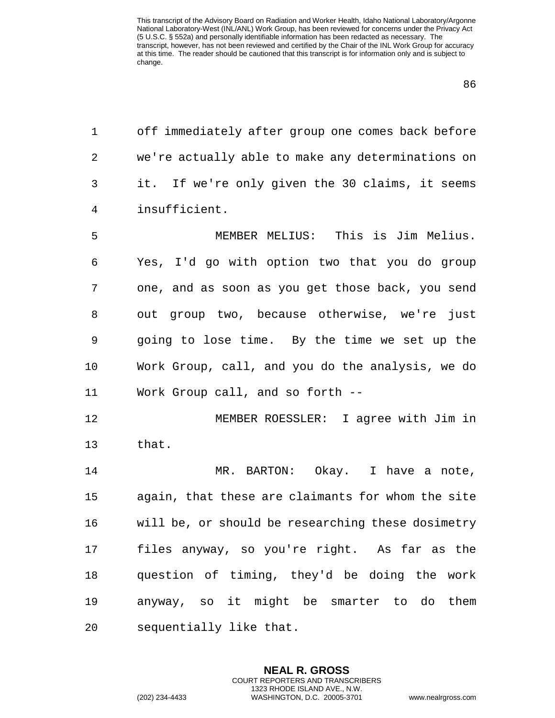1 off immediately after group one comes back before 2 we're actually able to make any determinations on 3 it. If we're only given the 30 claims, it seems 4 insufficient.

5 MEMBER MELIUS: This is Jim Melius. 6 Yes, I'd go with option two that you do group 7 one, and as soon as you get those back, you send 8 out group two, because otherwise, we're just 9 going to lose time. By the time we set up the 10 Work Group, call, and you do the analysis, we do 11 Work Group call, and so forth --

12 MEMBER ROESSLER: I agree with Jim in 13 that.

14 MR. BARTON: Okay. I have a note, 15 again, that these are claimants for whom the site 16 will be, or should be researching these dosimetry 17 files anyway, so you're right. As far as the 18 question of timing, they'd be doing the work 19 anyway, so it might be smarter to do them 20 sequentially like that.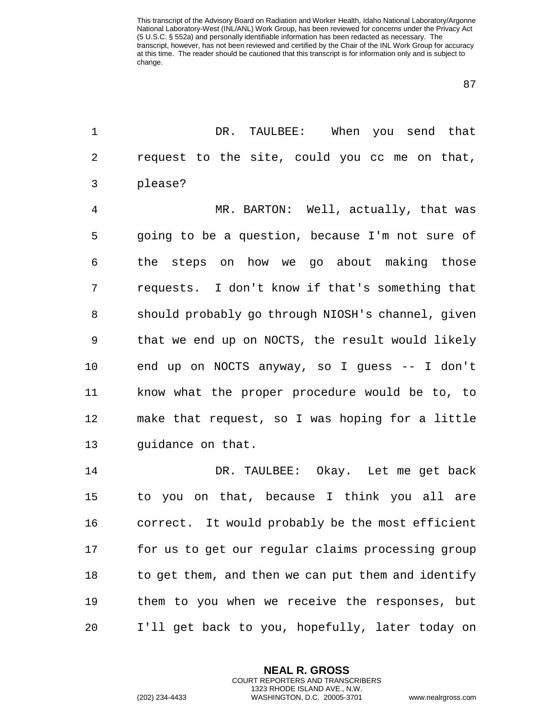87

| $\mathbf 1$    | DR. TAULBEE:<br>When you send that                 |
|----------------|----------------------------------------------------|
| $\overline{a}$ | request to the site, could you cc me on that,      |
| 3              | please?                                            |
| 4              | MR. BARTON: Well, actually, that was               |
| 5              | going to be a question, because I'm not sure of    |
| 6              | the steps on how we go about making those          |
| 7              | requests. I don't know if that's something that    |
| 8              | should probably go through NIOSH's channel, given  |
| 9              | that we end up on NOCTS, the result would likely   |
| 10             | end up on NOCTS anyway, so I guess -- I don't      |
| 11             | know what the proper procedure would be to, to     |
| 12             | make that request, so I was hoping for a little    |
| 13             | guidance on that.                                  |
| 14             | DR. TAULBEE: Okay. Let me get back                 |
| 15             | to you on that, because I think you all are        |
| 16             | correct. It would probably be the most efficient   |
| 17             | for us to get our regular claims processing group  |
| 18             | to get them, and then we can put them and identify |
| 19             | them to you when we receive the responses, but     |
| 20             | I'll get back to you, hopefully, later today on    |

**NEAL R. GROSS** COURT REPORTERS AND TRANSCRIBERS 1323 RHODE ISLAND AVE., N.W.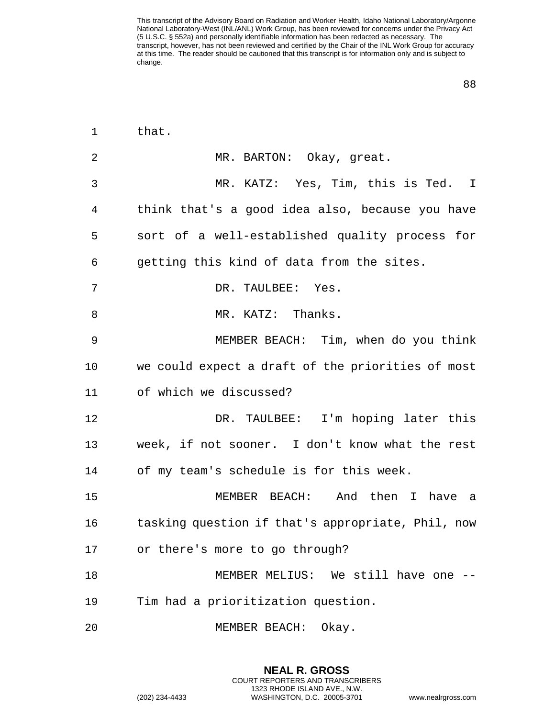| 1  | that.                                             |
|----|---------------------------------------------------|
| 2  | MR. BARTON: Okay, great.                          |
| 3  | MR. KATZ: Yes, Tim, this is Ted. I                |
| 4  | think that's a good idea also, because you have   |
| 5  | sort of a well-established quality process for    |
| 6  | getting this kind of data from the sites.         |
| 7  | DR. TAULBEE: Yes.                                 |
| 8  | MR. KATZ: Thanks.                                 |
| 9  | MEMBER BEACH: Tim, when do you think              |
| 10 | we could expect a draft of the priorities of most |
| 11 | of which we discussed?                            |
| 12 | DR. TAULBEE: I'm hoping later this                |
| 13 | week, if not sooner. I don't know what the rest   |
| 14 | of my team's schedule is for this week.           |
| 15 | MEMBER BEACH: And then I have a                   |
| 16 | tasking question if that's appropriate, Phil, now |
| 17 | or there's more to go through?                    |
| 18 | MEMBER MELIUS: We still have one --               |
| 19 | Tim had a prioritization question.                |
| 20 | MEMBER BEACH:<br>Okay.                            |

**NEAL R. GROSS** COURT REPORTERS AND TRANSCRIBERS 1323 RHODE ISLAND AVE., N.W.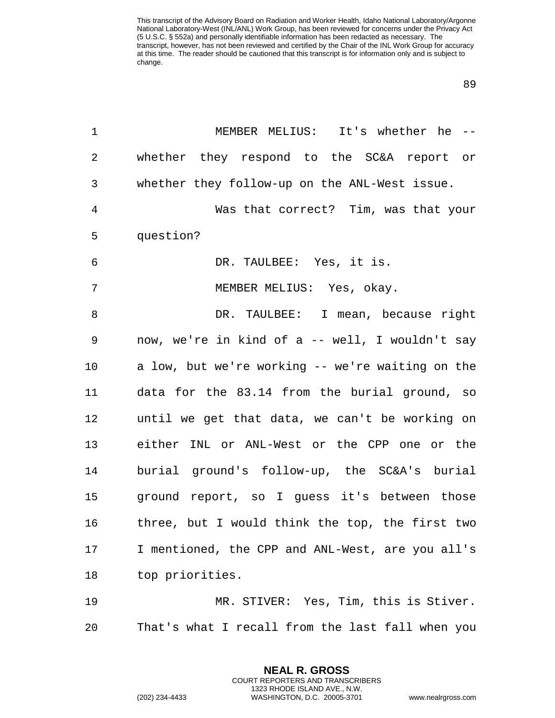| $\mathbf 1$    | MEMBER MELIUS: It's whether he --                |
|----------------|--------------------------------------------------|
| 2              | whether they respond to the SC&A report or       |
| 3              | whether they follow-up on the ANL-West issue.    |
| $\overline{4}$ | Was that correct? Tim, was that your             |
| 5              | question?                                        |
| 6              | DR. TAULBEE: Yes, it is.                         |
| 7              | MEMBER MELIUS: Yes, okay.                        |
| 8              | DR. TAULBEE: I mean, because right               |
| 9              | now, we're in kind of a -- well, I wouldn't say  |
| 10             | a low, but we're working -- we're waiting on the |
| 11             | data for the 83.14 from the burial ground, so    |
| 12             | until we get that data, we can't be working on   |
| 13             | either INL or ANL-West or the CPP one or the     |
| 14             | burial ground's follow-up, the SC&A's burial     |
| 15             | ground report, so I guess it's between those     |
| 16             | three, but I would think the top, the first two  |
| 17             | I mentioned, the CPP and ANL-West, are you all's |
| 18             | top priorities.                                  |
| 19             | MR. STIVER: Yes, Tim, this is Stiver.            |
| 20             | That's what I recall from the last fall when you |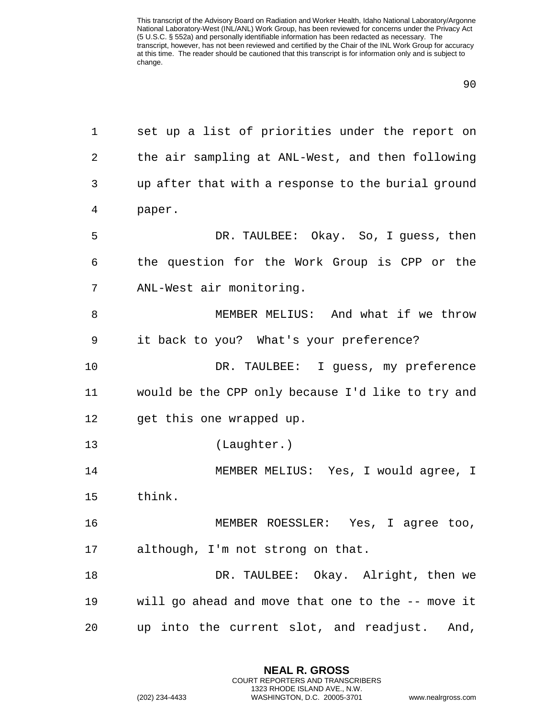| 1  | set up a list of priorities under the report on    |
|----|----------------------------------------------------|
| 2  | the air sampling at ANL-West, and then following   |
| 3  | up after that with a response to the burial ground |
| 4  | paper.                                             |
| 5  | DR. TAULBEE: Okay. So, I guess, then               |
| 6  | the question for the Work Group is CPP or the      |
| 7  | ANL-West air monitoring.                           |
| 8  | MEMBER MELIUS: And what if we throw                |
| 9  | it back to you? What's your preference?            |
| 10 | DR. TAULBEE: I guess, my preference                |
| 11 | would be the CPP only because I'd like to try and  |
| 12 | get this one wrapped up.                           |
| 13 | (Laughter.)                                        |
| 14 | MEMBER MELIUS: Yes, I would agree, I               |
| 15 | think.                                             |
| 16 | MEMBER ROESSLER: Yes, I agree too,                 |
| 17 | although, I'm not strong on that.                  |
| 18 | DR. TAULBEE: Okay. Alright, then we                |
| 19 | will go ahead and move that one to the -- move it  |
| 20 | up into the current slot, and readjust. And,       |

**NEAL R. GROSS** COURT REPORTERS AND TRANSCRIBERS 1323 RHODE ISLAND AVE., N.W.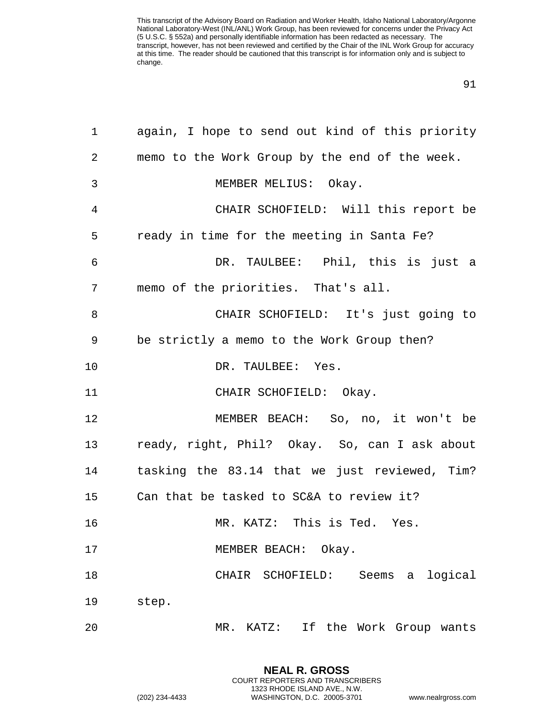| $\mathbf 1$ | again, I hope to send out kind of this priority |
|-------------|-------------------------------------------------|
| 2           | memo to the Work Group by the end of the week.  |
| 3           | MEMBER MELIUS: Okay.                            |
| 4           | CHAIR SCHOFIELD: Will this report be            |
| 5           | ready in time for the meeting in Santa Fe?      |
| 6           | DR. TAULBEE: Phil, this is just a               |
| 7           | memo of the priorities. That's all.             |
| 8           | CHAIR SCHOFIELD: It's just going to             |
| 9           | be strictly a memo to the Work Group then?      |
| 10          | DR. TAULBEE: Yes.                               |
| 11          | CHAIR SCHOFIELD: Okay.                          |
| 12          | MEMBER BEACH: So, no, it won't be               |
| 13          | ready, right, Phil? Okay. So, can I ask about   |
| 14          | tasking the 83.14 that we just reviewed, Tim?   |
| 15          | Can that be tasked to SC&A to review it?        |
| 16          | MR. KATZ: This is Ted. Yes.                     |
| 17          | MEMBER BEACH: Okay.                             |
| 18          | CHAIR SCHOFIELD:<br>Seems a logical             |
| 19          | step.                                           |
| 20          | If the Work Group wants<br>MR.<br>KATZ:         |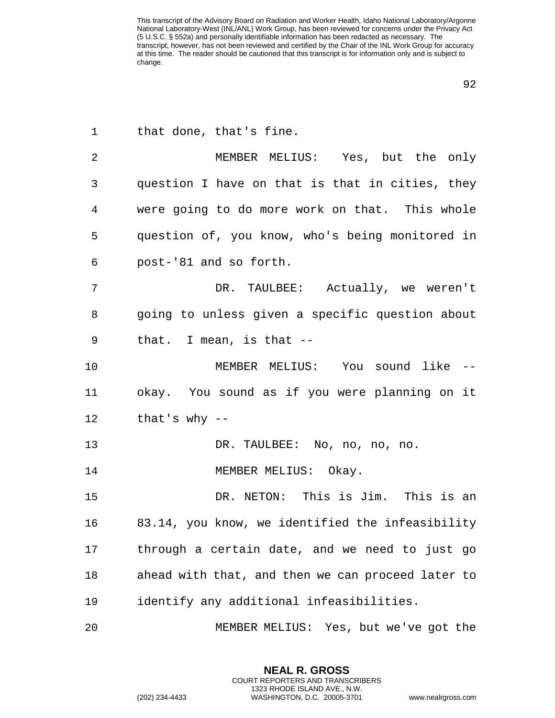1 that done, that's fine. 2 MEMBER MELIUS: Yes, but the only 3 question I have on that is that in cities, they 4 were going to do more work on that. This whole 5 question of, you know, who's being monitored in 6 post-'81 and so forth. 7 DR. TAULBEE: Actually, we weren't 8 going to unless given a specific question about 9 that. I mean, is that -- 10 MEMBER MELIUS: You sound like -- 11 okay. You sound as if you were planning on it 12 that's why -- 13 DR. TAULBEE: No, no, no, no. 14 MEMBER MELIUS: Okay. 15 DR. NETON: This is Jim. This is an 16 83.14, you know, we identified the infeasibility 17 through a certain date, and we need to just go 18 ahead with that, and then we can proceed later to 19 identify any additional infeasibilities. 20 MEMBER MELIUS: Yes, but we've got the

> **NEAL R. GROSS** COURT REPORTERS AND TRANSCRIBERS 1323 RHODE ISLAND AVE., N.W.

(202) 234-4433 WASHINGTON, D.C. 20005-3701 www.nealrgross.com

92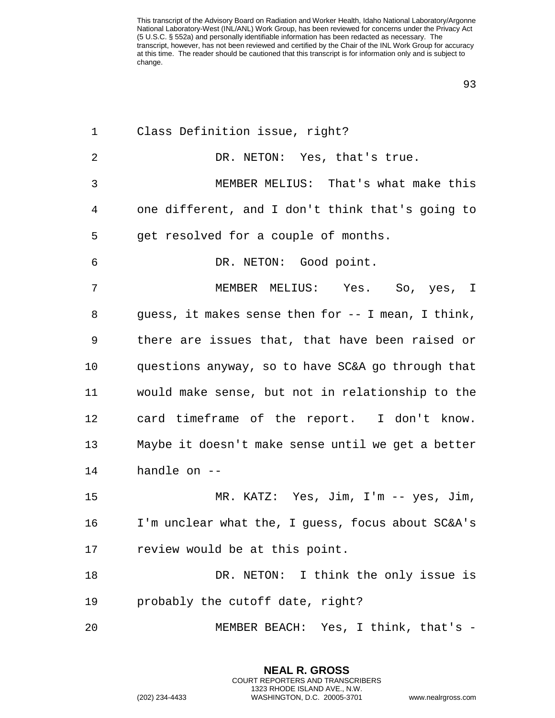93

| $\mathbf 1$ | Class Definition issue, right?                     |
|-------------|----------------------------------------------------|
| 2           | DR. NETON: Yes, that's true.                       |
| 3           | MEMBER MELIUS: That's what make this               |
| 4           | one different, and I don't think that's going to   |
| 5           | get resolved for a couple of months.               |
| 6           | DR. NETON: Good point.                             |
| 7           | MEMBER MELIUS: Yes. So, yes, I                     |
| 8           | guess, it makes sense then for -- I mean, I think, |
| 9           | there are issues that, that have been raised or    |
| 10          | questions anyway, so to have SC&A go through that  |
| 11          | would make sense, but not in relationship to the   |
| 12          | card timeframe of the report. I don't know.        |
| 13          | Maybe it doesn't make sense until we get a better  |
| 14          | handle on --                                       |
| 15          | MR. KATZ: Yes, Jim, I'm -- yes, Jim,               |
| 16          | I'm unclear what the, I guess, focus about SC&A's  |
| 17          | review would be at this point.                     |
| 18          | DR. NETON: I think the only issue is               |
| 19          | probably the cutoff date, right?                   |
| 20          | MEMBER BEACH: Yes, I think, that's -               |

**NEAL R. GROSS** COURT REPORTERS AND TRANSCRIBERS 1323 RHODE ISLAND AVE., N.W.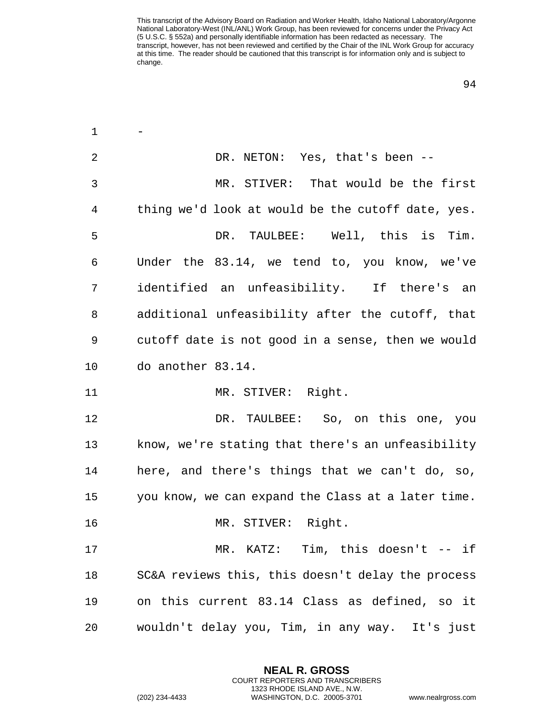94

| 1              |                                                    |
|----------------|----------------------------------------------------|
| $\overline{2}$ | DR. NETON: Yes, that's been --                     |
| 3              | MR. STIVER: That would be the first                |
| 4              | thing we'd look at would be the cutoff date, yes.  |
| 5              | DR. TAULBEE: Well, this is Tim.                    |
| 6              | Under the 83.14, we tend to, you know, we've       |
| 7              | identified an unfeasibility. If there's an         |
| 8              | additional unfeasibility after the cutoff, that    |
| 9              | cutoff date is not good in a sense, then we would  |
| 10             | do another 83.14.                                  |
| 11             | MR. STIVER: Right.                                 |
| 12             | DR. TAULBEE: So, on this one, you                  |
| 13             | know, we're stating that there's an unfeasibility  |
| 14             | here, and there's things that we can't do, so,     |
| 15             | you know, we can expand the Class at a later time. |
| 16             | MR. STIVER: Right.                                 |
| 17             | MR. KATZ: Tim, this doesn't $-$ if                 |
| 18             | SC&A reviews this, this doesn't delay the process  |
| 19             | on this current 83.14 Class as defined, so it      |
| 20             | wouldn't delay you, Tim, in any way. It's just     |

**NEAL R. GROSS** COURT REPORTERS AND TRANSCRIBERS 1323 RHODE ISLAND AVE., N.W.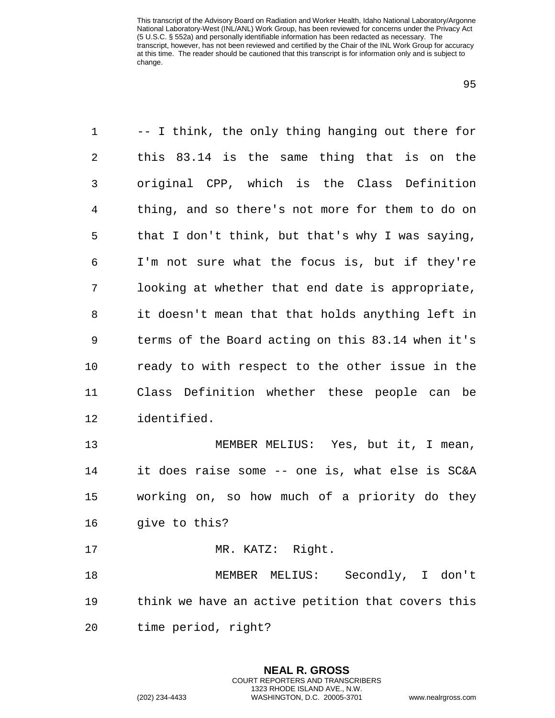| 1  | -- I think, the only thing hanging out there for  |
|----|---------------------------------------------------|
| 2  | this 83.14 is the same thing that is on the       |
| 3  | original CPP, which is the Class Definition       |
| 4  | thing, and so there's not more for them to do on  |
| 5  | that I don't think, but that's why I was saying,  |
| 6  | I'm not sure what the focus is, but if they're    |
| 7  | looking at whether that end date is appropriate,  |
| 8  | it doesn't mean that that holds anything left in  |
| 9  | terms of the Board acting on this 83.14 when it's |
| 10 | ready to with respect to the other issue in the   |
| 11 | Class Definition whether these people can be      |
| 12 | identified.                                       |
| 13 | MEMBER MELIUS: Yes, but it, I mean,               |
| 14 | it does raise some -- one is, what else is SC&A   |
| 15 | working on, so how much of a priority do they     |
| 16 | give to this?                                     |
| 17 | MR. KATZ: Right.                                  |
| 18 | MEMBER MELIUS: Secondly, I don't                  |
| 19 | think we have an active petition that covers this |
| 20 | time period, right?                               |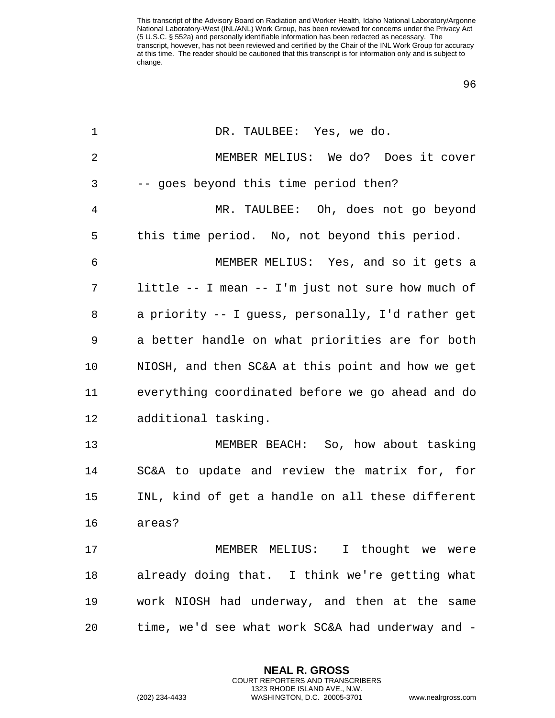96

| $\mathbf 1$    | DR. TAULBEE: Yes, we do.                          |
|----------------|---------------------------------------------------|
| $\overline{2}$ | MEMBER MELIUS: We do? Does it cover               |
| 3              | -- goes beyond this time period then?             |
| 4              | MR. TAULBEE: Oh, does not go beyond               |
| 5              | this time period. No, not beyond this period.     |
| 6              | MEMBER MELIUS: Yes, and so it gets a              |
| 7              | little -- I mean -- I'm just not sure how much of |
| 8              | a priority -- I guess, personally, I'd rather get |
| 9              | a better handle on what priorities are for both   |
| 10             | NIOSH, and then SC&A at this point and how we get |
| 11             | everything coordinated before we go ahead and do  |
| 12             | additional tasking.                               |
| 13             | MEMBER BEACH: So, how about tasking               |
| 14             | SC&A to update and review the matrix for, for     |
| 15             | INL, kind of get a handle on all these different  |
| 16             | areas?                                            |
| 17             | MEMBER MELIUS: I thought we were                  |
| 18             | already doing that. I think we're getting what    |
| 19             | work NIOSH had underway, and then at the same     |
| 20             | time, we'd see what work SC&A had underway and -  |

**NEAL R. GROSS** COURT REPORTERS AND TRANSCRIBERS 1323 RHODE ISLAND AVE., N.W.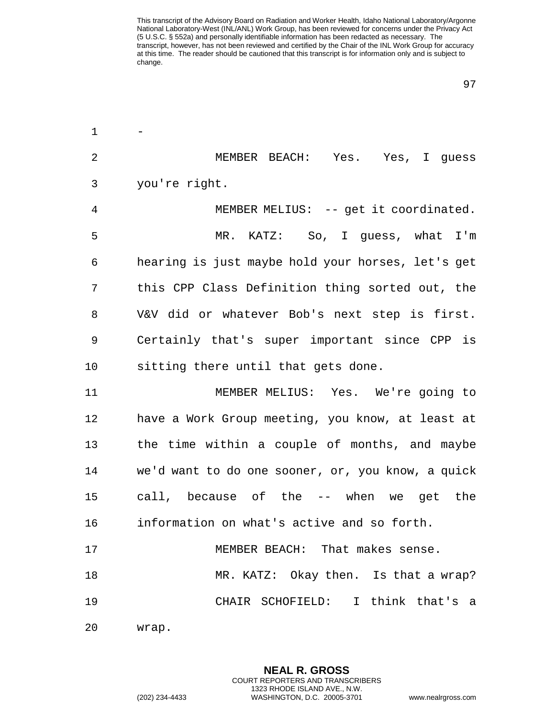| 1  |                                                   |
|----|---------------------------------------------------|
| 2  | MEMBER BEACH: Yes. Yes, I guess                   |
| 3  | you're right.                                     |
| 4  | MEMBER MELIUS: -- get it coordinated.             |
| 5  | MR. KATZ: So, I guess, what I'm                   |
| 6  | hearing is just maybe hold your horses, let's get |
| 7  | this CPP Class Definition thing sorted out, the   |
| 8  | V&V did or whatever Bob's next step is first.     |
| 9  | Certainly that's super important since CPP is     |
| 10 | sitting there until that gets done.               |
| 11 | MEMBER MELIUS: Yes. We're going to                |
| 12 | have a Work Group meeting, you know, at least at  |
| 13 | the time within a couple of months, and maybe     |
| 14 | we'd want to do one sooner, or, you know, a quick |
| 15 | call, because of the -- when we get the           |
| 16 | information on what's active and so forth.        |
| 17 | MEMBER BEACH: That makes sense.                   |
| 18 | MR. KATZ: Okay then. Is that a wrap?              |
| 19 | CHAIR SCHOFIELD: I think that's a                 |
| 20 | wrap.                                             |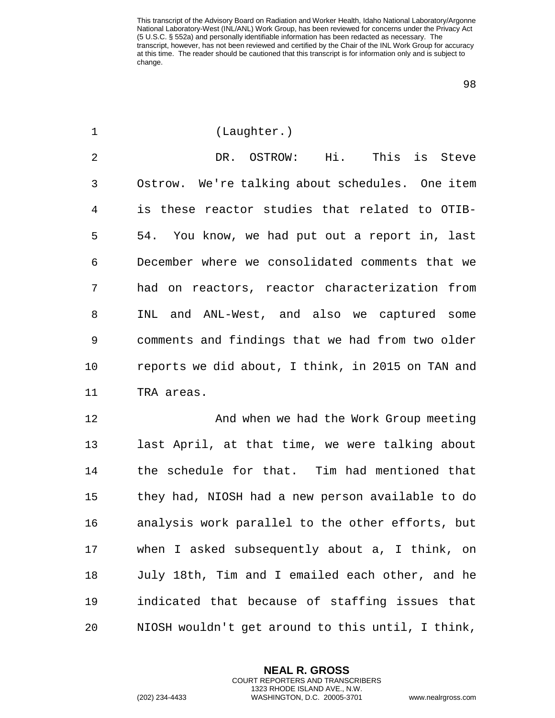98

| $\mathbf 1$    | (Laughter.)                                       |
|----------------|---------------------------------------------------|
| $\overline{2}$ | is Steve<br>DR. OSTROW: Hi.<br>This               |
| 3              | Ostrow. We're talking about schedules. One item   |
| 4              | is these reactor studies that related to OTIB-    |
| 5              | 54. You know, we had put out a report in, last    |
| 6              | December where we consolidated comments that we   |
| 7              | had on reactors, reactor characterization from    |
| 8              | INL and ANL-West, and also we captured some       |
| 9              | comments and findings that we had from two older  |
| 10             | reports we did about, I think, in 2015 on TAN and |
| 11             | TRA areas.                                        |
| 12             | And when we had the Work Group meeting            |
| 13             | last April, at that time, we were talking about   |
| 14             | the schedule for that. Tim had mentioned that     |
| 15             | they had, NIOSH had a new person available to do  |
| 16             | analysis work parallel to the other efforts, but  |
| 17             | when I asked subsequently about a, I think, on    |
| 18             | July 18th, Tim and I emailed each other, and he   |
| 19             | indicated that because of staffing issues that    |
| 20             | NIOSH wouldn't get around to this until, I think, |

**NEAL R. GROSS** COURT REPORTERS AND TRANSCRIBERS 1323 RHODE ISLAND AVE., N.W.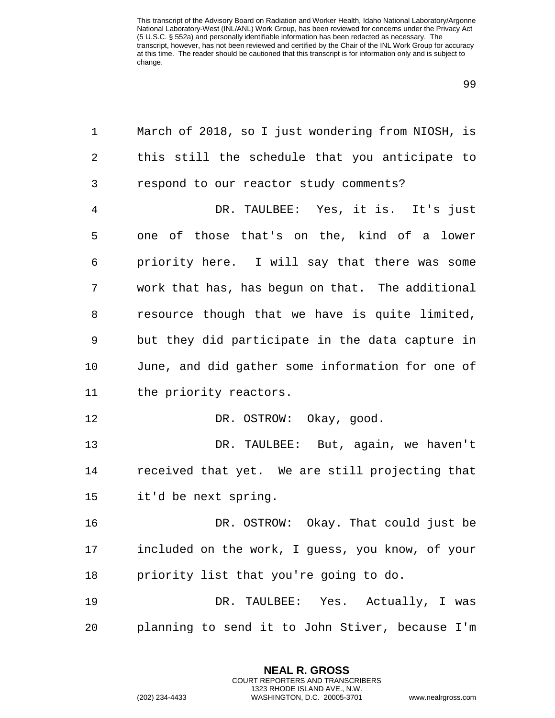99

| 1              | March of 2018, so I just wondering from NIOSH, is |
|----------------|---------------------------------------------------|
| $\overline{a}$ | this still the schedule that you anticipate to    |
| 3              | respond to our reactor study comments?            |
| $\overline{4}$ | DR. TAULBEE: Yes, it is. It's just                |
| 5              | one of those that's on the, kind of a lower       |
| 6              | priority here. I will say that there was some     |
| 7              | work that has, has begun on that. The additional  |
| 8              | resource though that we have is quite limited,    |
| 9              | but they did participate in the data capture in   |
| 10             | June, and did gather some information for one of  |
| 11             | the priority reactors.                            |
| 12             | DR. OSTROW: Okay, good.                           |
| 13             | DR. TAULBEE: But, again, we haven't               |
| 14             | received that yet. We are still projecting that   |
| 15             | it'd be next spring.                              |
| 16             | DR. OSTROW: Okay. That could just be              |
| 17             | included on the work, I guess, you know, of your  |
| 18             | priority list that you're going to do.            |
| 19             | DR. TAULBEE: Yes. Actually, I was                 |
| 20             | planning to send it to John Stiver, because I'm   |

**NEAL R. GROSS** COURT REPORTERS AND TRANSCRIBERS 1323 RHODE ISLAND AVE., N.W.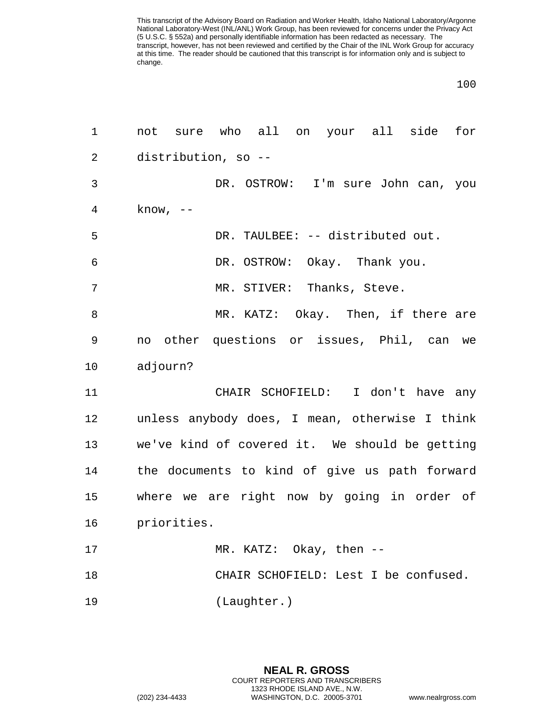| $\mathbf 1$ | not sure who all on your all side<br>for       |
|-------------|------------------------------------------------|
| 2           | distribution, so --                            |
| 3           | DR. OSTROW: I'm sure John can, you             |
| 4           | know, $--$                                     |
| 5           | DR. TAULBEE: -- distributed out.               |
| 6           | DR. OSTROW: Okay. Thank you.                   |
| 7           | MR. STIVER: Thanks, Steve.                     |
| 8           | MR. KATZ: Okay. Then, if there are             |
| $\mathsf 9$ | no other questions or issues, Phil, can we     |
| 10          | adjourn?                                       |
| 11          | CHAIR SCHOFIELD: I don't have any              |
| 12          | unless anybody does, I mean, otherwise I think |
| 13          | we've kind of covered it. We should be getting |
| 14          | the documents to kind of give us path forward  |
| 15          | where we are right now by going in order of    |
| 16          | priorities.                                    |
| 17          | MR. KATZ: Okay, then --                        |
| 18          | CHAIR SCHOFIELD: Lest I be confused.           |
| 19          | (Laughter.)                                    |